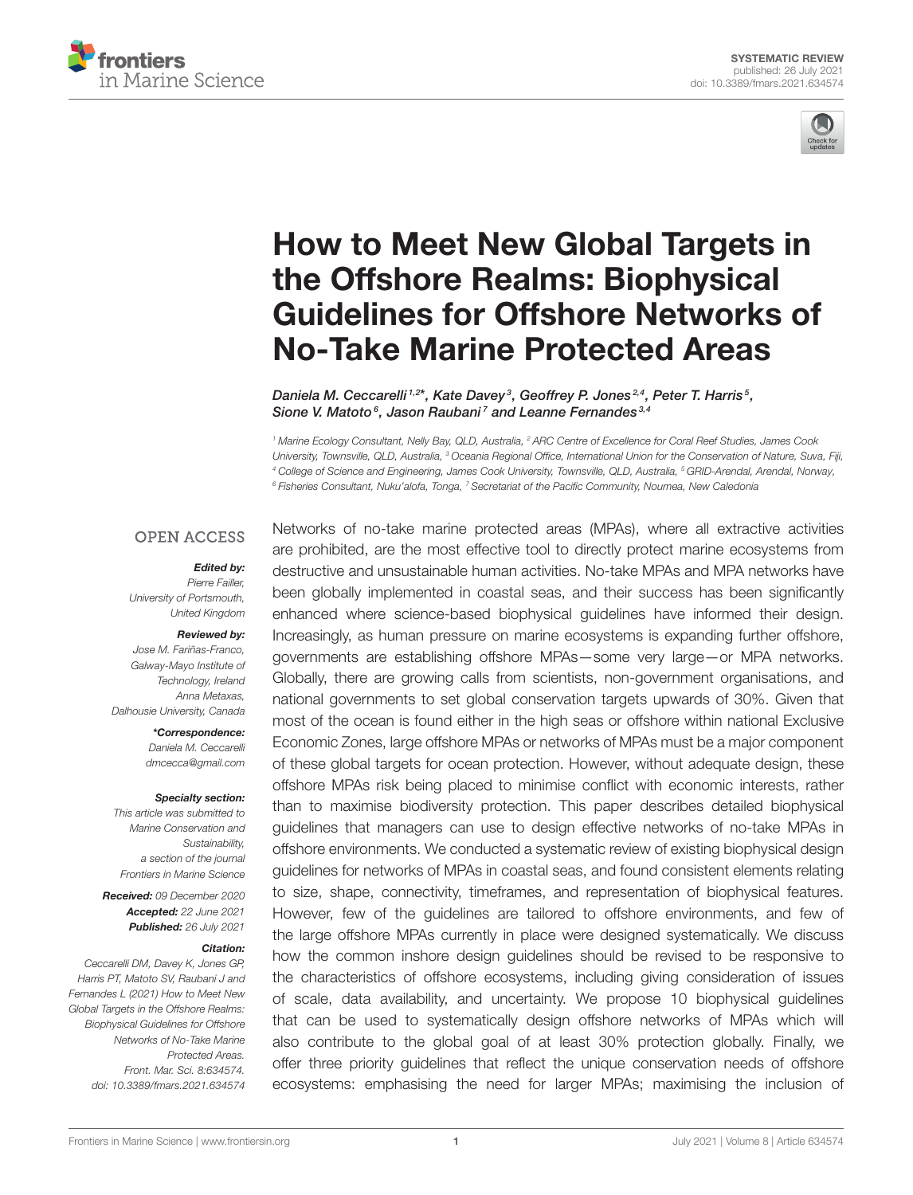



# How to Meet New Global Targets in the Offshore Realms: Biophysical [Guidelines for Offshore Networks of](https://www.frontiersin.org/articles/10.3389/fmars.2021.634574/full) No-Take Marine Protected Areas

Daniela M. Ceccarelli <sup>1,2\*</sup>, Kate Davey<sup>3</sup>, Geoffrey P. Jones<sup>2,4</sup>, Peter T. Harris<sup>5</sup>, Sione V. Matoto<sup>6</sup>, Jason Raubani<sup>7</sup> and Leanne Fernandes<sup>3,4</sup>

<sup>1</sup> Marine Ecology Consultant, Nelly Bay, QLD, Australia, <sup>2</sup> ARC Centre of Excellence for Coral Reef Studies, James Cook University, Townsville, QLD, Australia, <sup>3</sup> Oceania Regional Office, International Union for the Conservation of Nature, Suva, Fiji, <sup>4</sup> College of Science and Engineering, James Cook University, Townsville, QLD, Australia, <sup>5</sup> GRID-Arendal, Arendal, Norway, <sup>6</sup> Fisheries Consultant, Nuku'alofa, Tonga, <sup>7</sup> Secretariat of the Pacific Community, Noumea, New Caledonia

#### **OPEN ACCESS**

#### Edited by:

Pierre Failler, University of Portsmouth, United Kingdom

#### Reviewed by:

Jose M. Fariñas-Franco, Galway-Mayo Institute of Technology, Ireland Anna Metaxas, Dalhousie University, Canada

> \*Correspondence: Daniela M. Ceccarelli [dmcecca@gmail.com](mailto:dmcecca@gmail.com)

#### Specialty section:

This article was submitted to Marine Conservation and Sustainability, a section of the journal Frontiers in Marine Science

Received: 09 December 2020 Accepted: 22 June 2021 Published: 26 July 2021

#### Citation:

Ceccarelli DM, Davey K, Jones GP, Harris PT, Matoto SV, Raubani J and Fernandes L (2021) How to Meet New Global Targets in the Offshore Realms: Biophysical Guidelines for Offshore Networks of No-Take Marine Protected Areas. Front. Mar. Sci. 8:634574. doi: [10.3389/fmars.2021.634574](https://doi.org/10.3389/fmars.2021.634574)

Networks of no-take marine protected areas (MPAs), where all extractive activities are prohibited, are the most effective tool to directly protect marine ecosystems from destructive and unsustainable human activities. No-take MPAs and MPA networks have been globally implemented in coastal seas, and their success has been significantly enhanced where science-based biophysical guidelines have informed their design. Increasingly, as human pressure on marine ecosystems is expanding further offshore, governments are establishing offshore MPAs—some very large—or MPA networks. Globally, there are growing calls from scientists, non-government organisations, and national governments to set global conservation targets upwards of 30%. Given that most of the ocean is found either in the high seas or offshore within national Exclusive Economic Zones, large offshore MPAs or networks of MPAs must be a major component of these global targets for ocean protection. However, without adequate design, these offshore MPAs risk being placed to minimise conflict with economic interests, rather than to maximise biodiversity protection. This paper describes detailed biophysical guidelines that managers can use to design effective networks of no-take MPAs in offshore environments. We conducted a systematic review of existing biophysical design guidelines for networks of MPAs in coastal seas, and found consistent elements relating to size, shape, connectivity, timeframes, and representation of biophysical features. However, few of the guidelines are tailored to offshore environments, and few of the large offshore MPAs currently in place were designed systematically. We discuss how the common inshore design guidelines should be revised to be responsive to the characteristics of offshore ecosystems, including giving consideration of issues of scale, data availability, and uncertainty. We propose 10 biophysical guidelines that can be used to systematically design offshore networks of MPAs which will also contribute to the global goal of at least 30% protection globally. Finally, we offer three priority guidelines that reflect the unique conservation needs of offshore ecosystems: emphasising the need for larger MPAs; maximising the inclusion of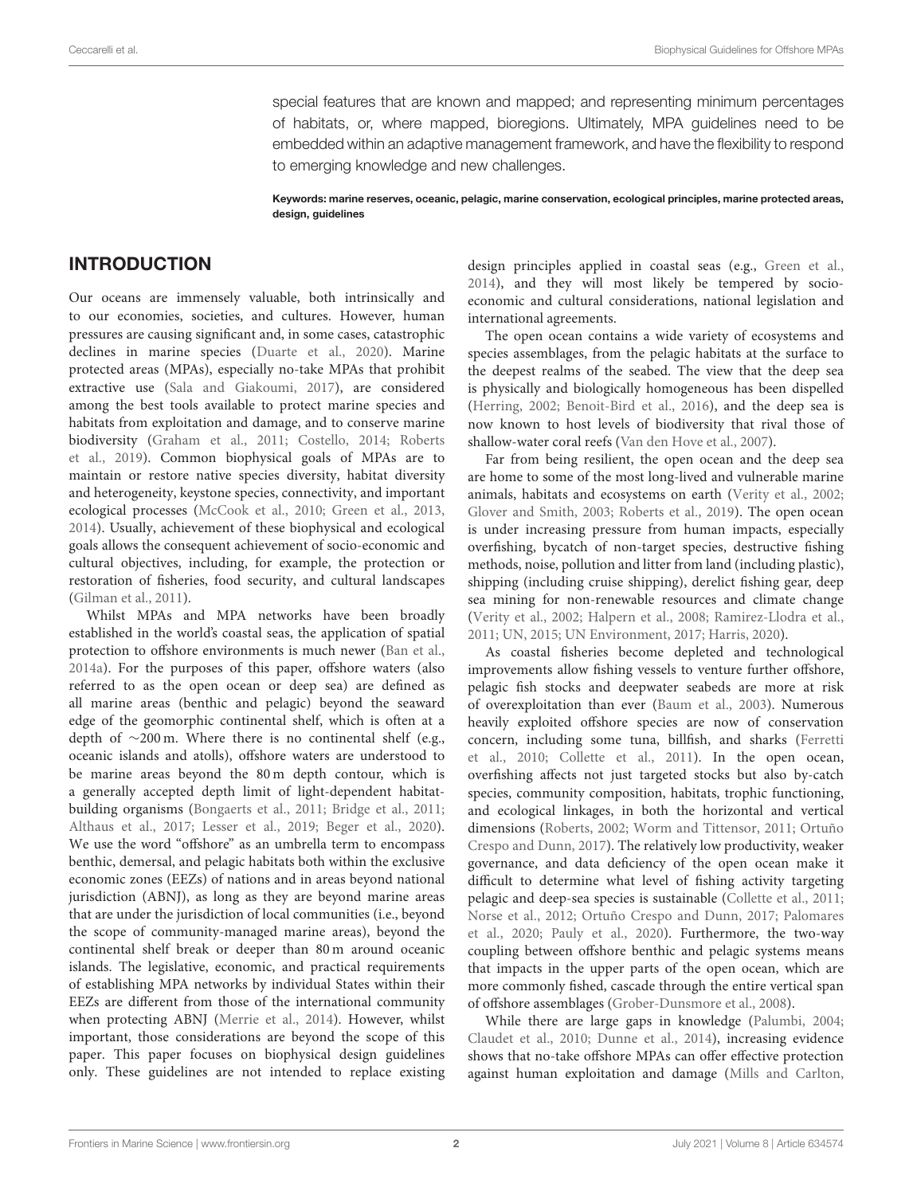special features that are known and mapped; and representing minimum percentages of habitats, or, where mapped, bioregions. Ultimately, MPA guidelines need to be embedded within an adaptive management framework, and have the flexibility to respond to emerging knowledge and new challenges.

Keywords: marine reserves, oceanic, pelagic, marine conservation, ecological principles, marine protected areas, design, guidelines

#### INTRODUCTION

Our oceans are immensely valuable, both intrinsically and to our economies, societies, and cultures. However, human pressures are causing significant and, in some cases, catastrophic declines in marine species [\(Duarte et al., 2020\)](#page-21-0). Marine protected areas (MPAs), especially no-take MPAs that prohibit extractive use [\(Sala and Giakoumi, 2017\)](#page-26-0), are considered among the best tools available to protect marine species and habitats from exploitation and damage, and to conserve marine biodiversity [\(Graham et al., 2011;](#page-22-0) [Costello, 2014;](#page-21-1) Roberts et al., [2019\)](#page-25-0). Common biophysical goals of MPAs are to maintain or restore native species diversity, habitat diversity and heterogeneity, keystone species, connectivity, and important ecological processes [\(McCook et al., 2010;](#page-24-0) [Green et al., 2013,](#page-22-1) [2014\)](#page-22-2). Usually, achievement of these biophysical and ecological goals allows the consequent achievement of socio-economic and cultural objectives, including, for example, the protection or restoration of fisheries, food security, and cultural landscapes [\(Gilman et al., 2011\)](#page-22-3).

Whilst MPAs and MPA networks have been broadly established in the world's coastal seas, the application of spatial protection to offshore environments is much newer [\(Ban et al.,](#page-20-0) [2014a\)](#page-20-0). For the purposes of this paper, offshore waters (also referred to as the open ocean or deep sea) are defined as all marine areas (benthic and pelagic) beyond the seaward edge of the geomorphic continental shelf, which is often at a depth of ∼200 m. Where there is no continental shelf (e.g., oceanic islands and atolls), offshore waters are understood to be marine areas beyond the 80 m depth contour, which is a generally accepted depth limit of light-dependent habitatbuilding organisms [\(Bongaerts et al., 2011;](#page-20-1) [Bridge et al., 2011;](#page-20-2) [Althaus et al., 2017;](#page-19-0) [Lesser et al., 2019;](#page-24-1) [Beger et al., 2020\)](#page-20-3). We use the word "offshore" as an umbrella term to encompass benthic, demersal, and pelagic habitats both within the exclusive economic zones (EEZs) of nations and in areas beyond national jurisdiction (ABNJ), as long as they are beyond marine areas that are under the jurisdiction of local communities (i.e., beyond the scope of community-managed marine areas), beyond the continental shelf break or deeper than 80 m around oceanic islands. The legislative, economic, and practical requirements of establishing MPA networks by individual States within their EEZs are different from those of the international community when protecting ABNJ [\(Merrie et al., 2014\)](#page-24-2). However, whilst important, those considerations are beyond the scope of this paper. This paper focuses on biophysical design guidelines only. These guidelines are not intended to replace existing design principles applied in coastal seas (e.g., [Green et al.,](#page-22-2) [2014\)](#page-22-2), and they will most likely be tempered by socioeconomic and cultural considerations, national legislation and international agreements.

The open ocean contains a wide variety of ecosystems and species assemblages, from the pelagic habitats at the surface to the deepest realms of the seabed. The view that the deep sea is physically and biologically homogeneous has been dispelled [\(Herring, 2002;](#page-23-0) [Benoit-Bird et al., 2016\)](#page-20-4), and the deep sea is now known to host levels of biodiversity that rival those of shallow-water coral reefs [\(Van den Hove et al., 2007\)](#page-26-1).

Far from being resilient, the open ocean and the deep sea are home to some of the most long-lived and vulnerable marine animals, habitats and ecosystems on earth [\(Verity et al., 2002;](#page-26-2) [Glover and Smith, 2003;](#page-22-4) [Roberts et al., 2019\)](#page-25-0). The open ocean is under increasing pressure from human impacts, especially overfishing, bycatch of non-target species, destructive fishing methods, noise, pollution and litter from land (including plastic), shipping (including cruise shipping), derelict fishing gear, deep sea mining for non-renewable resources and climate change [\(Verity et al., 2002;](#page-26-2) [Halpern et al., 2008;](#page-22-5) [Ramirez-Llodra et al.,](#page-25-1) [2011;](#page-25-1) [UN, 2015;](#page-26-3) [UN Environment, 2017;](#page-26-4) [Harris, 2020\)](#page-22-6).

As coastal fisheries become depleted and technological improvements allow fishing vessels to venture further offshore, pelagic fish stocks and deepwater seabeds are more at risk of overexploitation than ever [\(Baum et al., 2003\)](#page-20-5). Numerous heavily exploited offshore species are now of conservation concern, including some tuna, billfish, and sharks (Ferretti et al., [2010;](#page-22-7) [Collette et al., 2011\)](#page-21-2). In the open ocean, overfishing affects not just targeted stocks but also by-catch species, community composition, habitats, trophic functioning, and ecological linkages, in both the horizontal and vertical dimensions [\(Roberts, 2002;](#page-25-2) [Worm and Tittensor, 2011;](#page-27-0) Ortuño Crespo and Dunn, [2017\)](#page-25-3). The relatively low productivity, weaker governance, and data deficiency of the open ocean make it difficult to determine what level of fishing activity targeting pelagic and deep-sea species is sustainable [\(Collette et al., 2011;](#page-21-2) [Norse et al., 2012;](#page-24-3) [Ortuño Crespo and Dunn, 2017;](#page-25-3) Palomares et al., [2020;](#page-25-4) [Pauly et al., 2020\)](#page-25-5). Furthermore, the two-way coupling between offshore benthic and pelagic systems means that impacts in the upper parts of the open ocean, which are more commonly fished, cascade through the entire vertical span of offshore assemblages [\(Grober-Dunsmore et al., 2008\)](#page-22-8).

While there are large gaps in knowledge [\(Palumbi, 2004;](#page-25-6) [Claudet et al., 2010;](#page-21-3) [Dunne et al., 2014\)](#page-21-4), increasing evidence shows that no-take offshore MPAs can offer effective protection against human exploitation and damage [\(Mills and Carlton,](#page-24-4)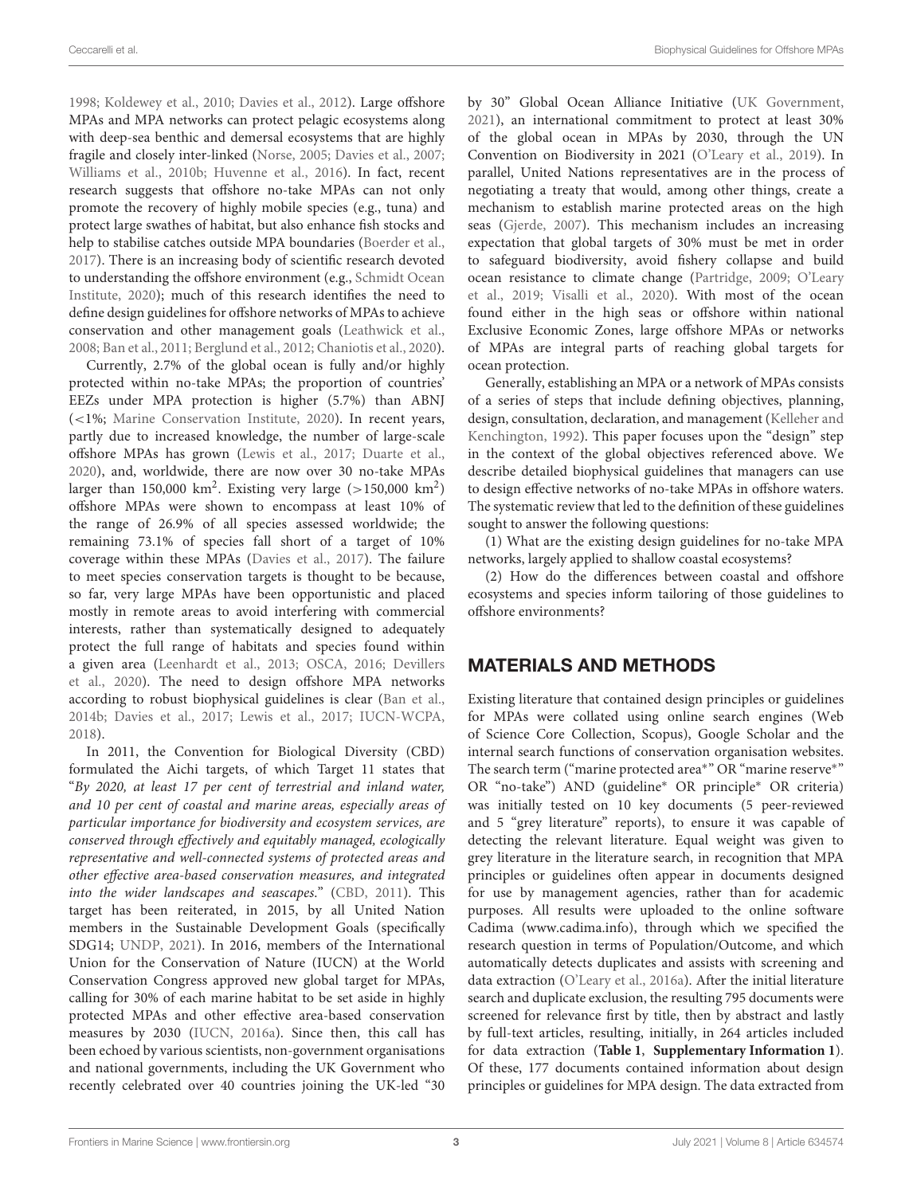[1998;](#page-24-4) [Koldewey et al., 2010;](#page-23-1) [Davies et al., 2012\)](#page-21-5). Large offshore MPAs and MPA networks can protect pelagic ecosystems along with deep-sea benthic and demersal ecosystems that are highly fragile and closely inter-linked [\(Norse, 2005;](#page-24-5) [Davies et al., 2007;](#page-21-6) [Williams et al., 2010b;](#page-27-1) [Huvenne et al., 2016\)](#page-23-2). In fact, recent research suggests that offshore no-take MPAs can not only promote the recovery of highly mobile species (e.g., tuna) and protect large swathes of habitat, but also enhance fish stocks and help to stabilise catches outside MPA boundaries [\(Boerder et al.,](#page-20-6) [2017\)](#page-20-6). There is an increasing body of scientific research devoted to understanding the offshore environment (e.g., Schmidt Ocean Institute, [2020\)](#page-26-5); much of this research identifies the need to define design guidelines for offshore networks of MPAs to achieve conservation and other management goals [\(Leathwick et al.,](#page-24-6) [2008;](#page-24-6) [Ban et al., 2011;](#page-20-7) [Berglund et al., 2012;](#page-20-8) [Chaniotis et al., 2020\)](#page-20-9).

Currently, 2.7% of the global ocean is fully and/or highly protected within no-take MPAs; the proportion of countries' EEZs under MPA protection is higher (5.7%) than ABNJ (<1%; [Marine Conservation Institute, 2020\)](#page-24-7). In recent years, partly due to increased knowledge, the number of large-scale offshore MPAs has grown [\(Lewis et al., 2017;](#page-24-8) [Duarte et al.,](#page-21-0) [2020\)](#page-21-0), and, worldwide, there are now over 30 no-take MPAs larger than 150,000  $\text{km}^2$ . Existing very large (>150,000  $\text{km}^2$ ) offshore MPAs were shown to encompass at least 10% of the range of 26.9% of all species assessed worldwide; the remaining 73.1% of species fall short of a target of 10% coverage within these MPAs [\(Davies et al., 2017\)](#page-21-7). The failure to meet species conservation targets is thought to be because, so far, very large MPAs have been opportunistic and placed mostly in remote areas to avoid interfering with commercial interests, rather than systematically designed to adequately protect the full range of habitats and species found within a given area [\(Leenhardt et al., 2013;](#page-24-9) [OSCA, 2016;](#page-25-7) Devillers et al., [2020\)](#page-21-8). The need to design offshore MPA networks according to robust biophysical guidelines is clear [\(Ban et al.,](#page-20-10) [2014b;](#page-20-10) [Davies et al., 2017;](#page-21-7) [Lewis et al., 2017;](#page-24-8) [IUCN-WCPA,](#page-23-3) [2018\)](#page-23-3).

In 2011, the Convention for Biological Diversity (CBD) formulated the Aichi targets, of which Target 11 states that "By 2020, at least 17 per cent of terrestrial and inland water, and 10 per cent of coastal and marine areas, especially areas of particular importance for biodiversity and ecosystem services, are conserved through effectively and equitably managed, ecologically representative and well-connected systems of protected areas and other effective area-based conservation measures, and integrated into the wider landscapes and seascapes." [\(CBD, 2011\)](#page-20-11). This target has been reiterated, in 2015, by all United Nation members in the Sustainable Development Goals (specifically SDG14; [UNDP, 2021\)](#page-26-6). In 2016, members of the International Union for the Conservation of Nature (IUCN) at the World Conservation Congress approved new global target for MPAs, calling for 30% of each marine habitat to be set aside in highly protected MPAs and other effective area-based conservation measures by 2030 [\(IUCN, 2016a\)](#page-23-4). Since then, this call has been echoed by various scientists, non-government organisations and national governments, including the UK Government who recently celebrated over 40 countries joining the UK-led "30

by 30" Global Ocean Alliance Initiative [\(UK Government,](#page-26-7) [2021\)](#page-26-7), an international commitment to protect at least 30% of the global ocean in MPAs by 2030, through the UN Convention on Biodiversity in 2021 [\(O'Leary et al., 2019\)](#page-25-8). In parallel, United Nations representatives are in the process of negotiating a treaty that would, among other things, create a mechanism to establish marine protected areas on the high seas [\(Gjerde, 2007\)](#page-22-9). This mechanism includes an increasing expectation that global targets of 30% must be met in order to safeguard biodiversity, avoid fishery collapse and build ocean resistance to climate change [\(Partridge, 2009;](#page-25-9) O'Leary et al., [2019;](#page-25-8) [Visalli et al., 2020\)](#page-26-8). With most of the ocean found either in the high seas or offshore within national Exclusive Economic Zones, large offshore MPAs or networks of MPAs are integral parts of reaching global targets for ocean protection.

Generally, establishing an MPA or a network of MPAs consists of a series of steps that include defining objectives, planning, design, consultation, declaration, and management (Kelleher and Kenchington, [1992\)](#page-23-5). This paper focuses upon the "design" step in the context of the global objectives referenced above. We describe detailed biophysical guidelines that managers can use to design effective networks of no-take MPAs in offshore waters. The systematic review that led to the definition of these guidelines sought to answer the following questions:

(1) What are the existing design guidelines for no-take MPA networks, largely applied to shallow coastal ecosystems?

(2) How do the differences between coastal and offshore ecosystems and species inform tailoring of those guidelines to offshore environments?

# MATERIALS AND METHODS

Existing literature that contained design principles or guidelines for MPAs were collated using online search engines (Web of Science Core Collection, Scopus), Google Scholar and the internal search functions of conservation organisation websites. The search term ("marine protected area\*" OR "marine reserve\*" OR "no-take") AND (guideline<sup>∗</sup> OR principle<sup>∗</sup> OR criteria) was initially tested on 10 key documents (5 peer-reviewed and 5 "grey literature" reports), to ensure it was capable of detecting the relevant literature. Equal weight was given to grey literature in the literature search, in recognition that MPA principles or guidelines often appear in documents designed for use by management agencies, rather than for academic purposes. All results were uploaded to the online software Cadima [\(www.cadima.info\)](www.cadima.info), through which we specified the research question in terms of Population/Outcome, and which automatically detects duplicates and assists with screening and data extraction [\(O'Leary et al., 2016a\)](#page-25-10). After the initial literature search and duplicate exclusion, the resulting 795 documents were screened for relevance first by title, then by abstract and lastly by full-text articles, resulting, initially, in 264 articles included for data extraction (**[Table 1](#page-3-0)**, **[Supplementary Information 1](#page-19-1)**). Of these, 177 documents contained information about design principles or guidelines for MPA design. The data extracted from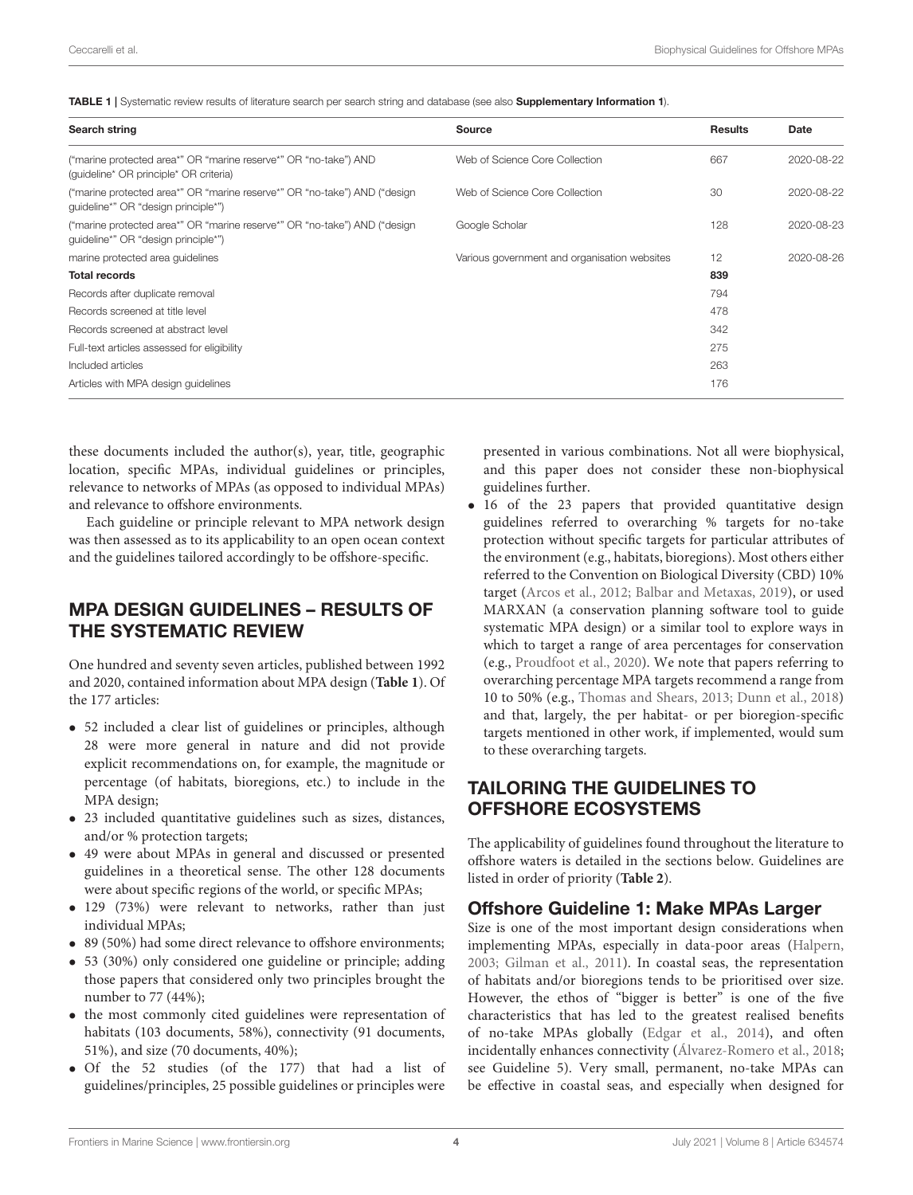<span id="page-3-0"></span>TABLE 1 | Systematic review results of literature search per search string and database (see also [Supplementary Information 1](#page-19-1)).

| Search string                                                                                                    | <b>Source</b>                                | <b>Results</b> | Date       |
|------------------------------------------------------------------------------------------------------------------|----------------------------------------------|----------------|------------|
| ("marine protected area*" OR "marine reserve*" OR "no-take") AND<br>(quideline* OR principle* OR criteria)       | Web of Science Core Collection               | 667            | 2020-08-22 |
| ("marine protected area*" OR "marine reserve*" OR "no-take") AND ("design<br>guideline*" OR "design principle*") | Web of Science Core Collection               | 30             | 2020-08-22 |
| ("marine protected area*" OR "marine reserve*" OR "no-take") AND ("design<br>quideline*" OR "design principle*") | Google Scholar                               | 128            | 2020-08-23 |
| marine protected area quidelines                                                                                 | Various government and organisation websites | 12             | 2020-08-26 |
| <b>Total records</b>                                                                                             |                                              | 839            |            |
| Records after duplicate removal                                                                                  |                                              | 794            |            |
| Records screened at title level                                                                                  |                                              | 478            |            |
| Records screened at abstract level                                                                               |                                              | 342            |            |
| Full-text articles assessed for eligibility                                                                      |                                              | 275            |            |
| Included articles                                                                                                |                                              | 263            |            |
| Articles with MPA design guidelines                                                                              |                                              | 176            |            |

these documents included the author(s), year, title, geographic location, specific MPAs, individual guidelines or principles, relevance to networks of MPAs (as opposed to individual MPAs) and relevance to offshore environments.

Each guideline or principle relevant to MPA network design was then assessed as to its applicability to an open ocean context and the guidelines tailored accordingly to be offshore-specific.

#### MPA DESIGN GUIDELINES – RESULTS OF THE SYSTEMATIC REVIEW

One hundred and seventy seven articles, published between 1992 and 2020, contained information about MPA design (**[Table 1](#page-3-0)**). Of the 177 articles:

- 52 included a clear list of guidelines or principles, although 28 were more general in nature and did not provide explicit recommendations on, for example, the magnitude or percentage (of habitats, bioregions, etc.) to include in the MPA design;
- 23 included quantitative guidelines such as sizes, distances, and/or % protection targets;
- 49 were about MPAs in general and discussed or presented guidelines in a theoretical sense. The other 128 documents were about specific regions of the world, or specific MPAs;
- 129 (73%) were relevant to networks, rather than just individual MPAs;
- 89 (50%) had some direct relevance to offshore environments;
- 53 (30%) only considered one guideline or principle; adding those papers that considered only two principles brought the number to 77 (44%);
- the most commonly cited guidelines were representation of habitats (103 documents, 58%), connectivity (91 documents, 51%), and size (70 documents, 40%);
- Of the 52 studies (of the 177) that had a list of guidelines/principles, 25 possible guidelines or principles were

presented in various combinations. Not all were biophysical, and this paper does not consider these non-biophysical guidelines further.

• 16 of the 23 papers that provided quantitative design guidelines referred to overarching % targets for no-take protection without specific targets for particular attributes of the environment (e.g., habitats, bioregions). Most others either referred to the Convention on Biological Diversity (CBD) 10% target [\(Arcos et al., 2012;](#page-19-2) [Balbar and Metaxas, 2019\)](#page-20-12), or used MARXAN (a conservation planning software tool to guide systematic MPA design) or a similar tool to explore ways in which to target a range of area percentages for conservation (e.g., [Proudfoot et al., 2020\)](#page-25-11). We note that papers referring to overarching percentage MPA targets recommend a range from 10 to 50% (e.g., [Thomas and Shears, 2013;](#page-26-9) [Dunn et al., 2018\)](#page-21-9) and that, largely, the per habitat- or per bioregion-specific targets mentioned in other work, if implemented, would sum to these overarching targets.

# TAILORING THE GUIDELINES TO OFFSHORE ECOSYSTEMS

The applicability of guidelines found throughout the literature to offshore waters is detailed in the sections below. Guidelines are listed in order of priority (**[Table 2](#page-4-0)**).

#### Offshore Guideline 1: Make MPAs Larger

Size is one of the most important design considerations when implementing MPAs, especially in data-poor areas [\(Halpern,](#page-22-10) [2003;](#page-22-10) [Gilman et al., 2011\)](#page-22-3). In coastal seas, the representation of habitats and/or bioregions tends to be prioritised over size. However, the ethos of "bigger is better" is one of the five characteristics that has led to the greatest realised benefits of no-take MPAs globally [\(Edgar et al., 2014\)](#page-21-10), and often incidentally enhances connectivity [\(Álvarez-Romero et al., 2018;](#page-19-3) see Guideline 5). Very small, permanent, no-take MPAs can be effective in coastal seas, and especially when designed for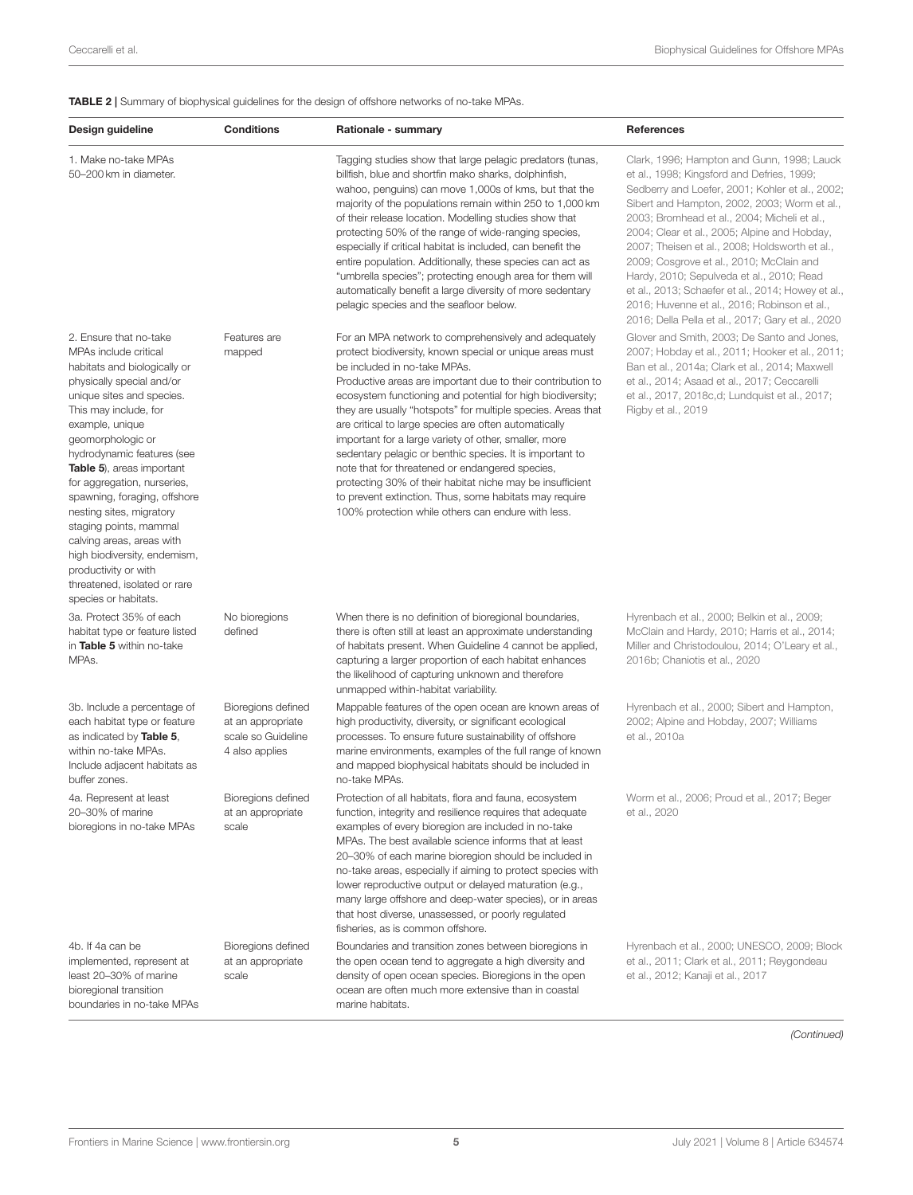<span id="page-4-0"></span>TABLE 2 | Summary of biophysical guidelines for the design of offshore networks of no-take MPAs.

| Design guideline                                                                                                                                                                                                                                                                                                                                                                                                                                                                                                                        | <b>Conditions</b>                                                               | Rationale - summary                                                                                                                                                                                                                                                                                                                                                                                                                                                                                                                                                                                                                                                                                                                                         | References                                                                                                                                                                                                                                                                                                                                                                                                                                                                                                                                                                                        |
|-----------------------------------------------------------------------------------------------------------------------------------------------------------------------------------------------------------------------------------------------------------------------------------------------------------------------------------------------------------------------------------------------------------------------------------------------------------------------------------------------------------------------------------------|---------------------------------------------------------------------------------|-------------------------------------------------------------------------------------------------------------------------------------------------------------------------------------------------------------------------------------------------------------------------------------------------------------------------------------------------------------------------------------------------------------------------------------------------------------------------------------------------------------------------------------------------------------------------------------------------------------------------------------------------------------------------------------------------------------------------------------------------------------|---------------------------------------------------------------------------------------------------------------------------------------------------------------------------------------------------------------------------------------------------------------------------------------------------------------------------------------------------------------------------------------------------------------------------------------------------------------------------------------------------------------------------------------------------------------------------------------------------|
| 1. Make no-take MPAs<br>50-200 km in diameter.                                                                                                                                                                                                                                                                                                                                                                                                                                                                                          |                                                                                 | Tagging studies show that large pelagic predators (tunas,<br>billfish, blue and shortfin mako sharks, dolphinfish,<br>wahoo, penguins) can move 1,000s of kms, but that the<br>majority of the populations remain within 250 to 1,000 km<br>of their release location. Modelling studies show that<br>protecting 50% of the range of wide-ranging species,<br>especially if critical habitat is included, can benefit the<br>entire population. Additionally, these species can act as<br>"umbrella species"; protecting enough area for them will<br>automatically benefit a large diversity of more sedentary<br>pelagic species and the seafloor below.                                                                                                  | Clark, 1996; Hampton and Gunn, 1998; Lauck<br>et al., 1998; Kingsford and Defries, 1999;<br>Sedberry and Loefer, 2001; Kohler et al., 2002;<br>Sibert and Hampton, 2002, 2003; Worm et al.,<br>2003; Bromhead et al., 2004; Micheli et al.,<br>2004; Clear et al., 2005; Alpine and Hobday,<br>2007; Theisen et al., 2008; Holdsworth et al.,<br>2009; Cosgrove et al., 2010; McClain and<br>Hardy, 2010; Sepulveda et al., 2010; Read<br>et al., 2013; Schaefer et al., 2014; Howey et al.,<br>2016; Huvenne et al., 2016; Robinson et al.,<br>2016; Della Pella et al., 2017; Gary et al., 2020 |
| 2. Ensure that no-take<br>MPAs include critical<br>habitats and biologically or<br>physically special and/or<br>unique sites and species.<br>This may include, for<br>example, unique<br>geomorphologic or<br>hydrodynamic features (see<br>Table 5), areas important<br>for aggregation, nurseries,<br>spawning, foraging, offshore<br>nesting sites, migratory<br>staging points, mammal<br>calving areas, areas with<br>high biodiversity, endemism,<br>productivity or with<br>threatened, isolated or rare<br>species or habitats. | Features are<br>mapped                                                          | For an MPA network to comprehensively and adequately<br>protect biodiversity, known special or unique areas must<br>be included in no-take MPAs.<br>Productive areas are important due to their contribution to<br>ecosystem functioning and potential for high biodiversity;<br>they are usually "hotspots" for multiple species. Areas that<br>are critical to large species are often automatically<br>important for a large variety of other, smaller, more<br>sedentary pelagic or benthic species. It is important to<br>note that for threatened or endangered species,<br>protecting 30% of their habitat niche may be insufficient<br>to prevent extinction. Thus, some habitats may require<br>100% protection while others can endure with less. | Glover and Smith, 2003; De Santo and Jones,<br>2007; Hobday et al., 2011; Hooker et al., 2011;<br>Ban et al., 2014a; Clark et al., 2014; Maxwell<br>et al., 2014; Asaad et al., 2017; Ceccarelli<br>et al., 2017, 2018c,d; Lundquist et al., 2017;<br>Rigby et al., 2019                                                                                                                                                                                                                                                                                                                          |
| 3a. Protect 35% of each<br>habitat type or feature listed<br>in Table 5 within no-take<br>MPA <sub>s</sub> .                                                                                                                                                                                                                                                                                                                                                                                                                            | No bioregions<br>defined                                                        | When there is no definition of bioregional boundaries,<br>there is often still at least an approximate understanding<br>of habitats present. When Guideline 4 cannot be applied,<br>capturing a larger proportion of each habitat enhances<br>the likelihood of capturing unknown and therefore<br>unmapped within-habitat variability.                                                                                                                                                                                                                                                                                                                                                                                                                     | Hyrenbach et al., 2000; Belkin et al., 2009;<br>McClain and Hardy, 2010; Harris et al., 2014;<br>Miller and Christodoulou, 2014; O'Leary et al.,<br>2016b; Chaniotis et al., 2020                                                                                                                                                                                                                                                                                                                                                                                                                 |
| 3b. Include a percentage of<br>each habitat type or feature<br>as indicated by Table 5,<br>within no-take MPAs.<br>Include adjacent habitats as<br>buffer zones.                                                                                                                                                                                                                                                                                                                                                                        | Bioregions defined<br>at an appropriate<br>scale so Guideline<br>4 also applies | Mappable features of the open ocean are known areas of<br>high productivity, diversity, or significant ecological<br>processes. To ensure future sustainability of offshore<br>marine environments, examples of the full range of known<br>and mapped biophysical habitats should be included in<br>no-take MPAs.                                                                                                                                                                                                                                                                                                                                                                                                                                           | Hyrenbach et al., 2000; Sibert and Hampton,<br>2002; Alpine and Hobday, 2007; Williams<br>et al., 2010a                                                                                                                                                                                                                                                                                                                                                                                                                                                                                           |
| 4a. Represent at least<br>20-30% of marine<br>bioregions in no-take MPAs                                                                                                                                                                                                                                                                                                                                                                                                                                                                | Bioregions defined<br>at an appropriate<br>scale                                | Protection of all habitats, flora and fauna, ecosystem<br>function, integrity and resilience requires that adequate<br>examples of every bioregion are included in no-take<br>MPAs. The best available science informs that at least<br>20-30% of each marine bioregion should be included in<br>no-take areas, especially if aiming to protect species with<br>lower reproductive output or delayed maturation (e.g.,<br>many large offshore and deep-water species), or in areas<br>that host diverse, unassessed, or poorly regulated<br>fisheries, as is common offshore.                                                                                                                                                                               | Worm et al., 2006; Proud et al., 2017; Beger<br>et al., 2020                                                                                                                                                                                                                                                                                                                                                                                                                                                                                                                                      |
| 4b. If 4a can be<br>implemented, represent at<br>least 20-30% of marine<br>bioregional transition<br>boundaries in no-take MPAs                                                                                                                                                                                                                                                                                                                                                                                                         | Bioregions defined<br>at an appropriate<br>scale                                | Boundaries and transition zones between bioregions in<br>the open ocean tend to aggregate a high diversity and<br>density of open ocean species. Bioregions in the open<br>ocean are often much more extensive than in coastal<br>marine habitats.                                                                                                                                                                                                                                                                                                                                                                                                                                                                                                          | Hyrenbach et al., 2000; UNESCO, 2009; Block<br>et al., 2011; Clark et al., 2011; Reygondeau<br>et al., 2012; Kanaji et al., 2017                                                                                                                                                                                                                                                                                                                                                                                                                                                                  |

(Continued)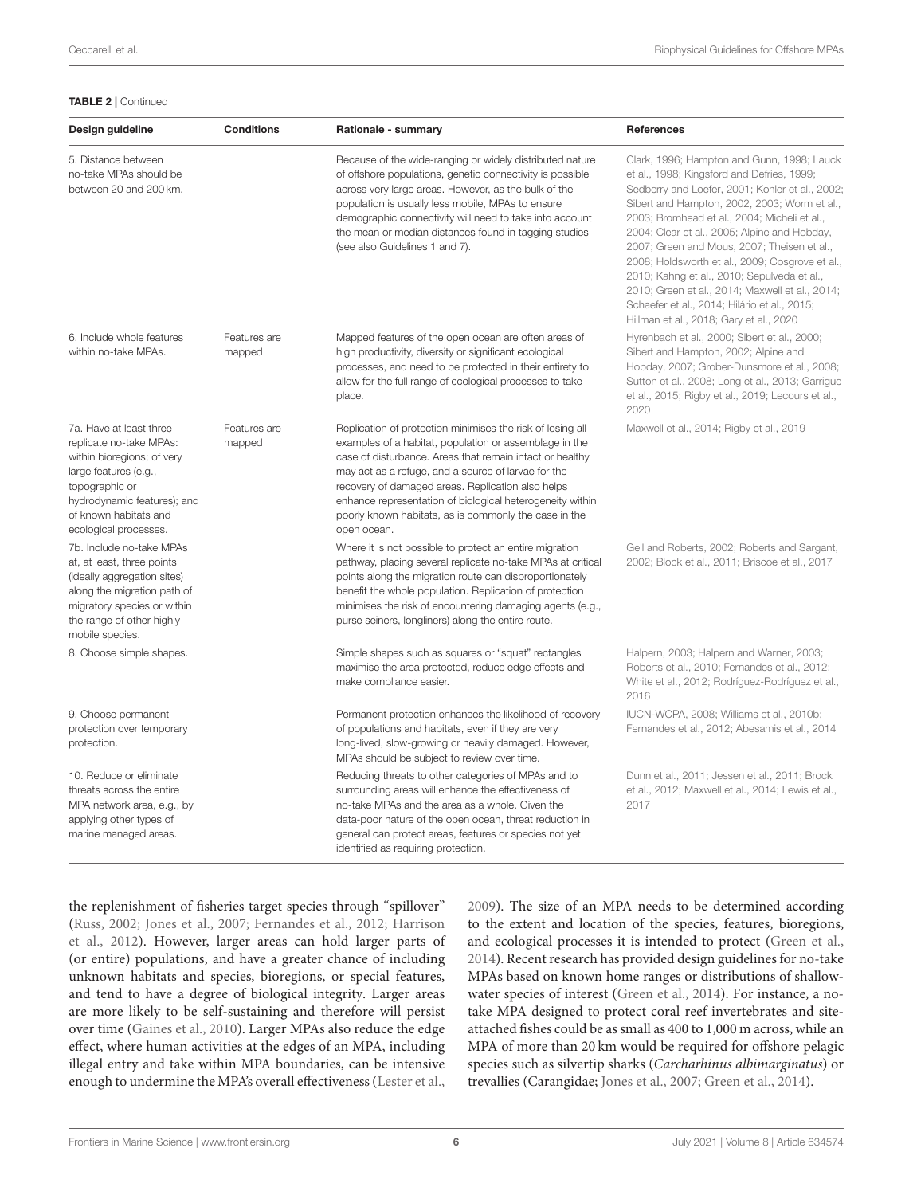TABLE 2 | Continued

| Design guideline                                                                                                                                                                                             | <b>Conditions</b>      | Rationale - summary                                                                                                                                                                                                                                                                                                                                                                                                               | <b>References</b>                                                                                                                                                                                                                                                                                                                                                                                                                                                                                                                                                                          |
|--------------------------------------------------------------------------------------------------------------------------------------------------------------------------------------------------------------|------------------------|-----------------------------------------------------------------------------------------------------------------------------------------------------------------------------------------------------------------------------------------------------------------------------------------------------------------------------------------------------------------------------------------------------------------------------------|--------------------------------------------------------------------------------------------------------------------------------------------------------------------------------------------------------------------------------------------------------------------------------------------------------------------------------------------------------------------------------------------------------------------------------------------------------------------------------------------------------------------------------------------------------------------------------------------|
| 5. Distance between<br>no-take MPAs should be<br>between 20 and 200 km.                                                                                                                                      |                        | Because of the wide-ranging or widely distributed nature<br>of offshore populations, genetic connectivity is possible<br>across very large areas. However, as the bulk of the<br>population is usually less mobile, MPAs to ensure<br>demographic connectivity will need to take into account<br>the mean or median distances found in tagging studies<br>(see also Guidelines 1 and 7).                                          | Clark, 1996; Hampton and Gunn, 1998; Lauck<br>et al., 1998; Kingsford and Defries, 1999;<br>Sedberry and Loefer, 2001; Kohler et al., 2002;<br>Sibert and Hampton, 2002, 2003; Worm et al.,<br>2003; Bromhead et al., 2004; Micheli et al.,<br>2004; Clear et al., 2005; Alpine and Hobday,<br>2007; Green and Mous, 2007; Theisen et al.,<br>2008; Holdsworth et al., 2009; Cosgrove et al.,<br>2010; Kahng et al., 2010; Sepulveda et al.,<br>2010; Green et al., 2014; Maxwell et al., 2014;<br>Schaefer et al., 2014; Hilário et al., 2015;<br>Hillman et al., 2018; Gary et al., 2020 |
| 6. Include whole features<br>within no-take MPAs.                                                                                                                                                            | Features are<br>mapped | Mapped features of the open ocean are often areas of<br>high productivity, diversity or significant ecological<br>processes, and need to be protected in their entirety to<br>allow for the full range of ecological processes to take<br>place.                                                                                                                                                                                  | Hyrenbach et al., 2000; Sibert et al., 2000;<br>Sibert and Hampton, 2002; Alpine and<br>Hobday, 2007; Grober-Dunsmore et al., 2008;<br>Sutton et al., 2008; Long et al., 2013; Garrigue<br>et al., 2015; Rigby et al., 2019; Lecours et al.,<br>2020                                                                                                                                                                                                                                                                                                                                       |
| 7a. Have at least three<br>replicate no-take MPAs:<br>within bioregions; of very<br>large features (e.g.,<br>topographic or<br>hydrodynamic features); and<br>of known habitats and<br>ecological processes. | Features are<br>mapped | Replication of protection minimises the risk of losing all<br>examples of a habitat, population or assemblage in the<br>case of disturbance. Areas that remain intact or healthy<br>may act as a refuge, and a source of larvae for the<br>recovery of damaged areas. Replication also helps<br>enhance representation of biological heterogeneity within<br>poorly known habitats, as is commonly the case in the<br>open ocean. | Maxwell et al., 2014; Rigby et al., 2019                                                                                                                                                                                                                                                                                                                                                                                                                                                                                                                                                   |
| 7b. Include no-take MPAs<br>at, at least, three points<br>(ideally aggregation sites)<br>along the migration path of<br>migratory species or within<br>the range of other highly<br>mobile species.          |                        | Where it is not possible to protect an entire migration<br>pathway, placing several replicate no-take MPAs at critical<br>points along the migration route can disproportionately<br>benefit the whole population. Replication of protection<br>minimises the risk of encountering damaging agents (e.g.,<br>purse seiners, longliners) along the entire route.                                                                   | Gell and Roberts, 2002; Roberts and Sargant,<br>2002; Block et al., 2011; Briscoe et al., 2017                                                                                                                                                                                                                                                                                                                                                                                                                                                                                             |
| 8. Choose simple shapes.                                                                                                                                                                                     |                        | Simple shapes such as squares or "squat" rectangles<br>maximise the area protected, reduce edge effects and<br>make compliance easier.                                                                                                                                                                                                                                                                                            | Halpern, 2003; Halpern and Warner, 2003;<br>Roberts et al., 2010; Fernandes et al., 2012;<br>White et al., 2012; Rodríguez-Rodríguez et al.,<br>2016                                                                                                                                                                                                                                                                                                                                                                                                                                       |
| 9. Choose permanent<br>protection over temporary<br>protection.                                                                                                                                              |                        | Permanent protection enhances the likelihood of recovery<br>of populations and habitats, even if they are very<br>long-lived, slow-growing or heavily damaged. However,<br>MPAs should be subject to review over time.                                                                                                                                                                                                            | IUCN-WCPA, 2008; Williams et al., 2010b;<br>Fernandes et al., 2012; Abesamis et al., 2014                                                                                                                                                                                                                                                                                                                                                                                                                                                                                                  |
| 10. Reduce or eliminate<br>threats across the entire<br>MPA network area, e.g., by<br>applying other types of<br>marine managed areas.                                                                       |                        | Reducing threats to other categories of MPAs and to<br>surrounding areas will enhance the effectiveness of<br>no-take MPAs and the area as a whole. Given the<br>data-poor nature of the open ocean, threat reduction in<br>general can protect areas, features or species not yet<br>identified as requiring protection                                                                                                          | Dunn et al., 2011; Jessen et al., 2011; Brock<br>et al., 2012; Maxwell et al., 2014; Lewis et al.,<br>2017                                                                                                                                                                                                                                                                                                                                                                                                                                                                                 |

the replenishment of fisheries target species through "spillover" [\(Russ, 2002;](#page-25-21) [Jones et al., 2007;](#page-23-20) [Fernandes et al., 2012;](#page-22-17) Harrison et al., [2012\)](#page-23-21). However, larger areas can hold larger parts of (or entire) populations, and have a greater chance of including unknown habitats and species, bioregions, or special features, and tend to have a degree of biological integrity. Larger areas are more likely to be self-sustaining and therefore will persist over time [\(Gaines et al., 2010\)](#page-22-18). Larger MPAs also reduce the edge effect, where human activities at the edges of an MPA, including illegal entry and take within MPA boundaries, can be intensive enough to undermine the MPA's overall effectiveness [\(Lester et al.,](#page-24-18)

[2009\)](#page-24-18). The size of an MPA needs to be determined according to the extent and location of the species, features, bioregions, and ecological processes it is intended to protect [\(Green et al.,](#page-22-2) [2014\)](#page-22-2). Recent research has provided design guidelines for no-take MPAs based on known home ranges or distributions of shallowwater species of interest [\(Green et al., 2014\)](#page-22-2). For instance, a notake MPA designed to protect coral reef invertebrates and siteattached fishes could be as small as 400 to 1,000 m across, while an MPA of more than 20 km would be required for offshore pelagic species such as silvertip sharks (Carcharhinus albimarginatus) or trevallies (Carangidae; [Jones et al., 2007;](#page-23-20) [Green et al., 2014\)](#page-22-2).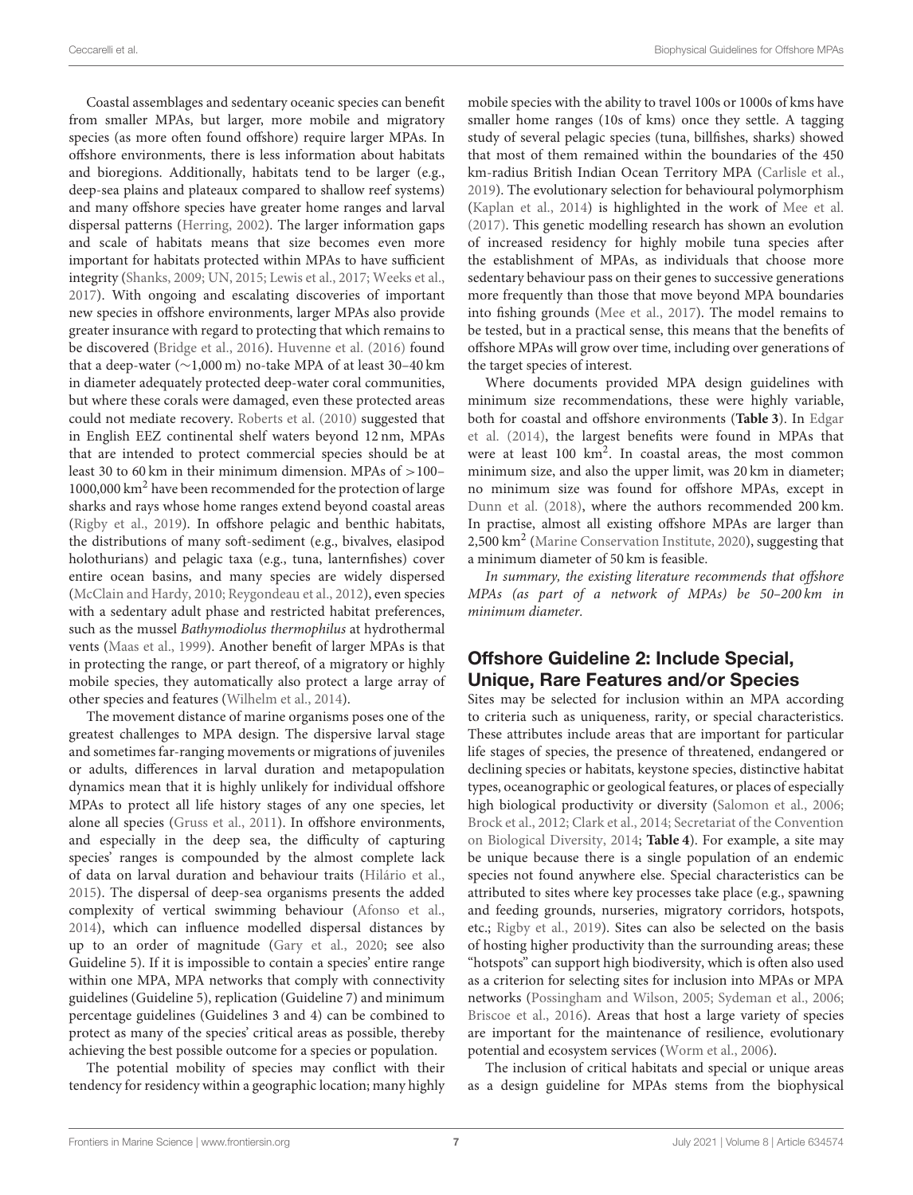Coastal assemblages and sedentary oceanic species can benefit from smaller MPAs, but larger, more mobile and migratory species (as more often found offshore) require larger MPAs. In offshore environments, there is less information about habitats and bioregions. Additionally, habitats tend to be larger (e.g., deep-sea plains and plateaux compared to shallow reef systems) and many offshore species have greater home ranges and larval dispersal patterns [\(Herring, 2002\)](#page-23-0). The larger information gaps and scale of habitats means that size becomes even more important for habitats protected within MPAs to have sufficient integrity [\(Shanks, 2009;](#page-26-19) [UN, 2015;](#page-26-3) [Lewis et al., 2017;](#page-24-8) [Weeks et al.,](#page-26-20) [2017\)](#page-26-20). With ongoing and escalating discoveries of important new species in offshore environments, larger MPAs also provide greater insurance with regard to protecting that which remains to be discovered [\(Bridge et al., 2016\)](#page-20-22). [Huvenne et al. \(2016\)](#page-23-2) found that a deep-water (∼1,000 m) no-take MPA of at least 30–40 km in diameter adequately protected deep-water coral communities, but where these corals were damaged, even these protected areas could not mediate recovery. [Roberts et al. \(2010\)](#page-25-19) suggested that in English EEZ continental shelf waters beyond 12 nm, MPAs that are intended to protect commercial species should be at least 30 to 60 km in their minimum dimension. MPAs of >100– 1000,000 km<sup>2</sup> have been recommended for the protection of large sharks and rays whose home ranges extend beyond coastal areas [\(Rigby et al., 2019\)](#page-25-14). In offshore pelagic and benthic habitats, the distributions of many soft-sediment (e.g., bivalves, elasipod holothurians) and pelagic taxa (e.g., tuna, lanternfishes) cover entire ocean basins, and many species are widely dispersed [\(McClain and Hardy, 2010;](#page-24-12) [Reygondeau et al., 2012\)](#page-25-17), even species with a sedentary adult phase and restricted habitat preferences, such as the mussel Bathymodiolus thermophilus at hydrothermal vents [\(Maas et al., 1999\)](#page-24-19). Another benefit of larger MPAs is that in protecting the range, or part thereof, of a migratory or highly mobile species, they automatically also protect a large array of other species and features [\(Wilhelm et al., 2014\)](#page-27-6).

The movement distance of marine organisms poses one of the greatest challenges to MPA design. The dispersive larval stage and sometimes far-ranging movements or migrations of juveniles or adults, differences in larval duration and metapopulation dynamics mean that it is highly unlikely for individual offshore MPAs to protect all life history stages of any one species, let alone all species [\(Gruss et al., 2011\)](#page-22-19). In offshore environments, and especially in the deep sea, the difficulty of capturing species' ranges is compounded by the almost complete lack of data on larval duration and behaviour traits [\(Hilário et al.,](#page-23-16) [2015\)](#page-23-16). The dispersal of deep-sea organisms presents the added complexity of vertical swimming behaviour [\(Afonso et al.,](#page-19-6) [2014\)](#page-19-6), which can influence modelled dispersal distances by up to an order of magnitude [\(Gary et al., 2020;](#page-22-12) see also Guideline 5). If it is impossible to contain a species' entire range within one MPA, MPA networks that comply with connectivity guidelines (Guideline 5), replication (Guideline 7) and minimum percentage guidelines (Guidelines 3 and 4) can be combined to protect as many of the species' critical areas as possible, thereby achieving the best possible outcome for a species or population.

The potential mobility of species may conflict with their tendency for residency within a geographic location; many highly mobile species with the ability to travel 100s or 1000s of kms have smaller home ranges (10s of kms) once they settle. A tagging study of several pelagic species (tuna, billfishes, sharks) showed that most of them remained within the boundaries of the 450 km-radius British Indian Ocean Territory MPA [\(Carlisle et al.,](#page-20-23) [2019\)](#page-20-23). The evolutionary selection for behavioural polymorphism [\(Kaplan et al., 2014\)](#page-23-22) is highlighted in the work of [Mee et al.](#page-24-20) [\(2017\)](#page-24-20). This genetic modelling research has shown an evolution of increased residency for highly mobile tuna species after the establishment of MPAs, as individuals that choose more sedentary behaviour pass on their genes to successive generations more frequently than those that move beyond MPA boundaries into fishing grounds [\(Mee et al., 2017\)](#page-24-20). The model remains to be tested, but in a practical sense, this means that the benefits of offshore MPAs will grow over time, including over generations of the target species of interest.

Where documents provided MPA design guidelines with minimum size recommendations, these were highly variable, both for coastal and offshore environments (**[Table 3](#page-7-0)**). In Edgar et al. [\(2014\)](#page-21-10), the largest benefits were found in MPAs that were at least 100 km<sup>2</sup> . In coastal areas, the most common minimum size, and also the upper limit, was 20 km in diameter; no minimum size was found for offshore MPAs, except in [Dunn et al. \(2018\)](#page-21-9), where the authors recommended 200 km. In practise, almost all existing offshore MPAs are larger than 2,500 km<sup>2</sup> [\(Marine Conservation Institute, 2020\)](#page-24-7), suggesting that a minimum diameter of 50 km is feasible.

In summary, the existing literature recommends that offshore MPAs (as part of a network of MPAs) be 50–200 km in minimum diameter.

#### Offshore Guideline 2: Include Special, Unique, Rare Features and/or Species

Sites may be selected for inclusion within an MPA according to criteria such as uniqueness, rarity, or special characteristics. These attributes include areas that are important for particular life stages of species, the presence of threatened, endangered or declining species or habitats, keystone species, distinctive habitat types, oceanographic or geological features, or places of especially high biological productivity or diversity [\(Salomon et al., 2006;](#page-26-21) [Brock et al., 2012;](#page-20-21) [Clark et al., 2014;](#page-21-16) Secretariat of the Convention on Biological Diversity, [2014;](#page-26-22) **[Table 4](#page-9-0)**). For example, a site may be unique because there is a single population of an endemic species not found anywhere else. Special characteristics can be attributed to sites where key processes take place (e.g., spawning and feeding grounds, nurseries, migratory corridors, hotspots, etc.; [Rigby et al., 2019\)](#page-25-14). Sites can also be selected on the basis of hosting higher productivity than the surrounding areas; these "hotspots" can support high biodiversity, which is often also used as a criterion for selecting sites for inclusion into MPAs or MPA networks [\(Possingham and Wilson, 2005;](#page-25-22) [Sydeman et al., 2006;](#page-26-23) [Briscoe et al., 2016\)](#page-20-24). Areas that host a large variety of species are important for the maintenance of resilience, evolutionary potential and ecosystem services [\(Worm et al., 2006\)](#page-27-4).

The inclusion of critical habitats and special or unique areas as a design guideline for MPAs stems from the biophysical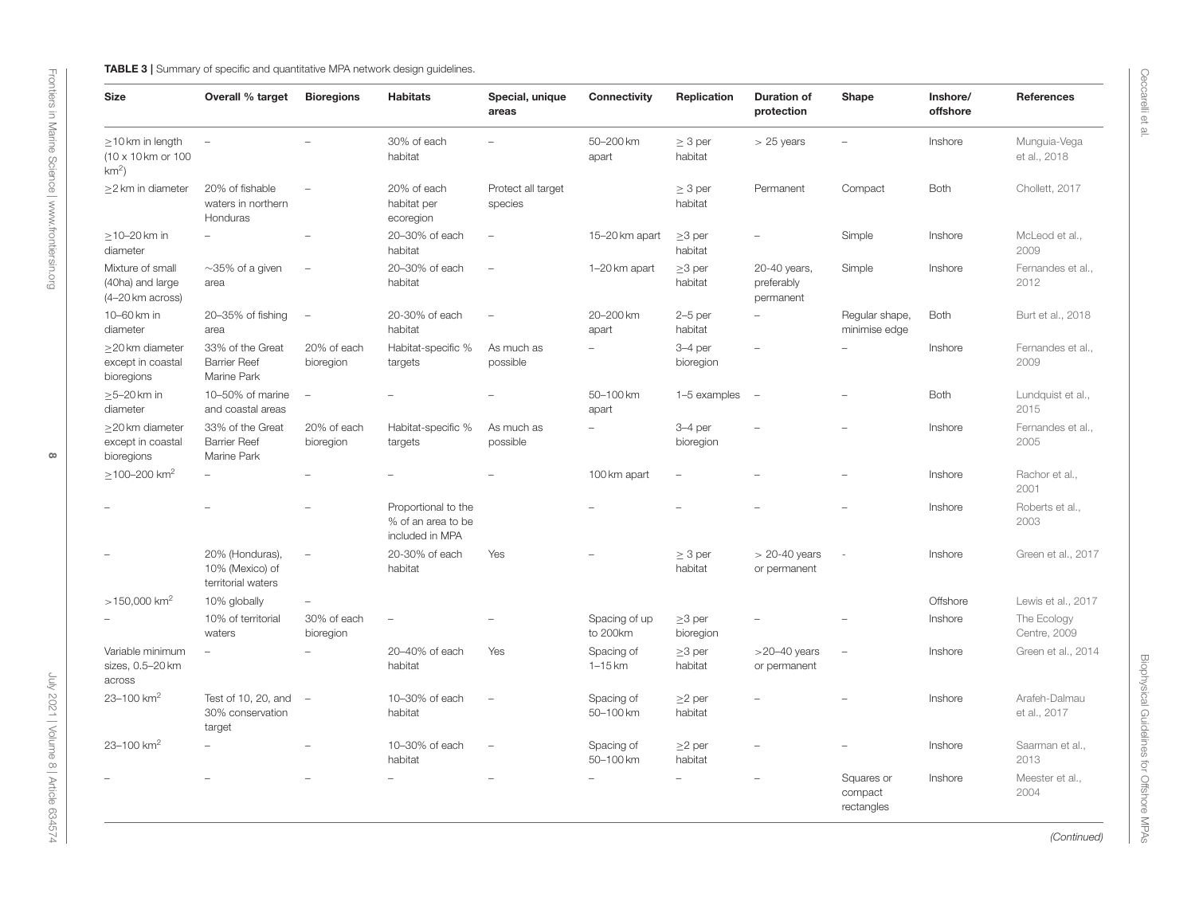| <b>Size</b>                                              | Overall % target                                         | <b>Bioregions</b>        | <b>Habitats</b>                                              | Special, unique<br>areas      | Connectivity              | Replication               | <b>Duration of</b><br>protection        | Shape                               | Inshore/<br>offshore | References                    |
|----------------------------------------------------------|----------------------------------------------------------|--------------------------|--------------------------------------------------------------|-------------------------------|---------------------------|---------------------------|-----------------------------------------|-------------------------------------|----------------------|-------------------------------|
| $\geq$ 10 km in length<br>(10 x 10 km or 100<br>$km2$ )  | $\overline{\phantom{a}}$                                 |                          | 30% of each<br>habitat                                       |                               | 50-200 km<br>apart        | $\geq 3$ per<br>habitat   | $> 25$ years                            | $\sim$                              | Inshore              | Munguia-Vega<br>et al., 2018  |
| >2 km in diameter                                        | 20% of fishable<br>waters in northern<br>Honduras        |                          | 20% of each<br>habitat per<br>ecoregion                      | Protect all target<br>species |                           | $\geq 3$ per<br>habitat   | Permanent                               | Compact                             | Both                 | Chollett, 2017                |
| $\geq$ 10-20 km in<br>diameter                           | $\overline{\phantom{a}}$                                 | Ē,                       | 20-30% of each<br>habitat                                    | $\equiv$                      | 15-20 km apart            | $\geq$ 3 per<br>habitat   | $\overline{\phantom{0}}$                | Simple                              | Inshore              | McLeod et al.,<br>2009        |
| Mixture of small<br>(40ha) and large<br>(4-20 km across) | $\sim$ 35% of a given<br>area                            | $\overline{\phantom{a}}$ | 20-30% of each<br>habitat                                    | $\overline{\phantom{m}}$      | 1-20 km apart             | $\geq$ 3 per<br>habitat   | 20-40 years,<br>preferably<br>permanent | Simple                              | Inshore              | Fernandes et al.,<br>2012     |
| 10-60 km in<br>diameter                                  | 20-35% of fishing<br>area                                | $\overline{\phantom{a}}$ | 20-30% of each<br>habitat                                    | $\qquad \qquad -$             | 20-200 km<br>apart        | $2-5$ per<br>habitat      | $\overline{\phantom{a}}$                | Regular shape,<br>minimise edge     | Both                 | Burt et al., 2018             |
| $\geq$ 20 km diameter<br>except in coastal<br>bioregions | 33% of the Great<br><b>Barrier Reef</b><br>Marine Park   | 20% of each<br>bioregion | Habitat-specific %<br>targets                                | As much as<br>possible        | $\overline{a}$            | $3-4$ per<br>bioregion    |                                         | $\sim$                              | Inshore              | Fernandes et al.,<br>2009     |
| $\geq$ 5-20 km in<br>diameter                            | 10-50% of marine<br>and coastal areas                    | $\overline{\phantom{a}}$ |                                                              | $\equiv$                      | 50-100 km<br>apart        | 1-5 examples              | $\sim$                                  |                                     | Both                 | Lundquist et al.,<br>2015     |
| $\geq$ 20 km diameter<br>except in coastal<br>bioregions | 33% of the Great<br><b>Barrier Reef</b><br>Marine Park   | 20% of each<br>bioregion | Habitat-specific %<br>targets                                | As much as<br>possible        | $\overline{\phantom{a}}$  | $3-4$ per<br>bioregion    |                                         |                                     | Inshore              | Fernandes et al.,<br>2005     |
| $>$ 100-200 km <sup>2</sup>                              | $\overline{\phantom{a}}$                                 |                          |                                                              |                               | 100 km apart              | $\overline{\phantom{a}}$  |                                         |                                     | Inshore              | Rachor et al.,<br>2001        |
|                                                          |                                                          | Ē,                       | Proportional to the<br>% of an area to be<br>included in MPA |                               |                           |                           |                                         | $\overline{\phantom{a}}$            | Inshore              | Roberts et al.,<br>2003       |
|                                                          | 20% (Honduras),<br>10% (Mexico) of<br>territorial waters | $\overline{\phantom{a}}$ | 20-30% of each<br>habitat                                    | Yes                           |                           | $\geq$ 3 per<br>habitat   | $> 20-40$ years<br>or permanent         | ÷.                                  | Inshore              | Green et al., 2017            |
| $>150,000$ km <sup>2</sup>                               | 10% globally                                             | $\overline{\phantom{a}}$ |                                                              |                               |                           |                           |                                         |                                     | Offshore             | Lewis et al., 2017            |
|                                                          | 10% of territorial<br>waters                             | 30% of each<br>bioregion | $\overline{\phantom{0}}$                                     | Ē,                            | Spacing of up<br>to 200km | $\geq$ 3 per<br>bioregion | $\equiv$                                |                                     | Inshore              | The Ecology<br>Centre, 2009   |
| Variable minimum<br>sizes, 0.5-20 km<br>across           | $\overline{\phantom{a}}$                                 | $\equiv$                 | 20-40% of each<br>habitat                                    | Yes                           | Spacing of<br>$1-15$ km   | $\geq$ 3 per<br>habitat   | $>$ 20–40 years<br>or permanent         | $\overline{\phantom{a}}$            | Inshore              | Green et al., 2014            |
| 23-100 $km^2$                                            | Test of 10, 20, and<br>30% conservation<br>target        | $\overline{\phantom{a}}$ | 10-30% of each<br>habitat                                    | $\overline{\phantom{a}}$      | Spacing of<br>50-100 km   | $\geq$ 2 per<br>habitat   |                                         |                                     | Inshore              | Arafeh-Dalmau<br>et al., 2017 |
| 23-100 km <sup>2</sup>                                   |                                                          |                          | 10-30% of each<br>habitat                                    |                               | Spacing of<br>50-100 km   | $\geq$ 2 per<br>habitat   |                                         |                                     | Inshore              | Saarman et al.,<br>2013       |
|                                                          |                                                          |                          | L.                                                           |                               | $\overline{\phantom{a}}$  | $\overline{\phantom{a}}$  |                                         | Squares or<br>compact<br>rectangles | Inshore              | Meester et al.,<br>2004       |

<span id="page-7-0"></span>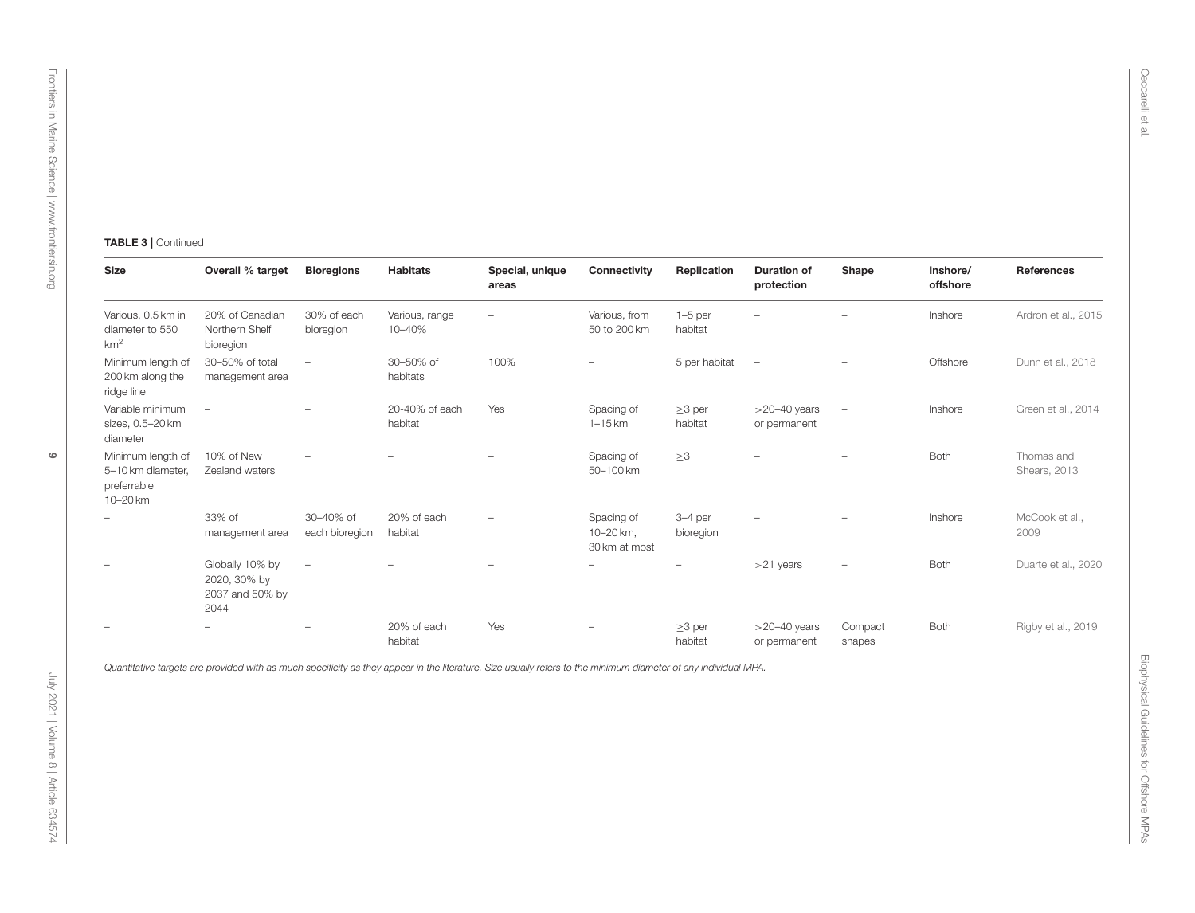| <b>Size</b>                                                       | Overall % target                                           | <b>Bioregions</b>           | <b>Habitats</b>           | Special, unique<br>areas | Connectivity                             | Replication              | <b>Duration of</b><br>protection    | Shape             | Inshore/<br>offshore | References                 |
|-------------------------------------------------------------------|------------------------------------------------------------|-----------------------------|---------------------------|--------------------------|------------------------------------------|--------------------------|-------------------------------------|-------------------|----------------------|----------------------------|
| Various, 0.5 km in<br>diameter to 550<br>km <sup>2</sup>          | 20% of Canadian<br>Northern Shelf<br>bioregion             | 30% of each<br>bioregion    | Various, range<br>10-40%  | $\overline{\phantom{a}}$ | Various, from<br>50 to 200 km            | $1-5$ per<br>habitat     | ÷,                                  | $\qquad \qquad -$ | Inshore              | Ardron et al., 2015        |
| Minimum length of<br>200 km along the<br>ridge line               | 30-50% of total<br>management area                         | $\overline{\phantom{a}}$    | 30-50% of<br>habitats     | 100%                     | $\overline{\phantom{0}}$                 | 5 per habitat            | $\overline{\phantom{a}}$            |                   | Offshore             | Dunn et al., 2018          |
| Variable minimum<br>sizes, 0.5-20 km<br>diameter                  | $\overline{\phantom{a}}$                                   |                             | 20-40% of each<br>habitat | Yes                      | Spacing of<br>$1-15$ km                  | $\geq$ 3 per<br>habitat  | $>$ 20 $-$ 40 years<br>or permanent | $\qquad \qquad -$ | Inshore              | Green et al., 2014         |
| Minimum length of<br>5-10 km diameter,<br>preferrable<br>10-20 km | 10% of New<br>Zealand waters                               |                             |                           | ÷,                       | Spacing of<br>50-100 km                  | $\geq 3$                 |                                     |                   | Both                 | Thomas and<br>Shears, 2013 |
|                                                                   | 33% of<br>management area                                  | 30-40% of<br>each bioregion | 20% of each<br>habitat    |                          | Spacing of<br>10-20 km,<br>30 km at most | 3-4 per<br>bioregion     |                                     |                   | Inshore              | McCook et al.,<br>2009     |
|                                                                   | Globally 10% by<br>2020, 30% by<br>2037 and 50% by<br>2044 | $\overline{\phantom{a}}$    |                           | -                        | $\overline{\phantom{a}}$                 | $\overline{\phantom{a}}$ | $>21$ years                         |                   | Both                 | Duarte et al., 2020        |
|                                                                   | $\overline{\phantom{0}}$                                   |                             | 20% of each<br>habitat    | Yes                      |                                          | $\geq$ 3 per<br>habitat  | $>20-40$ years<br>or permanent      | Compact<br>shapes | Both                 | Rigby et al., 2019         |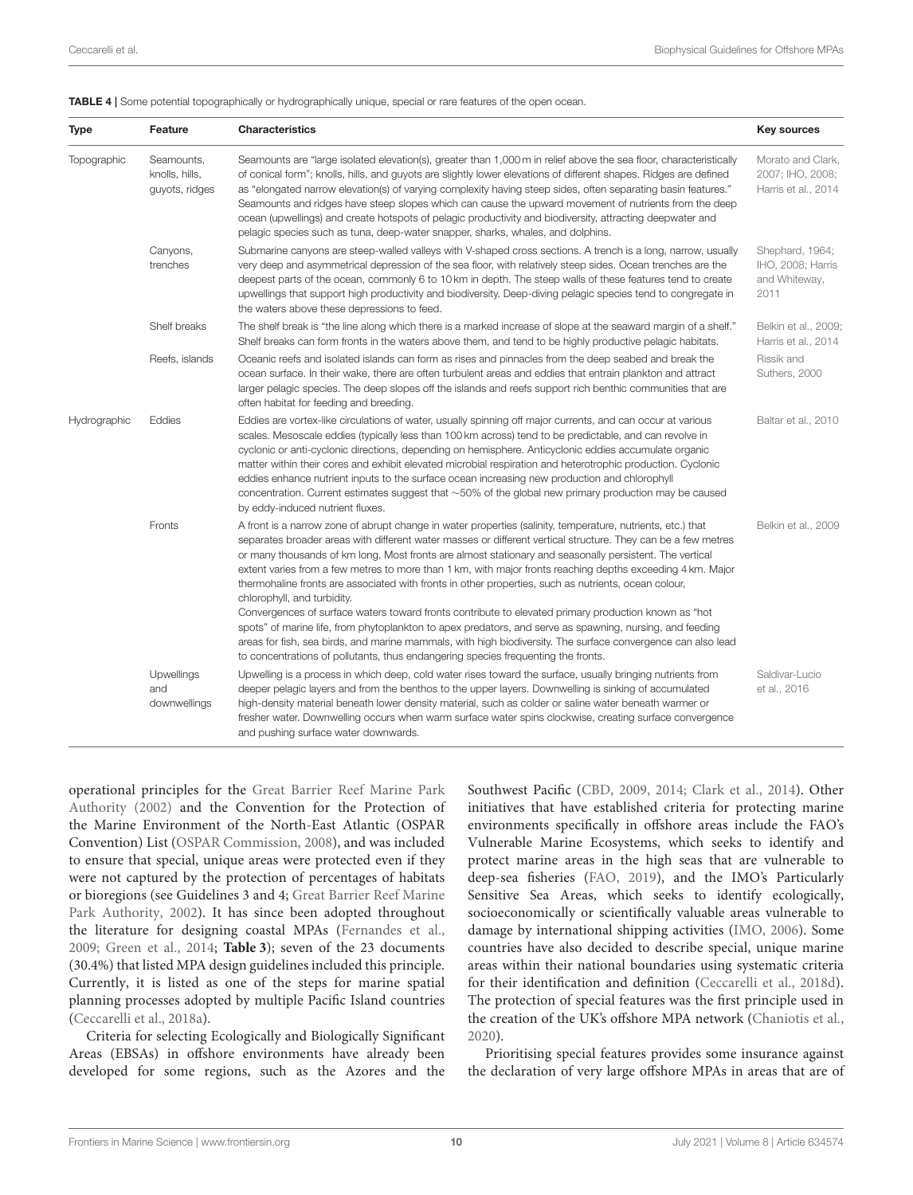<span id="page-9-0"></span>

| Type         | Feature                                        | <b>Characteristics</b>                                                                                                                                                                                                                                                                                                                                                                                                                                                                                                                                                                                                                                                                                                                                                                                                                                                                                                                                                                                                | <b>Key sources</b>                                            |
|--------------|------------------------------------------------|-----------------------------------------------------------------------------------------------------------------------------------------------------------------------------------------------------------------------------------------------------------------------------------------------------------------------------------------------------------------------------------------------------------------------------------------------------------------------------------------------------------------------------------------------------------------------------------------------------------------------------------------------------------------------------------------------------------------------------------------------------------------------------------------------------------------------------------------------------------------------------------------------------------------------------------------------------------------------------------------------------------------------|---------------------------------------------------------------|
| Topographic  | Seamounts,<br>knolls, hills,<br>guyots, ridges | Seamounts are "large isolated elevation(s), greater than 1,000 m in relief above the sea floor, characteristically<br>of conical form"; knolls, hills, and guyots are slightly lower elevations of different shapes. Ridges are defined<br>as "elongated narrow elevation(s) of varying complexity having steep sides, often separating basin features."<br>Seamounts and ridges have steep slopes which can cause the upward movement of nutrients from the deep<br>ocean (upwellings) and create hotspots of pelagic productivity and biodiversity, attracting deepwater and<br>pelagic species such as tuna, deep-water snapper, sharks, whales, and dolphins.                                                                                                                                                                                                                                                                                                                                                     | Morato and Clark,<br>2007; IHO, 2008;<br>Harris et al., 2014  |
|              | Canyons,<br>trenches                           | Submarine canyons are steep-walled valleys with V-shaped cross sections. A trench is a long, narrow, usually<br>very deep and asymmetrical depression of the sea floor, with relatively steep sides. Ocean trenches are the<br>deepest parts of the ocean, commonly 6 to 10 km in depth. The steep walls of these features tend to create<br>upwellings that support high productivity and biodiversity. Deep-diving pelagic species tend to congregate in<br>the waters above these depressions to feed.                                                                                                                                                                                                                                                                                                                                                                                                                                                                                                             | Shephard, 1964;<br>IHO, 2008; Harris<br>and Whiteway,<br>2011 |
|              | Shelf breaks                                   | The shelf break is "the line along which there is a marked increase of slope at the seaward margin of a shelf."<br>Shelf breaks can form fronts in the waters above them, and tend to be highly productive pelagic habitats.                                                                                                                                                                                                                                                                                                                                                                                                                                                                                                                                                                                                                                                                                                                                                                                          | Belkin et al., 2009;<br>Harris et al., 2014                   |
|              | Reefs, islands                                 | Oceanic reefs and isolated islands can form as rises and pinnacles from the deep seabed and break the<br>ocean surface. In their wake, there are often turbulent areas and eddies that entrain plankton and attract<br>larger pelagic species. The deep slopes off the islands and reefs support rich benthic communities that are<br>often habitat for feeding and breeding.                                                                                                                                                                                                                                                                                                                                                                                                                                                                                                                                                                                                                                         | Rissik and<br>Suthers, 2000                                   |
| Hydrographic | Eddies                                         | Eddies are vortex-like circulations of water, usually spinning off major currents, and can occur at various<br>scales. Mesoscale eddies (typically less than 100 km across) tend to be predictable, and can revolve in<br>cyclonic or anti-cyclonic directions, depending on hemisphere. Anticyclonic eddies accumulate organic<br>matter within their cores and exhibit elevated microbial respiration and heterotrophic production. Cyclonic<br>eddies enhance nutrient inputs to the surface ocean increasing new production and chlorophyll<br>concentration. Current estimates suggest that $\sim$ 50% of the global new primary production may be caused<br>by eddy-induced nutrient fluxes.                                                                                                                                                                                                                                                                                                                    | Baltar et al., 2010                                           |
|              | Fronts                                         | A front is a narrow zone of abrupt change in water properties (salinity, temperature, nutrients, etc.) that<br>separates broader areas with different water masses or different vertical structure. They can be a few metres<br>or many thousands of km long. Most fronts are almost stationary and seasonally persistent. The vertical<br>extent varies from a few metres to more than 1 km, with major fronts reaching depths exceeding 4 km. Major<br>thermohaline fronts are associated with fronts in other properties, such as nutrients, ocean colour,<br>chlorophyll, and turbidity.<br>Convergences of surface waters toward fronts contribute to elevated primary production known as "hot<br>spots" of marine life, from phytoplankton to apex predators, and serve as spawning, nursing, and feeding<br>areas for fish, sea birds, and marine mammals, with high biodiversity. The surface convergence can also lead<br>to concentrations of pollutants, thus endangering species frequenting the fronts. | Belkin et al., 2009                                           |
|              | Upwellings<br>and<br>downwellings              | Upwelling is a process in which deep, cold water rises toward the surface, usually bringing nutrients from<br>deeper pelagic layers and from the benthos to the upper layers. Downwelling is sinking of accumulated<br>high-density material beneath lower density material, such as colder or saline water beneath warmer or<br>fresher water. Downwelling occurs when warm surface water spins clockwise, creating surface convergence<br>and pushing surface water downwards.                                                                                                                                                                                                                                                                                                                                                                                                                                                                                                                                      | Saldivar-Lucio<br>et al., 2016                                |

operational principles for the Great Barrier Reef Marine Park Authority [\(2002\)](#page-22-24) and the Convention for the Protection of the Marine Environment of the North-East Atlantic (OSPAR Convention) List [\(OSPAR Commission, 2008\)](#page-25-28), and was included to ensure that special, unique areas were protected even if they were not captured by the protection of percentages of habitats or bioregions (see Guidelines 3 and 4; Great Barrier Reef Marine Park Authority, [2002\)](#page-22-24). It has since been adopted throughout the literature for designing coastal MPAs [\(Fernandes et al.,](#page-21-23) [2009;](#page-21-23) [Green et al., 2014;](#page-22-2) **[Table 3](#page-7-0)**); seven of the 23 documents (30.4%) that listed MPA design guidelines included this principle. Currently, it is listed as one of the steps for marine spatial planning processes adopted by multiple Pacific Island countries [\(Ceccarelli et al., 2018a\)](#page-20-27).

Criteria for selecting Ecologically and Biologically Significant Areas (EBSAs) in offshore environments have already been developed for some regions, such as the Azores and the Southwest Pacific [\(CBD, 2009,](#page-20-28) [2014;](#page-20-29) [Clark et al., 2014\)](#page-21-16). Other initiatives that have established criteria for protecting marine environments specifically in offshore areas include the FAO's Vulnerable Marine Ecosystems, which seeks to identify and protect marine areas in the high seas that are vulnerable to deep-sea fisheries [\(FAO, 2019\)](#page-21-24), and the IMO's Particularly Sensitive Sea Areas, which seeks to identify ecologically, socioeconomically or scientifically valuable areas vulnerable to damage by international shipping activities [\(IMO, 2006\)](#page-23-25). Some countries have also decided to describe special, unique marine areas within their national boundaries using systematic criteria for their identification and definition [\(Ceccarelli et al., 2018d\)](#page-20-17). The protection of special features was the first principle used in the creation of the UK's offshore MPA network [\(Chaniotis et al.,](#page-20-9) [2020\)](#page-20-9).

Prioritising special features provides some insurance against the declaration of very large offshore MPAs in areas that are of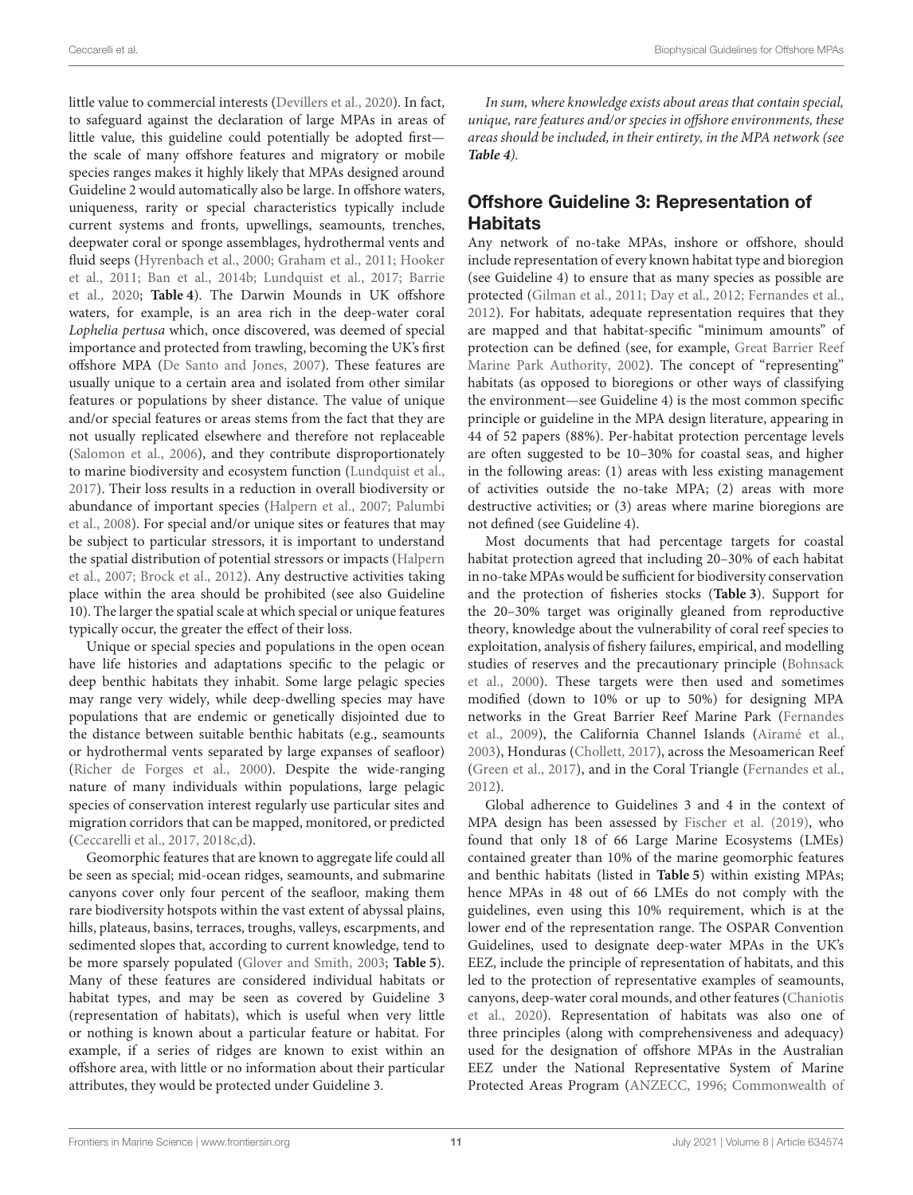little value to commercial interests [\(Devillers et al., 2020\)](#page-21-8). In fact, to safeguard against the declaration of large MPAs in areas of little value, this guideline could potentially be adopted first the scale of many offshore features and migratory or mobile species ranges makes it highly likely that MPAs designed around Guideline 2 would automatically also be large. In offshore waters, uniqueness, rarity or special characteristics typically include current systems and fronts, upwellings, seamounts, trenches, deepwater coral or sponge assemblages, hydrothermal vents and fluid seeps [\(Hyrenbach et al., 2000;](#page-23-12) [Graham et al., 2011;](#page-22-0) Hooker et al., [2011;](#page-23-11) [Ban et al., 2014b;](#page-20-10) [Lundquist et al., 2017;](#page-24-14) Barrie et al., [2020;](#page-20-30) **[Table 4](#page-9-0)**). The Darwin Mounds in UK offshore waters, for example, is an area rich in the deep-water coral Lophelia pertusa which, once discovered, was deemed of special importance and protected from trawling, becoming the UK's first offshore MPA [\(De Santo and Jones, 2007\)](#page-21-15). These features are usually unique to a certain area and isolated from other similar features or populations by sheer distance. The value of unique and/or special features or areas stems from the fact that they are not usually replicated elsewhere and therefore not replaceable [\(Salomon et al., 2006\)](#page-26-21), and they contribute disproportionately to marine biodiversity and ecosystem function [\(Lundquist et al.,](#page-24-14) [2017\)](#page-24-14). Their loss results in a reduction in overall biodiversity or abundance of important species [\(Halpern et al., 2007;](#page-22-25) Palumbi et al., [2008\)](#page-25-29). For special and/or unique sites or features that may be subject to particular stressors, it is important to understand the spatial distribution of potential stressors or impacts (Halpern et al., [2007;](#page-22-25) [Brock et al., 2012\)](#page-20-21). Any destructive activities taking place within the area should be prohibited (see also Guideline 10). The larger the spatial scale at which special or unique features typically occur, the greater the effect of their loss.

Unique or special species and populations in the open ocean have life histories and adaptations specific to the pelagic or deep benthic habitats they inhabit. Some large pelagic species may range very widely, while deep-dwelling species may have populations that are endemic or genetically disjointed due to the distance between suitable benthic habitats (e.g., seamounts or hydrothermal vents separated by large expanses of seafloor) [\(Richer de Forges et al., 2000\)](#page-25-30). Despite the wide-ranging nature of many individuals within populations, large pelagic species of conservation interest regularly use particular sites and migration corridors that can be mapped, monitored, or predicted [\(Ceccarelli et al., 2017,](#page-20-15) [2018c](#page-20-16)[,d\)](#page-20-17).

Geomorphic features that are known to aggregate life could all be seen as special; mid-ocean ridges, seamounts, and submarine canyons cover only four percent of the seafloor, making them rare biodiversity hotspots within the vast extent of abyssal plains, hills, plateaus, basins, terraces, troughs, valleys, escarpments, and sedimented slopes that, according to current knowledge, tend to be more sparsely populated [\(Glover and Smith, 2003;](#page-22-4) **[Table 5](#page-11-0)**). Many of these features are considered individual habitats or habitat types, and may be seen as covered by Guideline 3 (representation of habitats), which is useful when very little or nothing is known about a particular feature or habitat. For example, if a series of ridges are known to exist within an offshore area, with little or no information about their particular attributes, they would be protected under Guideline 3.

In sum, where knowledge exists about areas that contain special, unique, rare features and/or species in offshore environments, these areas should be included, in their entirety, in the MPA network (see **[Table 4](#page-9-0)**).

### Offshore Guideline 3: Representation of **Habitats**

Any network of no-take MPAs, inshore or offshore, should include representation of every known habitat type and bioregion (see Guideline 4) to ensure that as many species as possible are protected [\(Gilman et al., 2011;](#page-22-3) [Day et al., 2012;](#page-21-25) [Fernandes et al.,](#page-22-17) [2012\)](#page-22-17). For habitats, adequate representation requires that they are mapped and that habitat-specific "minimum amounts" of protection can be defined (see, for example, Great Barrier Reef Marine Park Authority, [2002\)](#page-22-24). The concept of "representing" habitats (as opposed to bioregions or other ways of classifying the environment—see Guideline 4) is the most common specific principle or guideline in the MPA design literature, appearing in 44 of 52 papers (88%). Per-habitat protection percentage levels are often suggested to be 10–30% for coastal seas, and higher in the following areas: (1) areas with less existing management of activities outside the no-take MPA; (2) areas with more destructive activities; or (3) areas where marine bioregions are not defined (see Guideline 4).

Most documents that had percentage targets for coastal habitat protection agreed that including 20–30% of each habitat in no-take MPAs would be sufficient for biodiversity conservation and the protection of fisheries stocks (**[Table 3](#page-7-0)**). Support for the 20–30% target was originally gleaned from reproductive theory, knowledge about the vulnerability of coral reef species to exploitation, analysis of fishery failures, empirical, and modelling studies of reserves and the precautionary principle (Bohnsack et al., [2000\)](#page-20-31). These targets were then used and sometimes modified (down to 10% or up to 50%) for designing MPA networks in the Great Barrier Reef Marine Park (Fernandes et al., [2009\)](#page-21-23), the California Channel Islands [\(Airamé et al.,](#page-19-9) [2003\)](#page-19-9), Honduras [\(Chollett, 2017\)](#page-21-26), across the Mesoamerican Reef [\(Green et al., 2017\)](#page-22-26), and in the Coral Triangle [\(Fernandes et al.,](#page-22-17) [2012\)](#page-22-17).

Global adherence to Guidelines 3 and 4 in the context of MPA design has been assessed by [Fischer et al. \(2019\)](#page-22-27), who found that only 18 of 66 Large Marine Ecosystems (LMEs) contained greater than 10% of the marine geomorphic features and benthic habitats (listed in **[Table 5](#page-11-0)**) within existing MPAs; hence MPAs in 48 out of 66 LMEs do not comply with the guidelines, even using this 10% requirement, which is at the lower end of the representation range. The OSPAR Convention Guidelines, used to designate deep-water MPAs in the UK's EEZ, include the principle of representation of habitats, and this led to the protection of representative examples of seamounts, canyons, deep-water coral mounds, and other features (Chaniotis et al., [2020\)](#page-20-9). Representation of habitats was also one of three principles (along with comprehensiveness and adequacy) used for the designation of offshore MPAs in the Australian EEZ under the National Representative System of Marine Protected Areas Program [\(ANZECC, 1996;](#page-19-10) Commonwealth of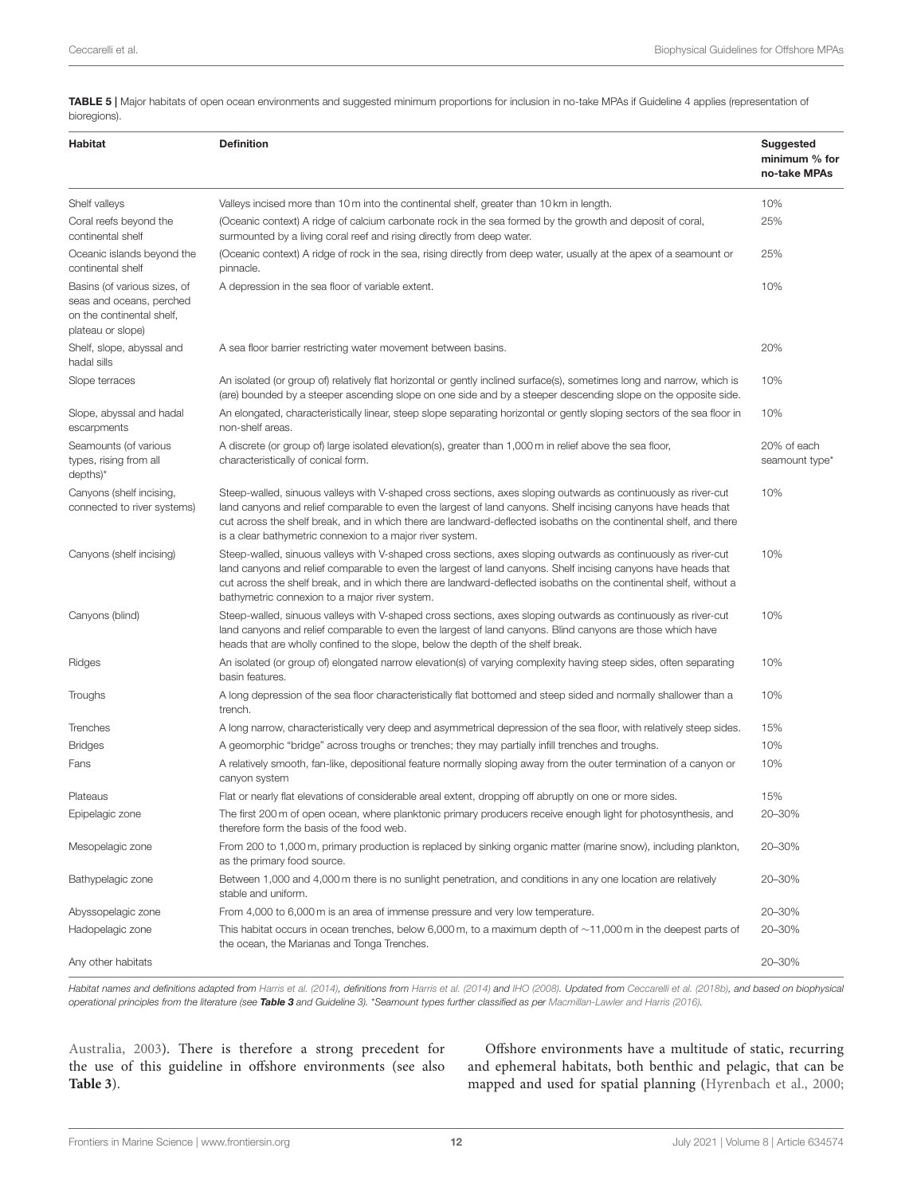<span id="page-11-0"></span>TABLE 5 | Major habitats of open ocean environments and suggested minimum proportions for inclusion in no-take MPAs if Guideline 4 applies (representation of bioregions).

| Habitat                                                                                                    | <b>Definition</b>                                                                                                                                                                                                                                                                                                                                                                                                   | Suggested<br>minimum % for<br>no-take MPAs |
|------------------------------------------------------------------------------------------------------------|---------------------------------------------------------------------------------------------------------------------------------------------------------------------------------------------------------------------------------------------------------------------------------------------------------------------------------------------------------------------------------------------------------------------|--------------------------------------------|
| Shelf valleys                                                                                              | Valleys incised more than 10 m into the continental shelf, greater than 10 km in length.                                                                                                                                                                                                                                                                                                                            | 10%                                        |
| Coral reefs beyond the<br>continental shelf                                                                | (Oceanic context) A ridge of calcium carbonate rock in the sea formed by the growth and deposit of coral,<br>surmounted by a living coral reef and rising directly from deep water.                                                                                                                                                                                                                                 | 25%                                        |
| Oceanic islands beyond the<br>continental shelf                                                            | (Oceanic context) A ridge of rock in the sea, rising directly from deep water, usually at the apex of a seamount or<br>pinnacle.                                                                                                                                                                                                                                                                                    | 25%                                        |
| Basins (of various sizes, of<br>seas and oceans, perched<br>on the continental shelf.<br>plateau or slope) | A depression in the sea floor of variable extent.                                                                                                                                                                                                                                                                                                                                                                   | 10%                                        |
| Shelf, slope, abyssal and<br>hadal sills                                                                   | A sea floor barrier restricting water movement between basins.                                                                                                                                                                                                                                                                                                                                                      | 20%                                        |
| Slope terraces                                                                                             | An isolated (or group of) relatively flat horizontal or gently inclined surface(s), sometimes long and narrow, which is<br>(are) bounded by a steeper ascending slope on one side and by a steeper descending slope on the opposite side.                                                                                                                                                                           | 10%                                        |
| Slope, abyssal and hadal<br>escarpments                                                                    | An elongated, characteristically linear, steep slope separating horizontal or gently sloping sectors of the sea floor in<br>non-shelf areas.                                                                                                                                                                                                                                                                        | 10%                                        |
| Seamounts (of various<br>types, rising from all<br>$depths$ <sup>*</sup>                                   | A discrete (or group of) large isolated elevation(s), greater than 1,000 m in relief above the sea floor,<br>characteristically of conical form.                                                                                                                                                                                                                                                                    | 20% of each<br>seamount type*              |
| Canyons (shelf incising,<br>connected to river systems)                                                    | Steep-walled, sinuous valleys with V-shaped cross sections, axes sloping outwards as continuously as river-cut<br>land canyons and relief comparable to even the largest of land canyons. Shelf incising canyons have heads that<br>cut across the shelf break, and in which there are landward-deflected isobaths on the continental shelf, and there<br>is a clear bathymetric connexion to a major river system. | 10%                                        |
| Canyons (shelf incising)                                                                                   | Steep-walled, sinuous valleys with V-shaped cross sections, axes sloping outwards as continuously as river-cut<br>land canyons and relief comparable to even the largest of land canyons. Shelf incising canyons have heads that<br>cut across the shelf break, and in which there are landward-deflected isobaths on the continental shelf, without a<br>bathymetric connexion to a major river system.            | 10%                                        |
| Canyons (blind)                                                                                            | Steep-walled, sinuous valleys with V-shaped cross sections, axes sloping outwards as continuously as river-cut<br>land canyons and relief comparable to even the largest of land canyons. Blind canyons are those which have<br>heads that are wholly confined to the slope, below the depth of the shelf break.                                                                                                    | 10%                                        |
| Ridges                                                                                                     | An isolated (or group of) elongated narrow elevation(s) of varying complexity having steep sides, often separating<br>basin features.                                                                                                                                                                                                                                                                               | 10%                                        |
| Troughs                                                                                                    | A long depression of the sea floor characteristically flat bottomed and steep sided and normally shallower than a<br>trench.                                                                                                                                                                                                                                                                                        | 10%                                        |
| Trenches                                                                                                   | A long narrow, characteristically very deep and asymmetrical depression of the sea floor, with relatively steep sides.                                                                                                                                                                                                                                                                                              | 15%                                        |
| <b>Bridges</b>                                                                                             | A geomorphic "bridge" across troughs or trenches; they may partially infill trenches and troughs.                                                                                                                                                                                                                                                                                                                   | 10%                                        |
| Fans                                                                                                       | A relatively smooth, fan-like, depositional feature normally sloping away from the outer termination of a canyon or<br>canyon system                                                                                                                                                                                                                                                                                | 10%                                        |
| Plateaus                                                                                                   | Flat or nearly flat elevations of considerable areal extent, dropping off abruptly on one or more sides.                                                                                                                                                                                                                                                                                                            | 15%                                        |
| Epipelagic zone                                                                                            | The first 200 m of open ocean, where planktonic primary producers receive enough light for photosynthesis, and<br>therefore form the basis of the food web.                                                                                                                                                                                                                                                         | 20-30%                                     |
| Mesopelagic zone                                                                                           | From 200 to 1,000 m, primary production is replaced by sinking organic matter (marine snow), including plankton,<br>as the primary food source.                                                                                                                                                                                                                                                                     | 20-30%                                     |
| Bathypelagic zone                                                                                          | Between 1,000 and 4,000 m there is no sunlight penetration, and conditions in any one location are relatively<br>stable and uniform.                                                                                                                                                                                                                                                                                | 20-30%                                     |
| Abyssopelagic zone                                                                                         | From 4,000 to 6,000 m is an area of immense pressure and very low temperature.                                                                                                                                                                                                                                                                                                                                      | 20-30%                                     |
| Hadopelagic zone                                                                                           | This habitat occurs in ocean trenches, below 6,000 m, to a maximum depth of $\sim$ 11,000 m in the deepest parts of<br>the ocean, the Marianas and Tonga Trenches.                                                                                                                                                                                                                                                  | 20-30%                                     |
| Any other habitats                                                                                         |                                                                                                                                                                                                                                                                                                                                                                                                                     | 20-30%                                     |

Habitat names and definitions adapted from [Harris et al. \(2014\)](#page-23-13), definitions from Harris et al. (2014) and [IHO \(2008\)](#page-23-23). Updated from [Ceccarelli et al. \(2018b\)](#page-20-32), and based on biophysical operational principles from the literature (see [Table 3](#page-7-0) and Guideline 3). \*[Seamount types further classified as per](#page-21-27) [Macmillan-Lawler and Harris \(2016\)](#page-24-28).

Australia, [2003\)](#page-21-27). There is therefore a strong precedent for the use of this guideline in offshore environments (see also **[Table 3](#page-7-0)**).

Offshore environments have a multitude of static, recurring and ephemeral habitats, both benthic and pelagic, that can be mapped and used for spatial planning [\(Hyrenbach et al., 2000;](#page-23-12)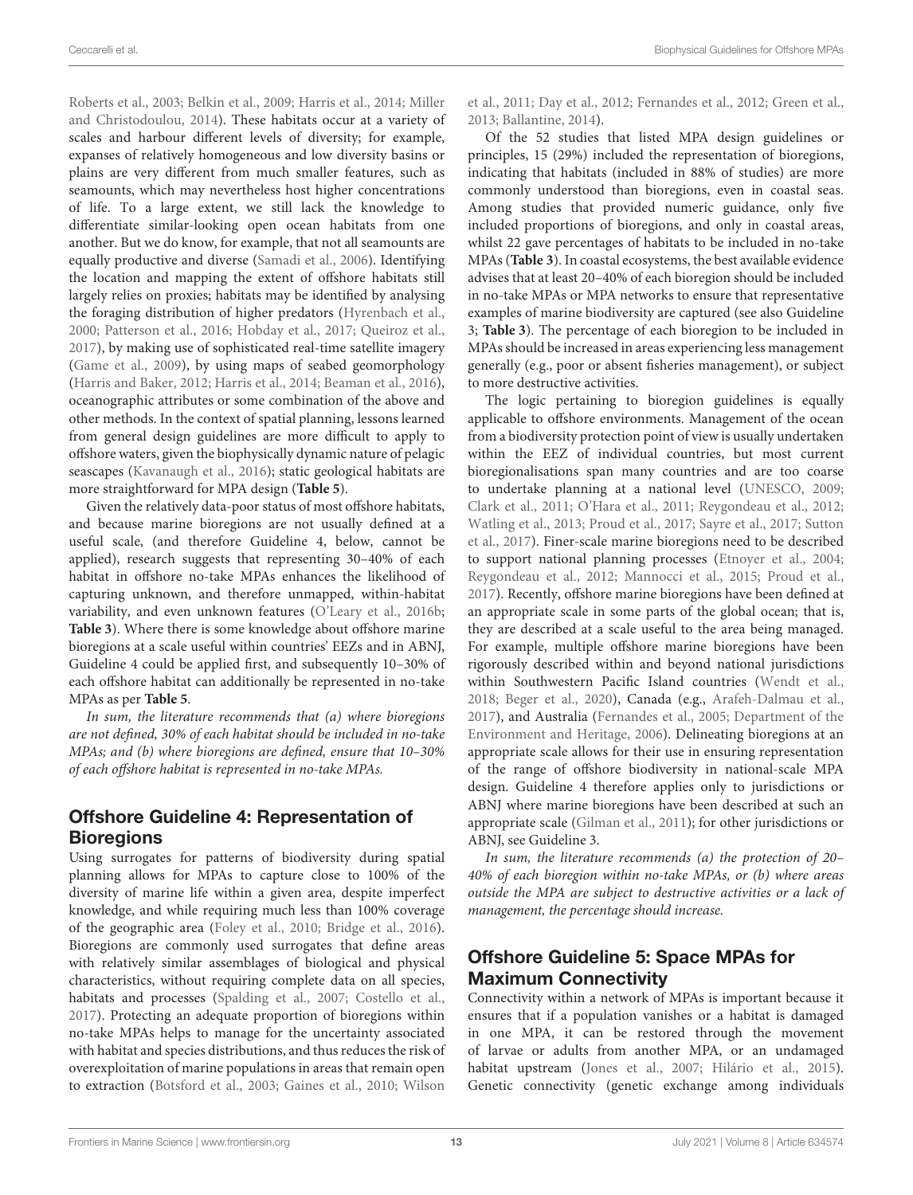[Roberts et al., 2003;](#page-25-31) [Belkin et al., 2009;](#page-20-18) [Harris et al., 2014;](#page-23-13) Miller and Christodoulou, [2014\)](#page-24-15). These habitats occur at a variety of scales and harbour different levels of diversity; for example, expanses of relatively homogeneous and low diversity basins or plains are very different from much smaller features, such as seamounts, which may nevertheless host higher concentrations of life. To a large extent, we still lack the knowledge to differentiate similar-looking open ocean habitats from one another. But we do know, for example, that not all seamounts are equally productive and diverse [\(Samadi et al., 2006\)](#page-26-28). Identifying the location and mapping the extent of offshore habitats still largely relies on proxies; habitats may be identified by analysing the foraging distribution of higher predators [\(Hyrenbach et al.,](#page-23-12) [2000;](#page-23-12) [Patterson et al., 2016;](#page-25-32) [Hobday et al., 2017;](#page-23-26) [Queiroz et](#page-25-33) al., [2017\)](#page-25-33), by making use of sophisticated real-time satellite imagery [\(Game et al., 2009\)](#page-22-28), by using maps of seabed geomorphology [\(Harris and Baker, 2012;](#page-22-29) [Harris et al., 2014;](#page-23-13) [Beaman et al., 2016\)](#page-20-33), oceanographic attributes or some combination of the above and other methods. In the context of spatial planning, lessons learned from general design guidelines are more difficult to apply to offshore waters, given the biophysically dynamic nature of pelagic seascapes [\(Kavanaugh et al., 2016\)](#page-23-27); static geological habitats are more straightforward for MPA design (**[Table 5](#page-11-0)**).

Given the relatively data-poor status of most offshore habitats, and because marine bioregions are not usually defin[ed at a](#page-27-7) useful scale, (and therefore Guideline 4, below, cannot be applied), research suggests that representing 30–40% of each habitat in offshore no-take MPAs enhances the likelihood of capturing unknown, and therefore unmapped, within-habitat variability, and even unknown features [\(O'Leary et al., 2016b;](#page-25-15) **[Table 3](#page-7-0)**). Where there is some knowledge about offshore marine bioregions at a scale useful within countries' EEZs and in ABNJ, Guideline 4 could be applied first, and subsequently 10–30% of each offshore habitat can additionally be represented in no-take MPAs as per **[Table 5](#page-11-0)**.

In sum, the literature recommends that (a) where bioregions are not defined, 30% of each habitat should be included in no-take MPAs; and (b) where bioregions are defined, ensure that 10–30% of each offshore habitat is represented in no-take MPAs.

#### Offshore Guideline 4: Representation of **Bioregions**

Using surrogates for patterns of biodiversity during spatial planning allows for MPAs to capture close to 100% of the diversity of marine life within a given area, despite imperfect knowledge, and while requiring much less than 100% coverage of the geographic area [\(Foley et al., 2010;](#page-22-30) [Bridge et al., 2016\)](#page-20-22). Bioregions are commonly used surrogates that define areas with relatively similar assemblages of biological and physical characteristics, without requiring complete data on all species, habitats and processes [\(Spalding et al., 2007;](#page-26-29) [Costello et al.,](#page-21-28) [2017\)](#page-21-28). Protecting an adequate proportion of bioregions within no-take MPAs helps to manage for the uncertainty associated with habitat and species distributions, and thus reduces the risk of overexploitation of marine populations in areas that remain open to extraction [\(Botsford et al., 2003;](#page-20-34) [Gaines et al., 2010;](#page-22-18) Wilson et al., [2011;](#page-27-7) [Day et al., 2012;](#page-21-25) [Fernandes et al., 2012;](#page-22-17) [Green et al.,](#page-22-1) [2013;](#page-22-1) [Ballantine, 2014\)](#page-20-35).

Of the 52 studies that listed MPA design guidelines or principles, 15 (29%) included the representation of bioregions, indicating that habitats (included in 88% of studies) are more commonly understood than bioregions, even in coastal seas. Among studies that provided numeric guidance, only five included proportions of bioregions, and only in coastal areas, whilst 22 gave percentages of habitats to be included in no-take MPAs (**[Table 3](#page-7-0)**). In coastal ecosystems, the best available evidence advises that at least 20–40% of each bioregion should be included in no-take MPAs or MPA networks to ensure that representative examples of marine biodiversity are captured (see also Guideline 3; **[Table 3](#page-7-0)**). The percentage of each bioregion to be included in MPAs should be increased in areas experiencing less management generally (e.g., poor or absent fisheries management), or subject to more destructive activities.

The logic pertaining to bioregion guidelines is equally applicable to offshore environments. Management of the ocean from a biodiversity protection point of view is usually undertaken within the EEZ of individual countries, but most current bioregionalisations span many countries and are too coarse to undertake planning at a national level [\(UNESCO, 2009;](#page-26-16) [Clark et al., 2011;](#page-21-17) [O'Hara et al., 2011;](#page-24-29) [Reygondeau et al., 2012;](#page-25-17) [Watling et al., 2013;](#page-26-30) [Proud et al., 2017;](#page-25-16) [Sayre et al., 2017;](#page-26-31) Sutton et al., [2017\)](#page-26-32). Finer-scale marine bioregions need to be described to support national planning processes [\(Etnoyer et al., 2004;](#page-21-29) [Reygondeau et al., 2012;](#page-25-17) [Mannocci et al., 2015;](#page-24-30) [Proud et al.,](#page-25-16) [2017\)](#page-25-16). Recently, offshore marine bioregions have been defined at an appropriate scale in some parts of the global ocean; that is, they are described at a scale useful to the area being managed. For example, multiple offshore marine bioregions have been rigorously described within and beyond national jurisdictions within Southwestern Pacific Island countries [\(Wendt et al.,](#page-27-8) [2018;](#page-27-8) [Beger et al., 2020\)](#page-20-3), Canada (e.g., [Arafeh-Dalmau et al.,](#page-19-11) [2017\)](#page-19-11), and Australia [\(Fernandes et al., 2005;](#page-22-31) Department of the Environment and Heritage, [2006\)](#page-21-30). Delineating bioregions at an appropriate scale allows for their use in ensuring representation of the range of offshore biodiversity in national-scale MPA design. Guideline 4 therefore applies only to jurisdictions or ABNJ where marine bioregions have been described at such an appropriate scale [\(Gilman et al., 2011\)](#page-22-3); for other jurisdictions or ABNJ, see Guideline 3.

In sum, the literature recommends (a) the protection of 20– 40% of each bioregion within no-take MPAs, or (b) where areas outside the MPA are subject to destructive activities or a lack of management, the percentage should increase.

#### Offshore Guideline 5: Space MPAs for Maximum Connectivity

Connectivity within a network of MPAs is important because it ensures that if a population vanishes or a habitat is damaged in one MPA, it can be restored through the movement of larvae or adults from another MPA, or an undamaged habitat upstream [\(Jones et al., 2007;](#page-23-20) [Hilário et al., 2015\)](#page-23-16). Genetic connectivity (genetic exchange among individuals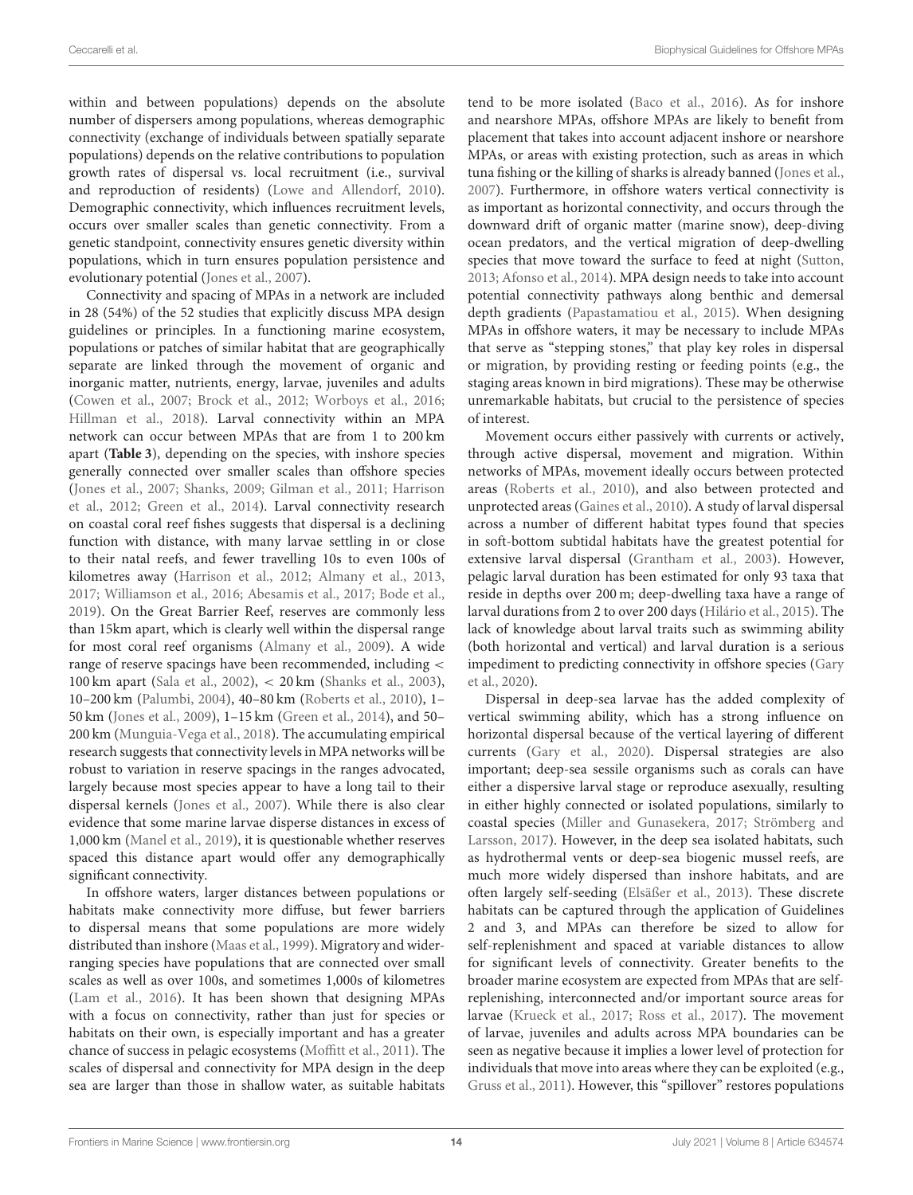within and between populations) depends on the absolute number of dispersers among populations, whereas demographic connectivity (exchange of individuals between spatially separate populations) depends on the relative contributions to population growth rates of dispersal vs. local recruitment (i.e., survival and reproduction of residents) [\(Lowe and Allendorf, 2010\)](#page-24-31). Demographic connectivity, which influences recruitment levels, occurs over smaller scales than genetic connectivity. From a genetic standpoint, connectivity ensures genetic diversity within populations, which in turn ensures population persistence and evolutionary potential [\(Jones et al., 2007\)](#page-23-20).

Connectivity and spacing of MPAs in a network are included in 28 (54%) of the 52 studies that explicitly discuss MPA design guidelines or principles. In a functioning marine ecosystem, populations or patches of similar habitat that are geographically separate are linked through the movement of organic and inorganic matter, nutrients, energy, larvae, juveniles and adults [\(Cowen et al., 2007;](#page-21-31) [Brock et al., 2012;](#page-20-21) [Worboys et al., 2016;](#page-27-9) [Hillman et al., 2018\)](#page-23-17). Larval connectivity within an MPA network can occur between MPAs that are from 1 to 200 km apart (**[Table 3](#page-7-0)**), depending on the species, with inshore species generally connected over smaller scales than offshore species [\(Jones et al., 2007;](#page-23-20) [Shanks, 2009;](#page-26-19) [Gilman et al., 2011;](#page-22-3) Harrison et al., [2012;](#page-23-21) [Green et al., 2014\)](#page-22-2). Larval connectivity research on coastal coral reef fishes suggests that dispersal is a declining function with distance, with many larvae settling in or close to their natal reefs, and fewer travelling 10s to even 100s of kilometres away [\(Harrison et al., 2012;](#page-23-21) [Almany et al., 2013,](#page-19-12) [2017;](#page-19-13) [Williamson et al., 2016;](#page-27-10) [Abesamis et al., 2017;](#page-19-14) [Bode et](#page-20-36) al., [2019\)](#page-20-36). On the Great Barrier Reef, reserves are commonly less than 15km apart, which is clearly well within the dispersal range for most coral reef organisms [\(Almany et al., 2009\)](#page-19-15). A wide range of reserve spacings have been recommended, including < 100 km apart [\(Sala et al., 2002\)](#page-26-33), < 20 km [\(Shanks et al., 2003\)](#page-26-34), 10–200 km [\(Palumbi, 2004\)](#page-25-6), 40–80 km [\(Roberts et al., 2010\)](#page-25-19), 1– 50 km [\(Jones et al., 2009\)](#page-23-28), 1–15 km [\(Green et al., 2014\)](#page-22-2), and 50– 200 km [\(Munguia-Vega et al., 2018\)](#page-24-32). The accumulating empirical research suggests that connectivity levels in MPA networks will be robust to variation in reserve spacings in the ranges advocated, largely because most species appear to have a long tail to their dispersal kernels [\(Jones et al., 2007\)](#page-23-20). While there is also clear evidence that some marine larvae disperse distances in excess of 1,000 km [\(Manel et al., 2019\)](#page-24-33), it is questionable whether reserves spaced this distance apart would offer any demographically significant connectivity.

In offshore waters, larger distances between populations or habitats make connectivity more diffuse, but fewer barriers to dispersal means that some populations are more widely distributed than inshore [\(Maas et al., 1999\)](#page-24-19). Migratory and widerranging species have populations that are connected over small scales as well as over 100s, and sometimes 1,000s of kilometres [\(Lam et al., 2016\)](#page-23-29). It has been shown that designing MPAs with a focus on connectivity, rather than just for species or habitats on their own, is especially important and has a greater chance of success in pelagic ecosystems [\(Moffitt et al., 2011\)](#page-24-34). The scales of dispersal and connectivity for MPA design in the deep sea are larger than those in shallow water, as suitable habitats tend to be more isolated [\(Baco et al., 2016\)](#page-20-37). As for inshore and nearshore MPAs, offshore MPAs are likely to benefit from placement that takes into account adjacent inshore or nearshore MPAs, or areas with existing protection, such as areas in which tuna fishing or the killing of sharks is already banned [\(Jones et al.,](#page-23-20) [2007\)](#page-23-20). Furthermore, in offshore waters vertical connectivity is as important as horizontal connectivity, and occurs through the downward drift of organic matter (marine snow), deep-diving ocean predators, and the vertical migration of deep-dwelling species that move toward the surface to feed at night [\(Sutton,](#page-26-35) [2013;](#page-26-35) [Afonso et al., 2014\)](#page-19-6). MPA design needs to take into account potential connectivity pathways along benthic and demersal depth gradients [\(Papastamatiou et al., 2015\)](#page-25-34). When designing MPAs in offshore waters, it may be necessary to include MPAs that serve as "stepping stones," that play key roles in dispersal or migration, by providing resting or feeding points (e.g., the staging areas known in bird migrations). These may be otherwise unremarkable habitats, but crucial to the persistence of species of interest.

Movement occurs either passively with currents or actively, through active dispersal, movement and migration. Within networks of MPAs, movement ideally occurs between protected areas [\(Roberts et al., 2010\)](#page-25-19), and also between protected and unprotected areas [\(Gaines et al., 2010\)](#page-22-18). A study of larval dispersal across a number of different habitat types found that species in soft-bottom subtidal habitats have the greatest potential for extensive larval dispersal [\(Grantham et al., 2003\)](#page-22-32). However, pelagic larval duration has been estimated for only 93 taxa that reside in depths over 200 m; deep-dwelling taxa have a range of larval durations from 2 to over 200 days [\(Hilário et al., 2015\)](#page-23-16). The lack of knowledge about larval traits such as swimming ability (both horizontal and vertical) and larval duration is a serious impediment to predicting connectivity in offshore species (Gary et al., [2020\)](#page-22-12).

Dispersal in deep-sea larvae has the added complexity of vertical swimming ability, which has a strong influence on horizontal dispersal because of the vertical layering of different currents [\(Gary et al., 2020\)](#page-22-12). Dispersal strategies are also important; deep-sea sessile organisms such as corals can have either a dispersive larval stage or reproduce asexually, resulting in either highly connected or isolated populations, similarly to coastal species [\(Miller and Gunasekera, 2017;](#page-24-35) Strömberg and Larsson, [2017\)](#page-26-36). However, in the deep sea isolated habitats, such as hydrothermal vents or deep-sea biogenic mussel reefs, are much more widely dispersed than inshore habitats, and are often largely self-seeding [\(Elsäßer et al., 2013\)](#page-21-32). These discrete habitats can be captured through the application of Guidelines 2 and 3, and MPAs can therefore be sized to allow for self-replenishment and spaced at variable distances to allow for significant levels of connectivity. Greater benefits to the broader marine ecosystem are expected from MPAs that are selfreplenishing, interconnected and/or important source areas for larvae [\(Krueck et al., 2017;](#page-23-30) [Ross et al., 2017\)](#page-25-35). The movement of larvae, juveniles and adults across MPA boundaries can be seen as negative because it implies a lower level of protection for individuals that move into areas where they can be exploited (e.g., [Gruss et al., 2011\)](#page-22-19). However, this "spillover" restores populations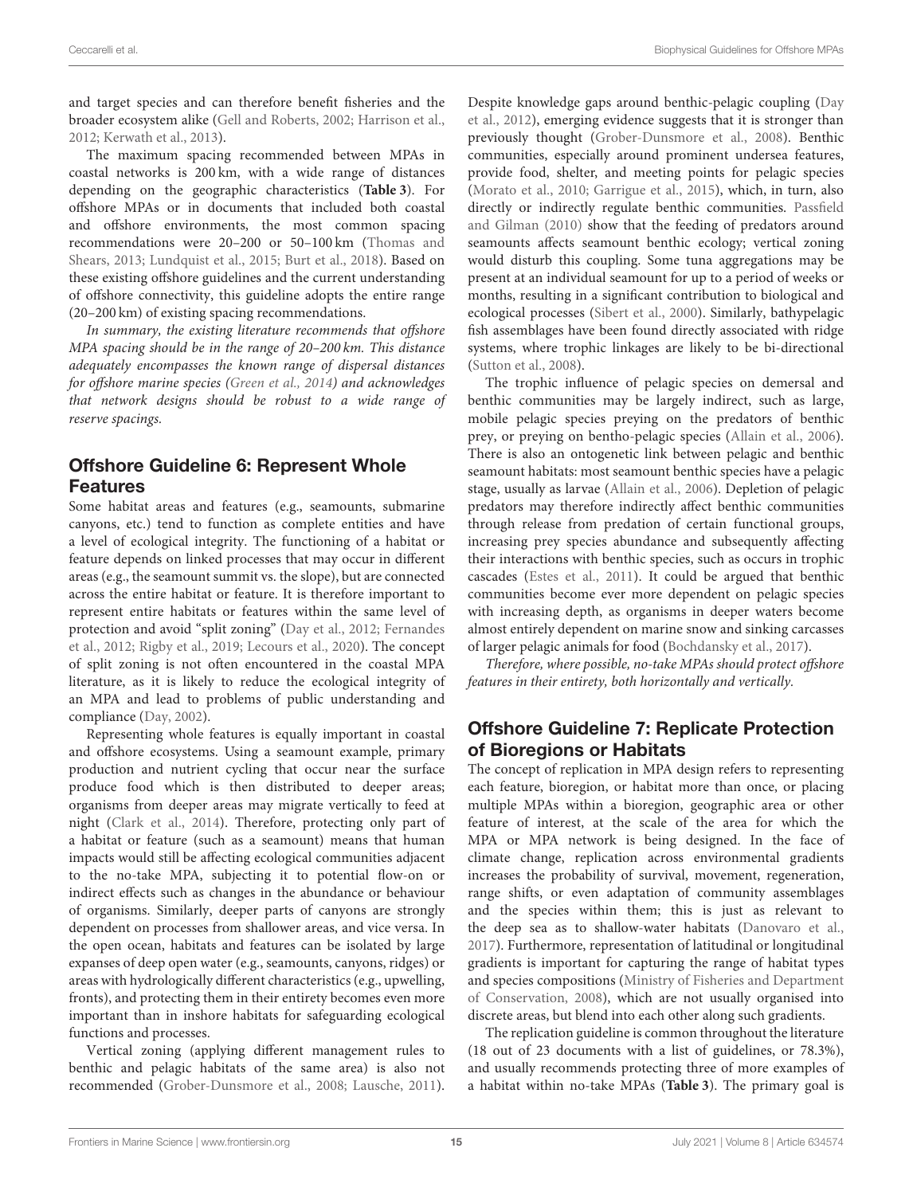and target species and can therefore benefit fisheries and the broader ecosystem alike [\(Gell and Roberts, 2002;](#page-22-15) [Harrison et al.,](#page-23-21) [2012;](#page-23-21) [Kerwath et al., 2013\)](#page-23-31).

The maximum spacing recommended between MPAs in coastal networks is 200 km, with a wide range of distances depending on the geographic characteristics (**[Table 3](#page-7-0)**). For offshore MPAs or in documents that included both coastal and offshore environments, the most common spacing recommendations were 20–200 or 50–100 km (Thomas and Shears, [2013;](#page-26-9) [Lundquist et al., 2015;](#page-24-36) [Burt et al., 2018\)](#page-20-38). Based on these existing offshore guidelines and the current understanding of offshore connectivity, this guideline adopts the entire range (20–200 km) of existing spacing recommendations.

In summary, the existing literature recommends that offshore MPA spacing should be in the range of 20–200 km. This distance adequately encompasses the known range of dispersal distances for offshore marine species [\(Green et al., 2014\)](#page-22-2) and acknowledges that network designs should be robust to a wide range of reserve spacings.

#### Offshore Guideline 6: Represent Whole Features

Some habitat areas and features (e.g., seamounts, submarine canyons, etc.) tend to function as complete entities and have a level of ecological integrity. The functioning of a habitat or feature depends on linked processes that may occur in different areas (e.g., the seamount summit vs. the slope), but are connected across the entire habitat or feature. It is therefore important to represent entire habitats or features within the same level of protection and avoid "split zoning" [\(Day et al., 2012;](#page-21-25) Fernandes et al., [2012;](#page-22-17) [Rigby et al., 2019;](#page-25-14) [Lecours et al., 2020\)](#page-24-17). The concept of split zoning is not often encountered in the coastal MPA literature, as it is likely to reduce the ecological integrity of an MPA and lead to problems of public understanding and compliance [\(Day, 2002\)](#page-21-33).

Representing whole features is equally important in coastal and offshore ecosystems. Using a seamount example, primary production and nutrient cycling that occur near the surface produce food which is then distributed to deeper areas; organisms from deeper areas may migrate vertically to feed at night [\(Clark et al., 2014\)](#page-21-16). Therefore, protecting only part of a habitat or feature (such as a seamount) means that human impacts would still be affecting ecological communities adjacent to the no-take MPA, subjecting it to potential flow-on or indirect effects such as changes in the abundance or behaviour of organisms. Similarly, deeper parts of canyons are strongly dependent on processes from shallower areas, and vice versa. In the open ocean, habitats and features can be isolated by large expanses of deep open water (e.g., seamounts, canyons, ridges) or areas with hydrologically different characteristics (e.g., upwelling, fronts), and protecting them in their entirety becomes even more important than in inshore habitats for safeguarding ecological functions and processes.

Vertical zoning (applying different management rules to benthic and pelagic habitats of the same area) is also not recommended [\(Grober-Dunsmore et al., 2008;](#page-22-8) [Lausche, 2011\)](#page-24-37). Despite knowledge gaps around benthic-pelagic coupling (Day et al., [2012\)](#page-21-25), emerging evidence suggests that it is stronger than previously thought [\(Grober-Dunsmore et al., 2008\)](#page-22-8). Benthic communities, especially around prominent undersea features, provide food, shelter, and meeting points for pelagic species [\(Morato et al., 2010;](#page-24-38) [Garrigue et al., 2015\)](#page-22-14), which, in turn, also directly or indirectly regulate benthic communities. Passfield and Gilman [\(2010\)](#page-25-36) show that the feeding of predators around seamounts affects seamount benthic ecology; vertical zoning would disturb this coupling. Some tuna aggregations may be present at an individual seamount for up to a period of weeks or months, resulting in a significant contribution to biological and ecological processes [\(Sibert et al., 2000\)](#page-26-17). Similarly, bathypelagic fish assemblages have been found directly associated with ridge systems, where trophic linkages are likely to be bi-directional [\(Sutton et al., 2008\)](#page-26-18).

The trophic influence of pelagic species on demersal and benthic communities may be largely indirect, such as large, mobile pelagic species preying on the predators of benthic prey, or preying on bentho-pelagic species [\(Allain et al., 2006\)](#page-19-16). There is also an ontogenetic link between pelagic and benthic seamount habitats: most seamount benthic species have a pelagic stage, usually as larvae [\(Allain et al., 2006\)](#page-19-16). Depletion of pelagic predators may therefore indirectly affect benthic communities through release from predation of certain functional groups, increasing prey species abundance and subsequently affecting their interactions with benthic species, such as occurs in trophic cascades [\(Estes et al., 2011\)](#page-21-34). It could be argued that benthic communities become ever more dependent on pelagic species with increasing depth, as organisms in deeper waters become almost entirely dependent on marine snow and sinking carcasses of larger pelagic animals for food [\(Bochdansky et al., 2017\)](#page-20-39).

Therefore, where possible, no-take MPAs should protect offshore features in their entirety, both horizontally and vertically.

#### Offshore Guideline 7: Replicate Protection of Bioregions or Habitats

The concept of replication in MPA design refers to representing each feature, bioregion, or habitat more than once, or placing multiple MPAs within a bioregion, geographic area or other feature of interest, at the scale of the area for which the MPA or MPA network is being designed. In the face of climate change, replication across environmental gradients increases the probability of survival, movement, regeneration, range shifts, or even adaptation of community assemblages and the species within them; this is just as relevant to the deep sea as to shallow-water habitats [\(Danovaro et al.,](#page-21-35) [2017\)](#page-21-35). Furthermore, representation of latitudinal or longitudinal gradients is important for capturing the range of habitat types and species compositions (Ministry of Fisheries and Department of Conservation, [2008\)](#page-24-39), which are not usually organised into discrete areas, but blend into each other along such gradients.

The replication guideline is common throughout the literature (18 out of 23 documents with a list of guidelines, or 78.3%), and usually recommends protecting three of more examples of a habitat within no-take MPAs (**[Table 3](#page-7-0)**). The primary goal is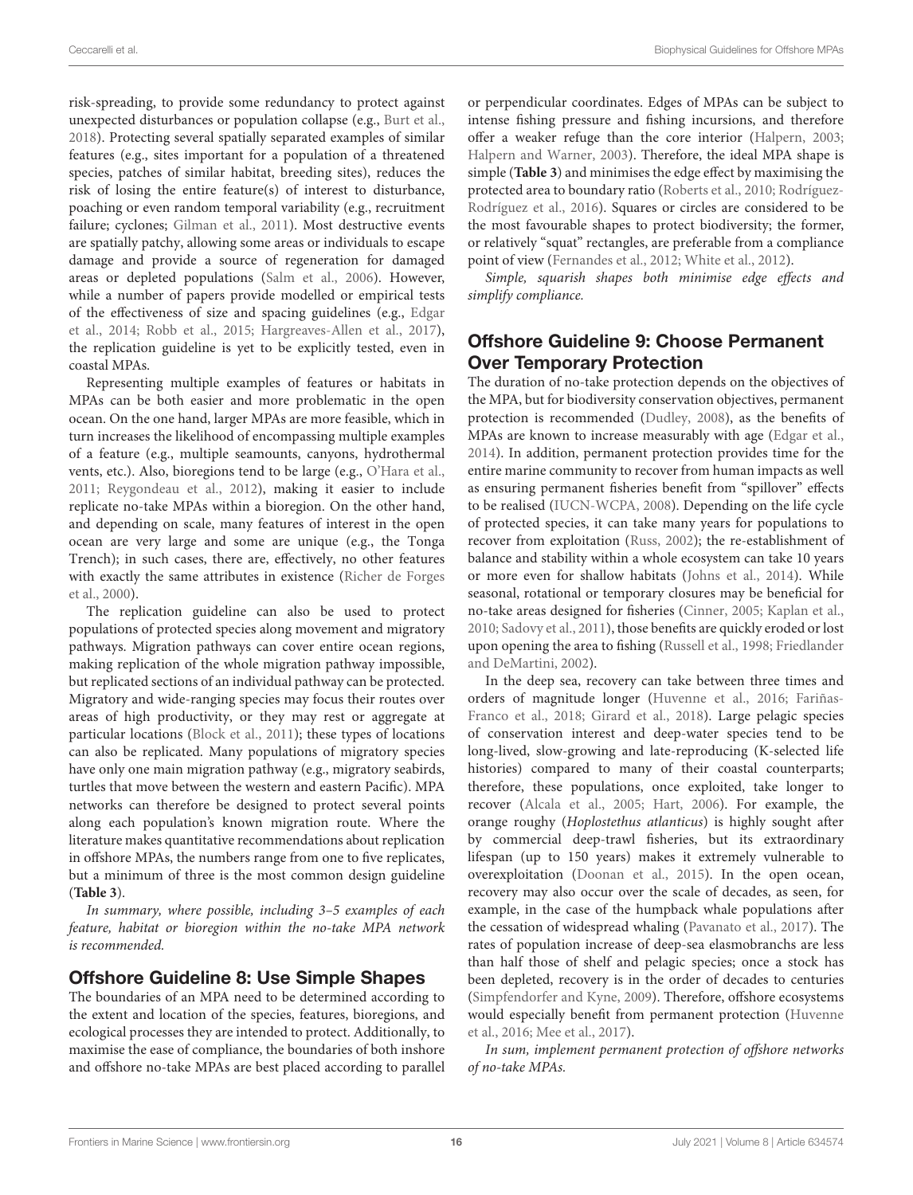risk-spreading, to provide some redundancy to protect against unexpected disturbances or population collapse (e.g., [Burt et al.,](#page-20-38) [2018\)](#page-20-38). Protecting several spatially separated examples of similar features (e.g., sites important for a population of a threatened species, patches of similar habitat, breeding sites), reduces the risk of losing the entire feature(s) of interest to disturbance, poaching or even random temporal variability (e.g., recruitment failure; cyclones; [Gilman et al., 2011\)](#page-22-3). Most destructive events are spatially patchy, allowing some areas or individuals to escape damage and provide a source of regeneration for damaged areas or depleted populations [\(Salm et al., 2006\)](#page-26-37). However, while a number of papers provide modelled or empirical tests of the effectiveness of size and spacing guidelines (e.g., Edgar et al., [2014;](#page-21-10) [Robb et al., 2015;](#page-25-37) [Hargreaves-Allen et al., 2017\)](#page-22-33), the replication guideline is yet to be explicitly tested, even in coastal MPAs.

Representing multiple examples of features or habitats in MPAs can be both easier and more problematic in the open ocean. On the one hand, larger MPAs are more feasible, which in turn increases the likelihood of encompassing multiple examples of a feature (e.g., multiple seamounts, canyons, hydrothermal vents, etc.). Also, bioregions tend to be large (e.g., [O'Hara et al.,](#page-24-29) [2011;](#page-24-29) [Reygondeau et al., 2012\)](#page-25-17), making it easier to include replicate no-take MPAs within a bioregion. On the other hand, and depending on scale, many features of interest in the open ocean are very large and some are unique (e.g., the Tonga Trench); in such cases, there are, effectively, no other features with exactly the same attributes in existence (Richer de Forges et al., [2000\)](#page-25-30).

The replication guideline can also be used to protect populations of protected species along movement and migratory pathways. Migration pathways can cover entire ocean regions, making replication of the whole migration pathway impossible, but replicated sections of an individual pathway can be protected. Migratory and wide-ranging species may focus their routes over areas of high productivity, or they may rest or aggregate at particular locations [\(Block et al., 2011\)](#page-20-19); these types of locations can also be replicated. Many populations of migratory species have only one main migration pathway (e.g., migratory seabirds, turtles that move between the western and eastern Pacific). MPA networks can therefore be designed to protect several points along each population's known migration route. Where the literature makes quantitative recommendations about replication in offshore MPAs, the numbers range from one to five replicates, but a minimum of three is the most common design guideline (**[Table 3](#page-7-0)**).

In summary, where possible, including 3–5 examples of each feature, habitat or bioregion within the no-take MPA network is recommended.

#### Offshore Guideline 8: Use Simple Shapes

The boundaries of an MPA need to be determined according to the extent and location of the species, features, bioregions, and ecological processes they are intended to protect. Additionally, to maximise the ease of compliance, the boundaries of both inshore and offshore no-take MPAs are best placed according to parallel or perpendicular coordinates. Edges of MPAs can be subject to intense fishing pressure and fishing incursions, and therefore offer a weaker refuge than the core interior [\(Halpern, 2003;](#page-22-10) [Halpern and Warner, 2003\)](#page-22-16). Therefore, the ideal MPA shape is simple (**[Table 3](#page-7-0)**) and minimises the edge effect by maximising the protected area to boundary ratio [\(Roberts et al., 2010;](#page-25-19) Rodríguez-Rodríguez et al., [2016\)](#page-25-20). Squares or circles are considered to be the most favourable shapes to protect biodiversity; the former, or relatively "squat" rectangles, are preferable from a compliance point of view [\(Fernandes et al., 2012;](#page-22-17) [White et al., 2012\)](#page-27-5).

Simple, squarish shapes both minimise edge effects and simplify compliance.

### Offshore Guideline 9: Choose Permanent Over Temporary Protection

The duration of no-take protection depends on the objectives of the MPA, but for biodiversity conservation objectives, permanent protection is recommended [\(Dudley, 2008\)](#page-21-36), as the benefits of MPAs are known to increase measurably with age [\(Edgar et al.,](#page-21-10) [2014\)](#page-21-10). In addition, permanent protection provides time for the entire marine community to recover from human impacts as well as ensuring permanent fisheries benefit from "spillover" effects to be realised [\(IUCN-WCPA, 2008\)](#page-23-18). Depending on the life cycle of protected species, it can take many years for populations to recover from exploitation [\(Russ, 2002\)](#page-25-21); the re-establishment of balance and stability within a whole ecosystem can take 10 years or more even for shallow habitats [\(Johns et al., 2014\)](#page-23-32). While seasonal, rotational or temporary closures may be beneficial for no-take areas designed for fisheries [\(Cinner, 2005;](#page-21-37) [Kaplan et al.,](#page-23-33) [2010;](#page-23-33) [Sadovy et al., 2011\)](#page-26-38), those benefits are quickly eroded or lost upon opening the area to fishing [\(Russell et al., 1998;](#page-25-38) Friedlander and DeMartini, [2002\)](#page-22-34).

In the deep sea, recovery can take between three times and orders of magnitude longer [\(Huvenne et al., 2016;](#page-23-2) Fariñas-Franco et al., [2018;](#page-21-38) [Girard et al., 2018\)](#page-22-35). Large pelagic species of conservation interest and deep-water species tend to be long-lived, slow-growing and late-reproducing (K-selected life histories) compared to many of their coastal counterparts; therefore, these populations, once exploited, take longer to recover [\(Alcala et al., 2005;](#page-19-17) [Hart, 2006\)](#page-23-34). For example, the orange roughy (Hoplostethus atlanticus) is highly sought after by commercial deep-trawl fisheries, but its extraordinary lifespan (up to 150 years) makes it extremely vulnerable to overexploitation [\(Doonan et al., 2015\)](#page-21-39). In the open ocean, recovery may also occur over the scale of decades, as seen, for example, in the case of the humpback whale populations after the cessation of widespread whaling [\(Pavanato et al., 2017\)](#page-25-39). The rates of population increase of deep-sea elasmobranchs are less than half those of shelf and pelagic species; once a stock has been depleted, recovery is in the order of decades to centuries [\(Simpfendorfer and Kyne, 2009\)](#page-26-39). Therefore, offshore ecosystems would especially benefit from permanent protection (Huvenne et al., [2016;](#page-23-2) [Mee et al., 2017\)](#page-24-20).

In sum, implement permanent protection of offshore networks of no-take MPAs.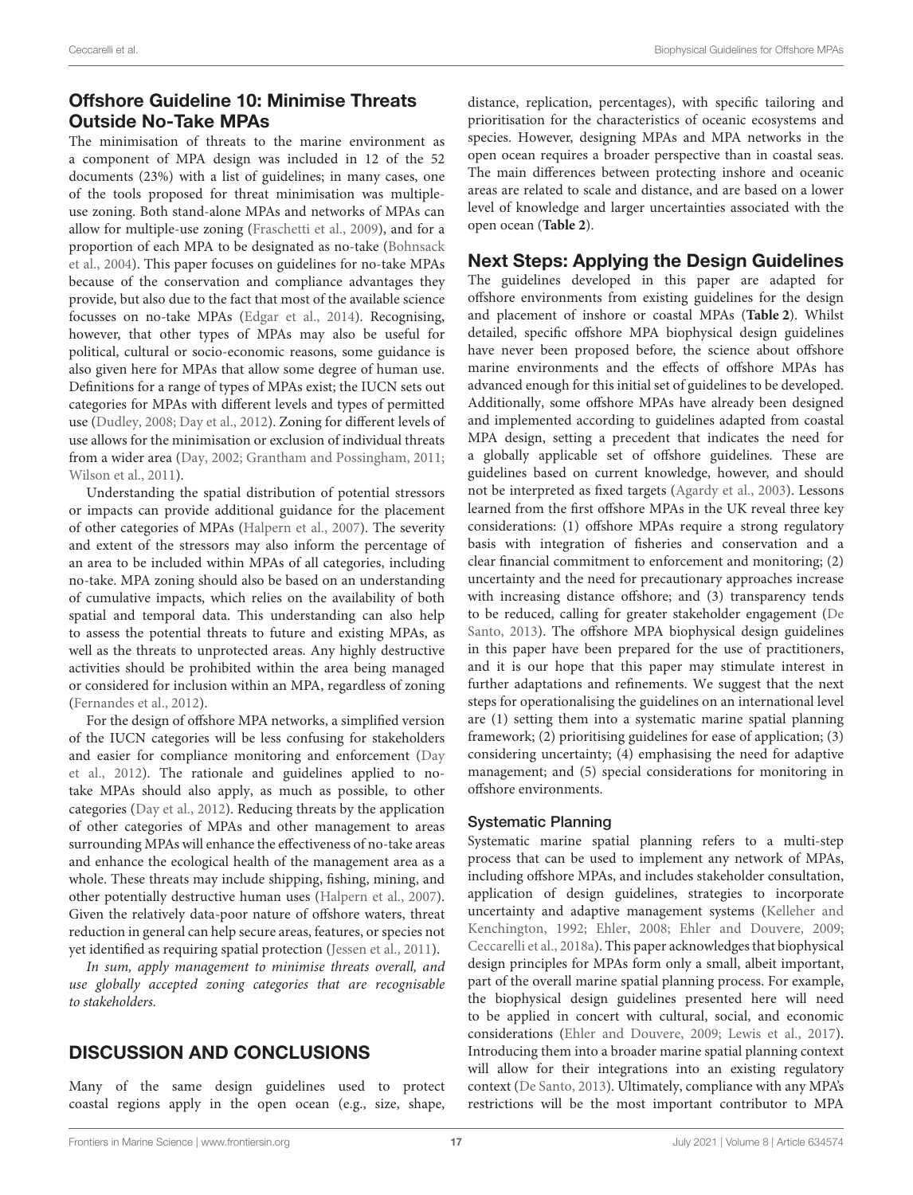# Offshore Guideline 10: Minimise Threats Outside No-Take MPAs

The minimisation of threats to the marine environment as a component of MPA design was included in 12 of the 52 documents (23%) with a list of guidelines; in many cases, one of the tools proposed for threat minimisation was multipleuse zoning. Both stand-alone MPAs and networks of MPAs can allow for multiple-use zoning [\(Fraschetti et al., 2009\)](#page-22-36), and for a proportion of each MPA to be designated as no-take (Bohnsack et al., [2004\)](#page-20-40). This paper focuses on guidelines for no-take MPAs because of the conservation and compliance advantages they provide, but also due to the fact that most of the available science focusses on no-take MPAs [\(Edgar et al., 2014\)](#page-21-10). Recognising, however, that other types of MPAs may also be useful for political, cultural or socio-economic reasons, some guidance is also given here for MPAs that allow some degree of human use. Definitions for a range of types of MPAs exist; the IUCN sets out categories for MPAs with different levels and types of permitted use [\(Dudley, 2008;](#page-21-36) [Day et al., 2012\)](#page-21-25). Zoning for different levels of use allows for the minimisation or exclusion of individual threats from a wider area [\(Day, 2002;](#page-21-33) [Grantham and Possingham, 2011;](#page-22-37) [Wilson et al., 2011\)](#page-27-7).

Understanding the spatial distribution of potential stressors or impacts can provide additional guidance for the placement of other categories of MPAs [\(Halpern et al., 2007\)](#page-22-25). The severity and extent of the stressors may also inform the percentage of an area to be included within MPAs of all categories, including no-take. MPA zoning should also be based on an understanding of cumulative impacts, which relies on the availability of both spatial and temporal data. This understanding can also help to assess the potential threats to future and existing MPAs, as well as the threats to unprotected areas. Any highly destructive activities should be prohibited within the area being managed or considered for inclusion within an MPA, regardless of zoning [\(Fernandes et al., 2012\)](#page-22-17).

For the design of offshore MPA networks, a simplified version of the IUCN categories will be less confusing for stakeholders and easier for compliance monitoring and enforcement (Day et al., [2012\)](#page-21-25). The rationale and guidelines applied to notake MPAs should also apply, as much as possible, to other categories [\(Day et al., 2012\)](#page-21-25). Reducing threats by the application of other categories of MPAs and other management to areas surrounding MPAs will enhance the effectiveness of no-take areas and enhance the ecological health of the management area as a whole. These threats may include shipping, fishing, mining, and other potentially destructive human uses [\(Halpern et al., 2007\)](#page-22-25). Given the relatively data-poor nature of offshore waters, threat reduction in general can help secure areas, features, or species not yet identified as requiring spatial protection [\(Jessen et al., 2011\)](#page-23-19).

In sum, apply management to minimise threats overall, and use globally accepted zoning categories that are recognisable to stakeholders.

# DISCUSSION AND CONCLUSIONS

Many of the same design guidelines used to protect coastal regions apply in the open ocean (e.g., size, shape, distance, replication, percentages), with specific tailoring and prioritisation for the characteristics of oceanic ecosystems and species. However, designing MPAs and MPA networks in the open ocean requires a broader perspective than in coastal seas. The main differences between protecting inshore and oceanic areas are related to scale and distance, and are based on a lower level of knowledge and larger uncertainties associated with the open ocean (**[Table 2](#page-4-0)**).

### Next Steps: Applying the Design Guidelines

The guidelines developed in this paper are adapted for offshore environments from existing guidelines for the design and placement of inshore or coastal MPAs (**[Table 2](#page-4-0)**). Whilst detailed, specific offshore MPA biophysical design guidelines have never been proposed before, the science about offshore marine environments and the effects of offshore MPAs has advanced enough for this initial set of guidelines to be developed. Additionally, some offshore MPAs have already been designed and implemented according to guidelines adapted from coastal MPA design, setting a precedent that indicates the need for a globally applicable set of offshore guidelines. These are guidelines based on current knowledge, however, and should not be interpreted as fixed targets [\(Agardy et al., 2003\)](#page-19-18). Lessons learned from the first offshore MPAs in the UK reveal three key considerations: (1) offshore MPAs require a strong regulatory basis with integration of fisheries and conservation and a clear financial commitment to enforcement and monitoring; (2) uncertainty and the need for precautionary approaches increase with increasing distance offshore; and (3) transparency tends to be reduced, calling for greater stakeholder engagement (De Santo, [2013\)](#page-21-40). The offshore MPA biophysical design guidelines in this paper have been prepared for the use of practitioners, and it is our hope that this paper may stimulate interest in further adaptations and refinements. We suggest that the next steps for operationalising the guidelines on an international level are (1) setting them into a systematic marine spatial planning framework; (2) prioritising guidelines for ease of application; (3) considering uncertainty; (4) emphasising the need for adaptive management; and (5) special considerations for monitoring in offshore environments.

#### Systematic Planning

Systematic marine spatial planning refers to a multi-step process that can be used to implement any network of MPAs, including offshore MPAs, and includes stakeholder consultation, application of design guidelines, strategies to incorporate uncertainty and adaptive management systems (Kelleher and Kenchington, [1992;](#page-23-5) [Ehler, 2008;](#page-21-41) [Ehler and Douvere, 2009;](#page-21-42) [Ceccarelli et al., 2018a\)](#page-20-27). This paper acknowledges that biophysical design principles for MPAs form only a small, albeit important, part of the overall marine spatial planning process. For example, the biophysical design guidelines presented here will need to be applied in concert with cultural, social, and economic considerations [\(Ehler and Douvere, 2009;](#page-21-42) [Lewis et al., 2017\)](#page-24-8). Introducing them into a broader marine spatial planning context will allow for their integrations into an existing regulatory context [\(De Santo, 2013\)](#page-21-40). Ultimately, compliance with any MPA's restrictions will be the most important contributor to MPA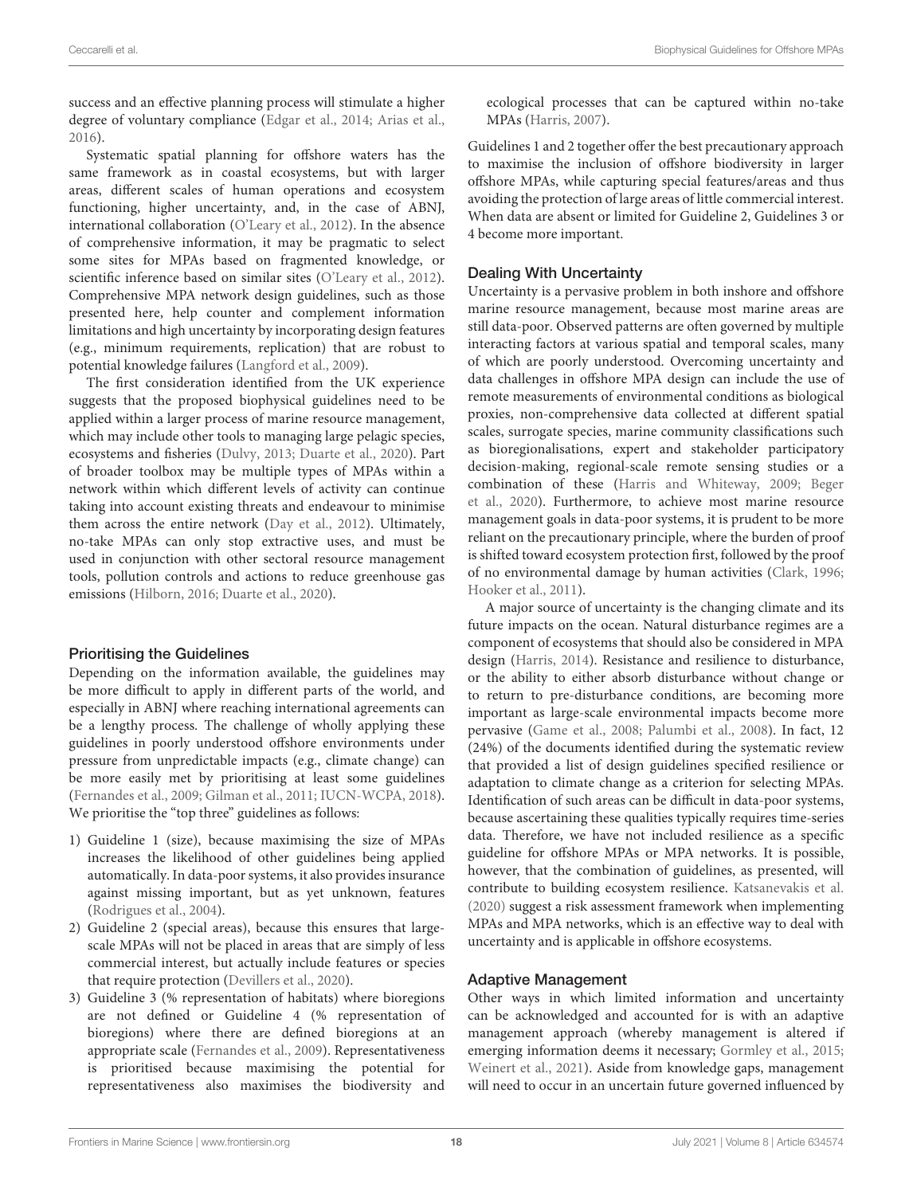success and an effective planning process will stimulate a higher degree of voluntary compliance [\(Edgar et al., 2014;](#page-21-10) [Arias et al.,](#page-19-19) [2016\)](#page-19-19).

Systematic spatial planning for offshore waters has the same framework as in coastal ecosystems, but with larger areas, different scales of human operations and ecosystem functioning, higher uncertainty, and, in the case of ABNJ, international collaboration [\(O'Leary et al., 2012\)](#page-24-40). In the absence of comprehensive information, it may be pragmatic to select some sites for MPAs based on fragmented knowledge, or scientific inference based on similar sites [\(O'Leary et al., 2012\)](#page-24-40). Comprehensive MPA network design guidelines, such as those presented here, help counter and complement information limitations and high uncertainty by incorporating design features (e.g., minimum requirements, replication) that are robust to potential knowledge failures [\(Langford et al., 2009\)](#page-24-41).

The first consideration identified from the UK experience suggests that the proposed biophysical guidelines need to be applied within a larger process of marine resource management, which may include other tools to managing large pelagic species, ecosystems and fisheries [\(Dulvy, 2013;](#page-21-43) [Duarte et al., 2020\)](#page-21-0). Part of broader toolbox may be multiple types of MPAs within a network within which different levels of activity can continue taking into account existing threats and endeavour to minimise them across the entire network [\(Day et al., 2012\)](#page-21-25). Ultimately, no-take MPAs can only stop extractive uses, and must be used in conjunction with other sectoral resource management tools, pollution controls and actions to reduce greenhouse gas emissions [\(Hilborn, 2016;](#page-23-35) [Duarte et al., 2020\)](#page-21-0).

#### Prioritising the Guidelines

Depending on the information available, the guidelines may be more difficult to apply in different parts of the world, and especially in ABNJ where reaching international agreements can be a lengthy process. The challenge of wholly applying these guidelines in poorly understood offshore environments under pressure from unpredictable impacts (e.g., climate change) can be more easily met by prioritising at least some guidelines [\(Fernandes et al., 2009;](#page-21-23) [Gilman et al., 2011;](#page-22-3) [IUCN-WCPA, 2018\)](#page-23-3). We prioritise the "top three" guidelines as follows:

- 1) Guideline 1 (size), because maximising the size of MPAs increases the likelihood of other guidelines being applied automatically. In data-poor systems, it also provides insurance against missing important, but as yet unknown, features [\(Rodrigues et al., 2004\)](#page-25-40).
- 2) Guideline 2 (special areas), because this ensures that largescale MPAs will not be placed in areas that are simply of less commercial interest, but actually include features or species that require protection [\(Devillers et al., 2020\)](#page-21-8).
- 3) Guideline 3 (% representation of habitats) where bioregions are not defined or Guideline 4 (% representation of bioregions) where there are defined bioregions at an appropriate scale [\(Fernandes et al., 2009\)](#page-21-23). Representativeness is prioritised because maximising the potential for representativeness also maximises the biodiversity and

ecological processes that can be captured within no-take MPAs [\(Harris, 2007\)](#page-22-38).

Guidelines 1 and 2 together offer the best precautionary approach to maximise the inclusion of offshore biodiversity in larger offshore MPAs, while capturing special features/areas and thus avoiding the protection of large areas of little commercial interest. When data are absent or limited for Guideline 2, Guidelines 3 or 4 become more important.

#### Dealing With Uncertainty

Uncertainty is a pervasive problem in both inshore and offshore marine resource management, because most marine areas are still data-poor. Observed patterns are often governed by multiple interacting factors at various spatial and temporal scales, many of which are poorly understood. Overcoming uncertainty and data challenges in offshore MPA design can include the use of remote measurements of environmental conditions as biological proxies, non-comprehensive data collected at different spatial scales, surrogate species, marine community classifications such as bioregionalisations, expert and stakeholder participatory decision-making, regional-scale remote sensing studies or a combination of these [\(Harris and Whiteway, 2009;](#page-23-36) Beger et al., [2020\)](#page-20-3). Furthermore, to achieve most marine resource management goals in data-poor systems, it is prudent to be more reliant on the precautionary principle, where the burden of proof is shifted toward ecosystem protection first, followed by the proof of no environmental damage by human activities [\(Clark, 1996;](#page-21-11) [Hooker et al., 2011\)](#page-23-11).

A major source of uncertainty is the changing climate and its future impacts on the ocean. Natural disturbance regimes are a component of ecosystems that should also be considered in MPA design [\(Harris, 2014\)](#page-22-39). Resistance and resilience to disturbance, or the ability to either absorb disturbance without change or to return to pre-disturbance conditions, are becoming more important as large-scale environmental impacts become more pervasive [\(Game et al., 2008;](#page-22-40) [Palumbi et al., 2008\)](#page-25-29). In fact, 12 (24%) of the documents identified during the systematic review that provided a list of design guidelines specified resilience or adaptation to climate change as a criterion for selecting MPAs. Identification of such areas can be difficult in data-poor systems, because ascertaining these qualities typically requires time-series data. Therefore, we have not included resilience as a specific guideline for offshore MPAs or MPA networks. It is possible, however, that the combination of guidelines, as presented, will contribute to building ecosystem resilience. [Katsanevakis et al.](#page-23-37) [\(2020\)](#page-23-37) suggest a risk assessment framework when implementing MPAs and MPA networks, which is an effective way to deal with uncertainty and is applicable in offshore ecosystems.

#### Adaptive Management

Other ways in which limited information and uncertainty can be acknowledged and accounted for is with an adaptive management approach (whereby management is altered if emerging information deems it necessary; [Gormley et al., 2015;](#page-22-41) [Weinert et al., 2021\)](#page-26-40). Aside from knowledge gaps, management will need to occur in an uncertain future governed influenced by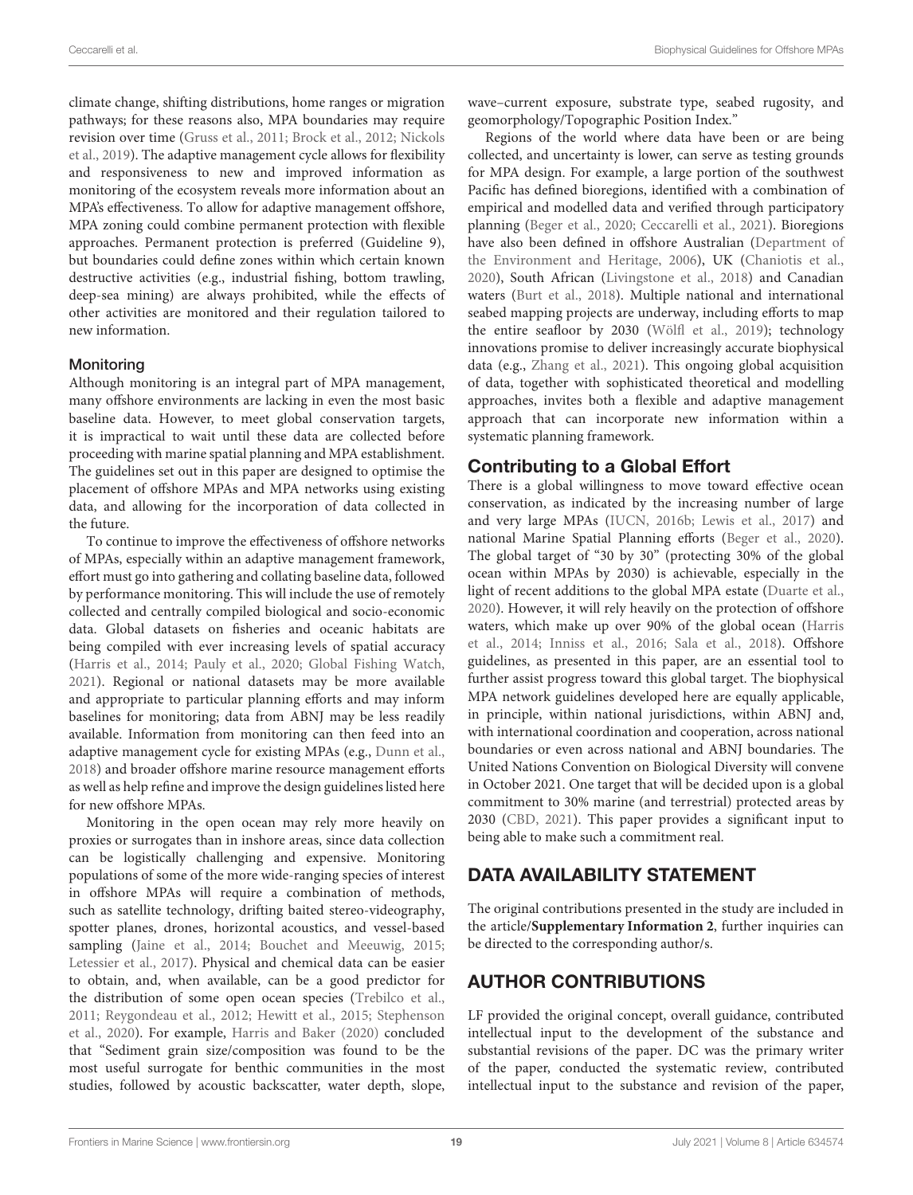climate change, shifting distributions, home ranges or migration pathways; for these reasons also, MPA boundaries may require revision over time [\(Gruss et al., 2011;](#page-22-19) [Brock et al., 2012;](#page-20-21) Nickols et al., [2019\)](#page-24-42). The adaptive management cycle allows for flexibility and responsiveness to new and improved information as monitoring of the ecosystem reveals more information about an MPA's effectiveness. To allow for adaptive management offshore, MPA zoning could combine permanent protection with flexible approaches. Permanent protection is preferred (Guideline 9), but boundaries could define zones within which certain known destructive activities (e.g., industrial fishing, bottom trawling, deep-sea mining) are always prohibited, while the effects of other activities are monitored and their regulation tailored to new information.

#### **Monitoring**

Although monitoring is an integral part of MPA management, many offshore environments are lacking in even the most basic baseline data. However, to meet global conservation targets, it is impractical to wait until these data are collected before proceeding with marine spatial planning and MPA establishment. The guidelines set out in this paper are designed to optimise the placement of offshore MPAs and MPA networks using existing data, and allowing for the incorporation of data collected in the future.

To continue to improve the effectiveness of offshore networks of MPAs, especially within an adaptive management framework, effort must go into gathering and collating baseline data, followed by performance monitoring. This will include the use of remotely collected and centrally compiled biological and socio-economic data. Global datasets on fisheries and oceanic habitats are being compiled with ever increasing levels of spatial accuracy [\(Harris et al., 2014;](#page-23-13) [Pauly et al., 2020;](#page-25-5) [Global Fishing Watch,](#page-22-42) [2021\)](#page-22-42). Regional or national datasets may be more available and appropriate to particular planning efforts and may inform baselines for monitoring; data from ABNJ may be less readily available. Information from monitoring can then feed into an adaptive management cycle for existing MPAs (e.g., [Dunn et al.,](#page-21-9) [2018\)](#page-21-9) and broader offshore marine resource management efforts as well as help refine and improve the design guidelines listed here for new offshore MPAs.

Monitoring in the open ocean may rely more heavily on proxies or surrogates than in inshore areas, since data collection can be logistically challenging and expensive. Monitoring populations of some of the more wide-ranging species of interest in offshore MPAs will require a combination of methods, such as satellite technology, drifting baited stereo-videography, spotter planes, drones, horizontal acoustics, and vessel-based sampling [\(Jaine et al., 2014;](#page-23-38) [Bouchet and Meeuwig, 2015;](#page-20-41) [Letessier et al., 2017\)](#page-24-43). Physical and chemical data can be easier to obtain, and, when available, can be a good predictor for the distribution of some open ocean species [\(Trebilco et al.,](#page-26-41) [2011;](#page-26-41) [Reygondeau et al., 2012;](#page-25-17) [Hewitt et al., 2015;](#page-23-39) Stephenson et al., [2020\)](#page-26-42). For example, [Harris and Baker \(2020\)](#page-22-43) concluded that "Sediment grain size/composition was found to be the most useful surrogate for benthic communities in the most studies, followed by acoustic backscatter, water depth, slope, wave–current exposure, substrate type, seabed rugosity, and geomorphology/Topographic Position Index."

Regions of the world where data have been or are being collected, and uncertainty is lower, can serve as testing grounds for MPA design. For example, a large portion of the southwest Pacific has defined bioregions, identified with a combination of empirical and modelled data and verified through participatory planning [\(Beger et al., 2020;](#page-20-3) [Ceccarelli et al., 2021\)](#page-20-42). Bioregions have also been defined in offshore Australian (Department of the Environment and Heritage, [2006\)](#page-21-30), UK [\(Chaniotis et al.,](#page-20-9) [2020\)](#page-20-9), South African [\(Livingstone et al., 2018\)](#page-24-44) and Canadian waters [\(Burt et al., 2018\)](#page-20-38). Multiple national and international seabed mapping projects are underway, including efforts to map the entire seafloor by 2030 [\(Wölfl et al., 2019\)](#page-27-11); technology innovations promise to deliver increasingly accurate biophysical data (e.g., [Zhang et al., 2021\)](#page-27-12). This ongoing global acquisition of data, together with sophisticated theoretical and modelling approaches, invites both a flexible and adaptive management approach that can incorporate new information within a systematic planning framework.

# Contributing to a Global Effort

There is a global willingness to move toward effective ocean conservation, as indicated by the increasing number of large and very large MPAs [\(IUCN, 2016b;](#page-23-40) [Lewis et al., 2017\)](#page-24-8) and national Marine Spatial Planning efforts [\(Beger et al., 2020\)](#page-20-3). The global target of "30 by 30" (protecting 30% of the global ocean within MPAs by 2030) is achievable, especially in the light of recent additions to the global MPA estate [\(Duarte et al.,](#page-21-0) [2020\)](#page-21-0). However, it will rely heavily on the protection of offshore waters, which make up over 90% of the global ocean (Harris et al., [2014;](#page-23-13) [Inniss et al., 2016;](#page-23-41) [Sala et al., 2018\)](#page-26-43). Offshore guidelines, as presented in this paper, are an essential tool to further assist progress toward this global target. The biophysical MPA network guidelines developed here are equally applicable, in principle, within national jurisdictions, within ABNJ and, with international coordination and cooperation, across national boundaries or even across national and ABNJ boundaries. The United Nations Convention on Biological Diversity will convene in October 2021. One target that will be decided upon is a global commitment to 30% marine (and terrestrial) protected areas by 2030 [\(CBD, 2021\)](#page-20-43). This paper provides a significant input to being able to make such a commitment real.

# DATA AVAILABILITY STATEMENT

The original contributions presented in the study are included in the article/**[Supplementary Information 2](#page-19-20)**, further inquiries can be directed to the corresponding author/s.

# AUTHOR CONTRIBUTIONS

LF provided the original concept, overall guidance, contributed intellectual input to the development of the substance and substantial revisions of the paper. DC was the primary writer of the paper, conducted the systematic review, contributed intellectual input to the substance and revision of the paper,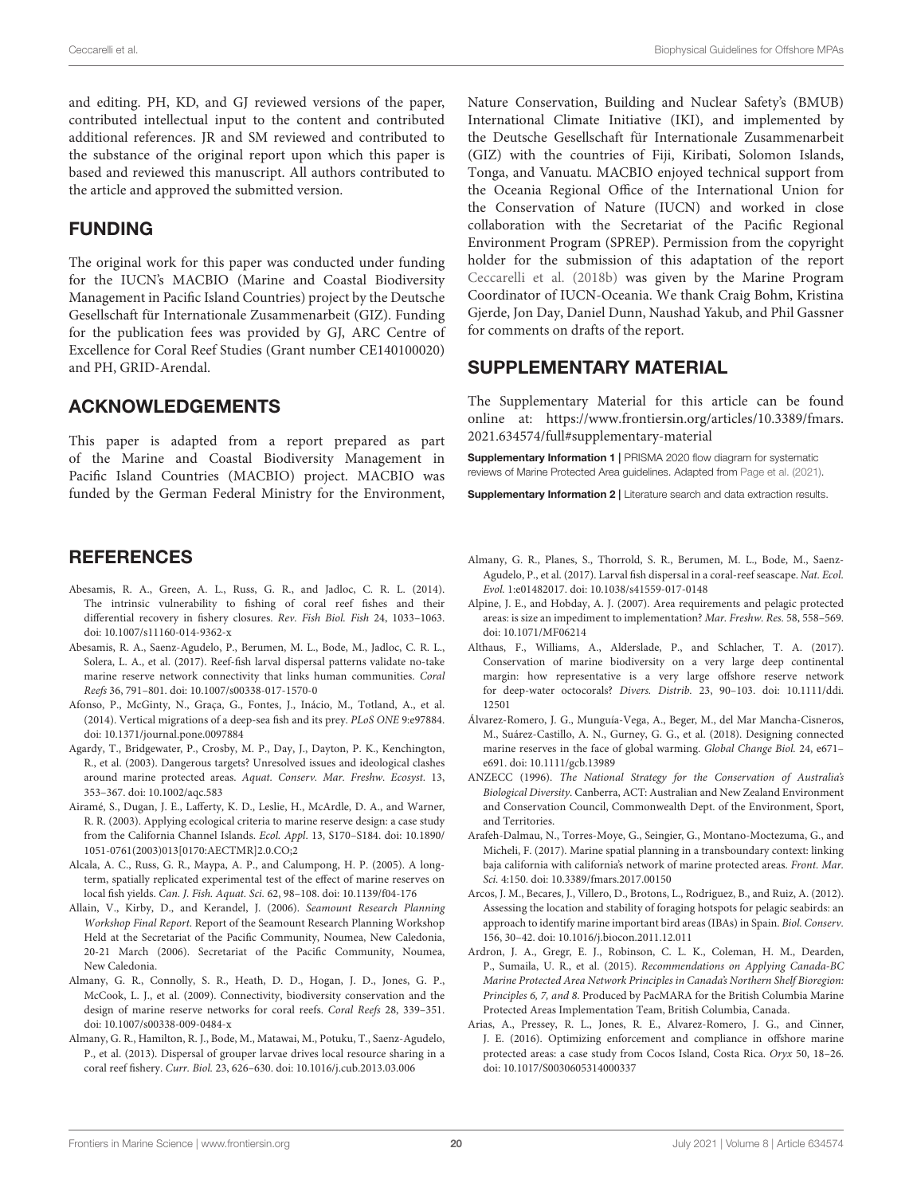and editing. PH, KD, and GJ reviewed versions of the paper, contributed intellectual input to the content and contributed additional references. JR and SM reviewed and contributed to the substance of the original report upon which this paper is based and reviewed this manuscript. All authors contributed to the article and approved the submitted version.

#### FUNDING

The original work for this paper was conducted under funding for the IUCN's MACBIO (Marine and Coastal Biodiversity Management in Pacific Island Countries) project by the Deutsche Gesellschaft für Internationale Zusammenarbeit (GIZ). Funding for the publication fees was provided by GJ, ARC Centre of Excellence for Coral Reef Studies (Grant number CE140100020) and PH, GRID-Arendal.

#### ACKNOWLEDGEMENTS

<span id="page-19-8"></span>This paper is adapted from a report prepared as part of the Marine and Coastal Biodiversity Management in Pacific Island Countries (MACBIO) project. MACBIO was funded by the German Federal Ministry for the Environment,

#### **REFERENCES**

- <span id="page-19-5"></span>Abesamis, R. A., Green, A. L., Russ, G. R., and Jadloc, C. R. L. (2014). The intrinsic vulnerability to fishing of coral reef fishes and their differential recovery in fishery closures. Rev. Fish Biol. Fish 24, 1033–1063. doi: [10.1007/s11160-014-9362-x](https://doi.org/10.1007/s11160-014-9362-x)
- <span id="page-19-14"></span>Abesamis, R. A., Saenz-Agudelo, P., Berumen, M. L., Bode, M., Jadloc, C. R. L., Solera, L. A., et al. (2017). Reef-fish larval dispersal patterns validate no-take marine reserve network connectivity that links human communities. Coral Reefs 36, 791–801. doi: [10.1007/s00338-017-1570-0](https://doi.org/10.1007/s00338-017-1570-0)
- <span id="page-19-6"></span>Afonso, P., McGinty, N., Graça, G., Fontes, J., Inácio, M., Totland, A., et al. (2014). Vertical migrations of a deep-sea fish and its prey. PLoS ONE 9:e97884. doi: [10.1371/journal.pone.0097884](https://doi.org/10.1371/journal.pone.0097884)
- <span id="page-19-18"></span>Agardy, T., Bridgewater, P., Crosby, M. P., Day, J., Dayton, P. K., Kenchington, R., et al. (2003). Dangerous targets? Unresolved issues and ideological clashes around marine protected areas. Aquat. Conserv. Mar. Freshw. Ecosyst. 13, 353–367. doi: [10.1002/aqc.583](https://doi.org/10.1002/aqc.583)
- <span id="page-19-9"></span>Airamé, S., Dugan, J. E., Lafferty, K. D., Leslie, H., McArdle, D. A., and Warner, R. R. (2003). Applying ecological criteria to marine reserve design: a case study from the California Channel Islands. Ecol. Appl. 13, S170–S184. doi: 10.1890/ [1051-0761\(2003\)013\[0170:AECTMR\]2.0.CO;2](https://doi.org/10.1890/1051-0761(2003)013[0170:AECTMR]2.0.CO;2)
- <span id="page-19-17"></span>Alcala, A. C., Russ, G. R., Maypa, A. P., and Calumpong, H. P. (2005). A longterm, spatially replicated experimental test of the effect of marine reserves on local fish yields. Can. J. Fish. Aquat. Sci. 62, 98–108. doi: [10.1139/f04-176](https://doi.org/10.1139/f04-176)
- <span id="page-19-16"></span>Allain, V., Kirby, D., and Kerandel, J. (2006). Seamount Research Planning Workshop Final Report. Report of the Seamount Research Planning Workshop Held at the Secretariat of the Pacific Community, Noumea, New Caledonia, 20-21 March (2006). Secretariat of the Pacific Community, Noumea, New Caledonia.
- <span id="page-19-15"></span>Almany, G. R., Connolly, S. R., Heath, D. D., Hogan, J. D., Jones, G. P., McCook, L. J., et al. (2009). Connectivity, biodiversity conservation and the design of marine reserve networks for coral reefs. Coral Reefs 28, 339–351. doi: [10.1007/s00338-009-0484-x](https://doi.org/10.1007/s00338-009-0484-x)
- <span id="page-19-12"></span>Almany, G. R., Hamilton, R. J., Bode, M., Matawai, M., Potuku, T., Saenz-Agudelo, P., et al. (2013). Dispersal of grouper larvae drives local resource sharing in a coral reef fishery. Curr. Biol. 23, 626–630. doi: [10.1016/j.cub.2013.03.006](https://doi.org/10.1016/j.cub.2013.03.006)

Nature Conservation, Building and Nuclear Safety's (BMUB) International Climate Initiative (IKI), and implemented by the Deutsche Gesellschaft für Internationale Zusammenarbeit (GIZ) with the countries of Fiji, Kiribati, Solomon Islands, Tonga, and Vanuatu. MACBIO enjoyed technical support from the Oceania Regional Office of the International Union for the Conservation of Nature (IUCN) and worked in close collaboration with the Secretariat of the Pacific Regional Environment Program (SPREP). Permission from the copyright holder for the submission of this adaptation of the report [Ceccarelli et al. \(2018b\)](#page-20-32) was given by the Marine Program Coordinator of IUCN-Oceania. We thank Craig Bohm, Kristina Gjerde, Jon Day, Daniel Dunn, Naushad Yakub, and Phil Gassner for comments on drafts of the report.

#### SUPPLEMENTARY MATERIAL

The Supplementary Material for this article can be found [online at: https://www.frontiersin.org/articles/10.3389/fmars.](https://www.frontiersin.org/articles/10.3389/fmars.2021.634574/full#supplementary-material) 2021.634574/full#supplementary-material

<span id="page-19-7"></span><span id="page-19-1"></span>**Supplementary Information 1 | PRISMA 2020 flow diagram for systematic** reviews of Marine Protected Area guidelines. Adapted from [Page et al. \(2021\)](#page-25-41).

<span id="page-19-20"></span>Supplementary Information 2 | Literature search and data extraction results.

- <span id="page-19-13"></span>Almany, G. R., Planes, S., Thorrold, S. R., Berumen, M. L., Bode, M., Saenz-Agudelo, P., et al. (2017). Larval fish dispersal in a coral-reef seascape. Nat. Ecol. Evol. 1:e01482017. doi: [10.1038/s41559-017-0148](https://doi.org/10.1038/s41559-017-0148)
- <span id="page-19-4"></span>Alpine, J. E., and Hobday, A. J. (2007). Area requirements and pelagic protected areas: is size an impediment to implementation? Mar. Freshw. Res. 58, 558–569. doi: [10.1071/MF06214](https://doi.org/10.1071/MF06214)
- <span id="page-19-0"></span>Althaus, F., Williams, A., Alderslade, P., and Schlacher, T. A. (2017). Conservation of marine biodiversity on a very large deep continental margin: how representative is a very large offshore reserve network for deep-water octocorals? Divers. Distrib. [23, 90–103. doi: 10.1111/ddi.](https://doi.org/10.1111/ddi.12501) 12501
- <span id="page-19-3"></span>Álvarez-Romero, J. G., Munguía-Vega, A., Beger, M., del Mar Mancha-Cisneros, M., Suárez-Castillo, A. N., Gurney, G. G., et al. (2018). Designing connected marine reserves in the face of global warming. Global Change Biol. 24, e671– e691. doi: [10.1111/gcb.13989](https://doi.org/10.1111/gcb.13989)
- <span id="page-19-10"></span>ANZECC (1996). The National Strategy for the Conservation of Australia's Biological Diversity. Canberra, ACT: Australian and New Zealand Environment and Conservation Council, Commonwealth Dept. of the Environment, Sport, and Territories.
- <span id="page-19-11"></span>Arafeh-Dalmau, N., Torres-Moye, G., Seingier, G., Montano-Moctezuma, G., and Micheli, F. (2017). Marine spatial planning in a transboundary context: linking baja california with california's network of marine protected areas. Front. Mar. Sci. 4:150. doi: [10.3389/fmars.2017.00150](https://doi.org/10.3389/fmars.2017.00150)
- <span id="page-19-2"></span>Arcos, J. M., Becares, J., Villero, D., Brotons, L., Rodriguez, B., and Ruiz, A. (2012). Assessing the location and stability of foraging hotspots for pelagic seabirds: an approach to identify marine important bird areas (IBAs) in Spain. Biol. Conserv. 156, 30–42. doi: [10.1016/j.biocon.2011.12.011](https://doi.org/10.1016/j.biocon.2011.12.011)
- Ardron, J. A., Gregr, E. J., Robinson, C. L. K., Coleman, H. M., Dearden, P., Sumaila, U. R., et al. (2015). Recommendations on Applying Canada-BC Marine Protected Area Network Principles in Canada's Northern Shelf Bioregion: Principles 6, 7, and 8. Produced by PacMARA for the British Columbia Marine Protected Areas Implementation Team, British Columbia, Canada.
- <span id="page-19-19"></span>Arias, A., Pressey, R. L., Jones, R. E., Alvarez-Romero, J. G., and Cinner, J. E. (2016). Optimizing enforcement and compliance in offshore marine protected areas: a case study from Cocos Island, Costa Rica. Oryx 50, 18–26. doi: [10.1017/S0030605314000337](https://doi.org/10.1017/S0030605314000337)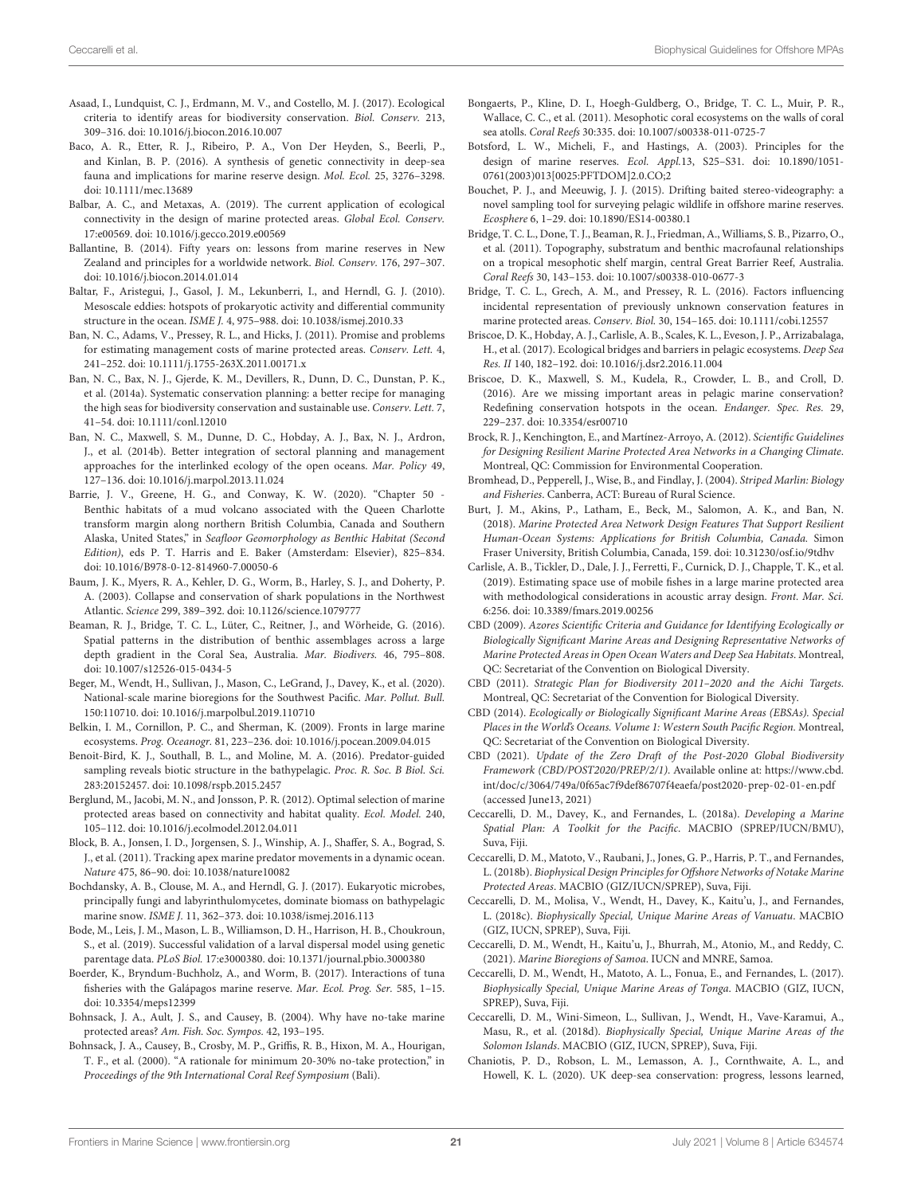- <span id="page-20-14"></span>Asaad, I., Lundquist, C. J., Erdmann, M. V., and Costello, M. J. (2017). Ecological criteria to identify areas for biodiversity conservation. Biol. Conserv. 213, 309–316. doi: [10.1016/j.biocon.2016.10.007](https://doi.org/10.1016/j.biocon.2016.10.007)
- <span id="page-20-37"></span>Baco, A. R., Etter, R. J., Ribeiro, P. A., Von Der Heyden, S., Beerli, P., and Kinlan, B. P. (2016). A synthesis of genetic connectivity in deep-sea fauna and implications for marine reserve design. Mol. Ecol. 25, 3276–3298. doi: [10.1111/mec.13689](https://doi.org/10.1111/mec.13689)
- <span id="page-20-12"></span>Balbar, A. C., and Metaxas, A. (2019). The current application of ecological connectivity in the design of marine protected areas. Global Ecol. Conserv. 17:e00569. doi: [10.1016/j.gecco.2019.e00569](https://doi.org/10.1016/j.gecco.2019.e00569)
- <span id="page-20-35"></span>Ballantine, B. (2014). Fifty years on: lessons from marine reserves in New Zealand and principles for a worldwide network. Biol. Conserv. 176, 297–307. doi: [10.1016/j.biocon.2014.01.014](https://doi.org/10.1016/j.biocon.2014.01.014)
- <span id="page-20-26"></span>Baltar, F., Aristegui, J., Gasol, J. M., Lekunberri, I., and Herndl, G. J. (2010). Mesoscale eddies: hotspots of prokaryotic activity and differential community structure in the ocean. ISME J. 4, 975–988. doi: [10.1038/ismej.2010.33](https://doi.org/10.1038/ismej.2010.33)
- <span id="page-20-7"></span>Ban, N. C., Adams, V., Pressey, R. L., and Hicks, J. (2011). Promise and problems for estimating management costs of marine protected areas. Conserv. Lett. 4, 241–252. doi: [10.1111/j.1755-263X.2011.00171.x](https://doi.org/10.1111/j.1755-263X.2011.00171.x)
- <span id="page-20-0"></span>Ban, N. C., Bax, N. J., Gjerde, K. M., Devillers, R., Dunn, D. C., Dunstan, P. K., et al. (2014a). Systematic conservation planning: a better recipe for managing the high seas for biodiversity conservation and sustainable use. Conserv. Lett. 7, 41–54. doi: [10.1111/conl.12010](https://doi.org/10.1111/conl.12010)
- <span id="page-20-10"></span>Ban, N. C., Maxwell, S. M., Dunne, D. C., Hobday, A. J., Bax, N. J., Ardron, J., et al. (2014b). Better integration of sectoral planning and management approaches for the interlinked ecology of the open oceans. Mar. Policy 49, 127–136. doi: [10.1016/j.marpol.2013.11.024](https://doi.org/10.1016/j.marpol.2013.11.024)
- <span id="page-20-30"></span>Barrie, J. V., Greene, H. G., and Conway, K. W. (2020). "Chapter 50 - Benthic habitats of a mud volcano associated with the Queen Charlotte transform margin along northern British Columbia, Canada and Southern Alaska, United States," in Seafloor Geomorphology as Benthic Habitat (Second Edition), eds P. T. Harris and E. Baker (Amsterdam: Elsevier), 825–834. doi: [10.1016/B978-0-12-814960-7.00050-6](https://doi.org/10.1016/B978-0-12-814960-7.00050-6)
- <span id="page-20-5"></span>Baum, J. K., Myers, R. A., Kehler, D. G., Worm, B., Harley, S. J., and Doherty, P. A. (2003). Collapse and conservation of shark populations in the Northwest Atlantic. Science 299, 389–392. doi: [10.1126/science.1079777](https://doi.org/10.1126/science.1079777)
- <span id="page-20-33"></span>Beaman, R. J., Bridge, T. C. L., Lüter, C., Reitner, J., and Wörheide, G. (2016). Spatial patterns in the distribution of benthic assemblages across a large depth gradient in the Coral Sea, Australia. Mar. Biodivers. 46, 795–808. doi: [10.1007/s12526-015-0434-5](https://doi.org/10.1007/s12526-015-0434-5)
- <span id="page-20-3"></span>Beger, M., Wendt, H., Sullivan, J., Mason, C., LeGrand, J., Davey, K., et al. (2020). National-scale marine bioregions for the Southwest Pacific. Mar. Pollut. Bull. 150:110710. doi: [10.1016/j.marpolbul.2019.110710](https://doi.org/10.1016/j.marpolbul.2019.110710)
- <span id="page-20-18"></span>Belkin, I. M., Cornillon, P. C., and Sherman, K. (2009). Fronts in large marine ecosystems. Prog. Oceanogr. 81, 223–236. doi: [10.1016/j.pocean.2009.04.015](https://doi.org/10.1016/j.pocean.2009.04.015)
- <span id="page-20-4"></span>Benoit-Bird, K. J., Southall, B. L., and Moline, M. A. (2016). Predator-guided sampling reveals biotic structure in the bathypelagic. Proc. R. Soc. B Biol. Sci. 283:20152457. doi: [10.1098/rspb.2015.2457](https://doi.org/10.1098/rspb.2015.2457)
- <span id="page-20-8"></span>Berglund, M., Jacobi, M. N., and Jonsson, P. R. (2012). Optimal selection of marine protected areas based on connectivity and habitat quality. Ecol. Model. 240, 105–112. doi: [10.1016/j.ecolmodel.2012.04.011](https://doi.org/10.1016/j.ecolmodel.2012.04.011)
- <span id="page-20-19"></span>Block, B. A., Jonsen, I. D., Jorgensen, S. J., Winship, A. J., Shaffer, S. A., Bograd, S. J., et al. (2011). Tracking apex marine predator movements in a dynamic ocean. Nature 475, 86–90. doi: [10.1038/nature10082](https://doi.org/10.1038/nature10082)
- <span id="page-20-39"></span>Bochdansky, A. B., Clouse, M. A., and Herndl, G. J. (2017). Eukaryotic microbes, principally fungi and labyrinthulomycetes, dominate biomass on bathypelagic marine snow. ISME J. 11, 362–373. doi: [10.1038/ismej.2016.113](https://doi.org/10.1038/ismej.2016.113)
- <span id="page-20-36"></span>Bode, M., Leis, J. M., Mason, L. B., Williamson, D. H., Harrison, H. B., Choukroun, S., et al. (2019). Successful validation of a larval dispersal model using genetic parentage data. PLoS Biol. 17:e3000380. doi: [10.1371/journal.pbio.3000380](https://doi.org/10.1371/journal.pbio.3000380)
- <span id="page-20-6"></span>Boerder, K., Bryndum-Buchholz, A., and Worm, B. (2017). Interactions of tuna fisheries with the Galápagos marine reserve. Mar. Ecol. Prog. Ser. 585, 1–15. doi: [10.3354/meps12399](https://doi.org/10.3354/meps12399)
- <span id="page-20-40"></span>Bohnsack, J. A., Ault, J. S., and Causey, B. (2004). Why have no-take marine protected areas? Am. Fish. Soc. Sympos. 42, 193–195.
- <span id="page-20-31"></span>Bohnsack, J. A., Causey, B., Crosby, M. P., Griffis, R. B., Hixon, M. A., Hourigan, T. F., et al. (2000). "A rationale for minimum 20-30% no-take protection," in Proceedings of the 9th International Coral Reef Symposium (Bali).
- <span id="page-20-1"></span>Bongaerts, P., Kline, D. I., Hoegh-Guldberg, O., Bridge, T. C. L., Muir, P. R., Wallace, C. C., et al. (2011). Mesophotic coral ecosystems on the walls of coral sea atolls. Coral Reefs 30:335. doi: [10.1007/s00338-011-0725-7](https://doi.org/10.1007/s00338-011-0725-7)
- <span id="page-20-34"></span>Botsford, L. W., Micheli, F., and Hastings, A. (2003). Principles for the design of marine reserves. Ecol. Appl.13, S25–S31. doi: 10.1890/1051- [0761\(2003\)013\[0025:PFTDOM\]2.0.CO;2](https://doi.org/10.1890/1051-0761(2003)013[0025:PFTDOM]2.0.CO;2)
- <span id="page-20-41"></span>Bouchet, P. J., and Meeuwig, J. J. (2015). Drifting baited stereo-videography: a novel sampling tool for surveying pelagic wildlife in offshore marine reserves. Ecosphere 6, 1–29. doi: [10.1890/ES14-00380.1](https://doi.org/10.1890/ES14-00380.1)
- <span id="page-20-2"></span>Bridge, T. C. L., Done, T. J., Beaman, R. J., Friedman, A., Williams, S. B., Pizarro, O., et al. (2011). Topography, substratum and benthic macrofaunal relationships on a tropical mesophotic shelf margin, central Great Barrier Reef, Australia. Coral Reefs 30, 143–153. doi: [10.1007/s00338-010-0677-3](https://doi.org/10.1007/s00338-010-0677-3)
- <span id="page-20-22"></span>Bridge, T. C. L., Grech, A. M., and Pressey, R. L. (2016). Factors influencing incidental representation of previously unknown conservation features in marine protected areas. Conserv. Biol. 30, 154–165. doi: [10.1111/cobi.12557](https://doi.org/10.1111/cobi.12557)
- <span id="page-20-20"></span>Briscoe, D. K., Hobday, A. J., Carlisle, A. B., Scales, K. L., Eveson, J. P., Arrizabalaga, H., et al. (2017). Ecological bridges and barriers in pelagic ecosystems. Deep Sea Res. II 140, 182–192. doi: [10.1016/j.dsr2.2016.11.004](https://doi.org/10.1016/j.dsr2.2016.11.004)
- <span id="page-20-24"></span>Briscoe, D. K., Maxwell, S. M., Kudela, R., Crowder, L. B., and Croll, D. (2016). Are we missing important areas in pelagic marine conservation? Redefining conservation hotspots in the ocean. Endanger. Spec. Res. 29, 229–237. doi: [10.3354/esr00710](https://doi.org/10.3354/esr00710)
- <span id="page-20-21"></span>Brock, R. J., Kenchington, E., and Martínez-Arroyo, A. (2012). Scientific Guidelines for Designing Resilient Marine Protected Area Networks in a Changing Climate. Montreal, QC: Commission for Environmental Cooperation.
- <span id="page-20-25"></span><span id="page-20-13"></span>Bromhead, D., Pepperell, J., Wise, B., and Findlay, J. (2004). Striped Marlin: Biology and Fisheries. Canberra, ACT: Bureau of Rural Science.
- <span id="page-20-38"></span>Burt, J. M., Akins, P., Latham, E., Beck, M., Salomon, A. K., and Ban, N. (2018). Marine Protected Area Network Design Features That Support Resilient Human-Ocean Systems: Applications for British Columbia, Canada. Simon Fraser University, British Columbia, Canada, 159. doi: [10.31230/osf.io/9tdhv](https://doi.org/10.31230/osf.io/9tdhv)
- <span id="page-20-23"></span>Carlisle, A. B., Tickler, D., Dale, J. J., Ferretti, F., Curnick, D. J., Chapple, T. K., et al. (2019). Estimating space use of mobile fishes in a large marine protected area with methodological considerations in acoustic array design. Front. Mar. Sci. 6:256. doi: [10.3389/fmars.2019.00256](https://doi.org/10.3389/fmars.2019.00256)
- <span id="page-20-28"></span>CBD (2009). Azores Scientific Criteria and Guidance for Identifying Ecologically or Biologically Significant Marine Areas and Designing Representative Networks of Marine Protected Areas in Open Ocean Waters and Deep Sea Habitats. Montreal, QC: Secretariat of the Convention on Biological Diversity.
- <span id="page-20-11"></span>CBD (2011). Strategic Plan for Biodiversity 2011–2020 and the Aichi Targets. Montreal, QC: Secretariat of the Convention for Biological Diversity.
- <span id="page-20-29"></span>CBD (2014). Ecologically or Biologically Significant Marine Areas (EBSAs). Special Places in the World's Oceans. Volume 1: Western South Pacific Region. Montreal, QC: Secretariat of the Convention on Biological Diversity.
- <span id="page-20-43"></span>CBD (2021). Update of the Zero Draft of the Post-2020 Global Biodiversity Framework (CBD/POST2020/PREP/2/1). Available online at: [https://www.cbd.](https://www.cbd.int/doc/c/3064/749a/0f65ac7f9def86707f4eaefa/post2020-prep-02-01-en.pdf) [int/doc/c/3064/749a/0f65ac7f9def86707f4eaefa/post2020-prep-02-01-en.pdf](https://www.cbd.int/doc/c/3064/749a/0f65ac7f9def86707f4eaefa/post2020-prep-02-01-en.pdf) (accessed June13, 2021)
- <span id="page-20-27"></span>Ceccarelli, D. M., Davey, K., and Fernandes, L. (2018a). Developing a Marine Spatial Plan: A Toolkit for the Pacific. MACBIO (SPREP/IUCN/BMU), Suva, Fiji.
- <span id="page-20-32"></span>Ceccarelli, D. M., Matoto, V., Raubani, J., Jones, G. P., Harris, P. T., and Fernandes, L. (2018b). Biophysical Design Principles for Offshore Networks of Notake Marine Protected Areas. MACBIO (GIZ/IUCN/SPREP), Suva, Fiji.
- <span id="page-20-16"></span>Ceccarelli, D. M., Molisa, V., Wendt, H., Davey, K., Kaitu'u, J., and Fernandes, L. (2018c). Biophysically Special, Unique Marine Areas of Vanuatu. MACBIO (GIZ, IUCN, SPREP), Suva, Fiji.
- <span id="page-20-42"></span>Ceccarelli, D. M., Wendt, H., Kaitu'u, J., Bhurrah, M., Atonio, M., and Reddy, C. (2021). Marine Bioregions of Samoa. IUCN and MNRE, Samoa.
- <span id="page-20-15"></span>Ceccarelli, D. M., Wendt, H., Matoto, A. L., Fonua, E., and Fernandes, L. (2017). Biophysically Special, Unique Marine Areas of Tonga. MACBIO (GIZ, IUCN, SPREP), Suva, Fiji.
- <span id="page-20-17"></span>Ceccarelli, D. M., Wini-Simeon, L., Sullivan, J., Wendt, H., Vave-Karamui, A., Masu, R., et al. (2018d). Biophysically Special, Unique Marine Areas of the Solomon Islands. MACBIO (GIZ, IUCN, SPREP), Suva, Fiji.
- <span id="page-20-9"></span>Chaniotis, P. D., Robson, L. M., Lemasson, A. J., Cornthwaite, A. L., and Howell, K. L. (2020). UK deep-sea conservation: progress, lessons learned,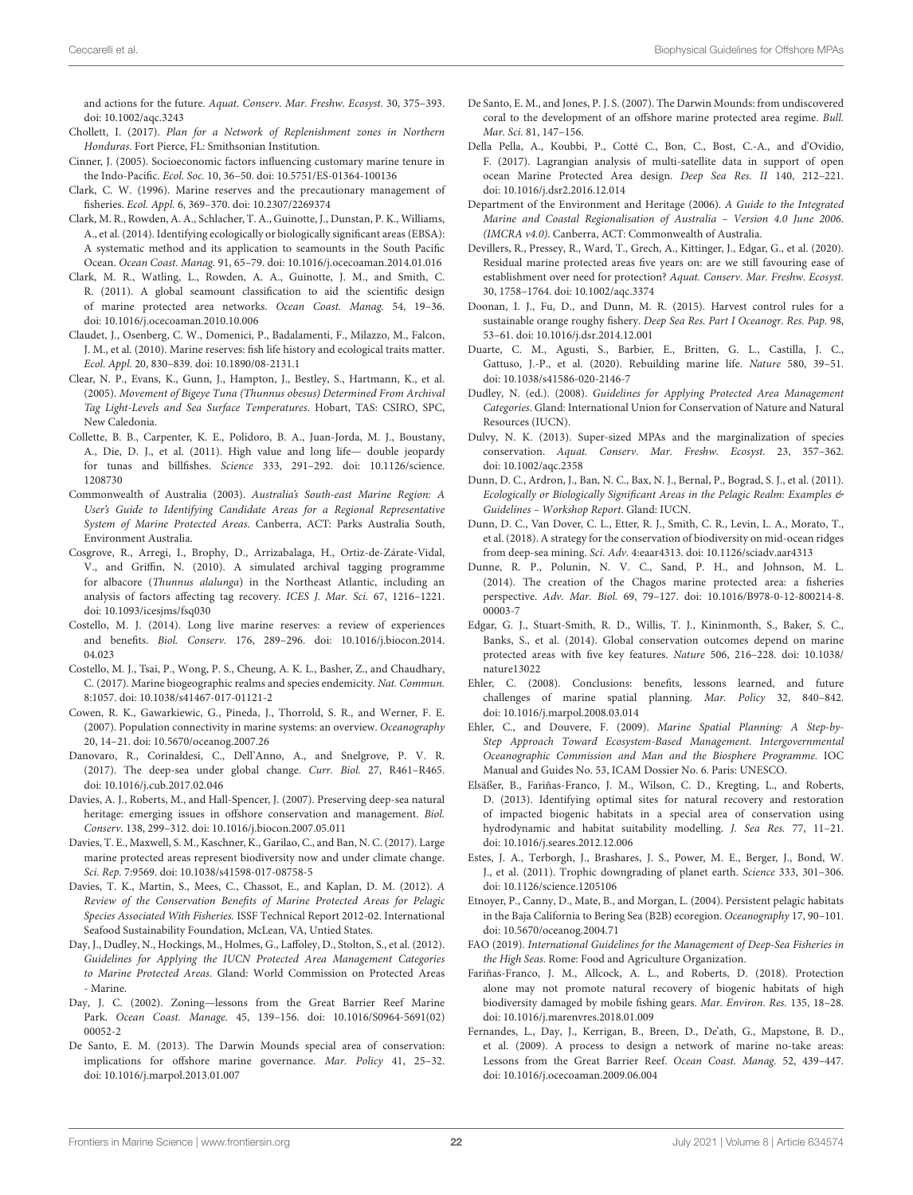and actions for the future. Aquat. Conserv. Mar. Freshw. Ecosyst. 30, 375–393. doi: [10.1002/aqc.3243](https://doi.org/10.1002/aqc.3243)

- <span id="page-21-26"></span>Chollett, I. (2017). Plan for a Network of Replenishment zones in Northern Honduras. Fort Pierce, FL: Smithsonian Institution.
- <span id="page-21-37"></span>Cinner, J. (2005). Socioeconomic factors influencing customary marine tenure in the Indo-Pacific. Ecol. Soc. 10, 36–50. doi: [10.5751/ES-01364-100136](https://doi.org/10.5751/ES-01364-100136)
- <span id="page-21-11"></span>Clark, C. W. (1996). Marine reserves and the precautionary management of fisheries. Ecol. Appl. 6, 369–370. doi: [10.2307/2269374](https://doi.org/10.2307/2269374)
- <span id="page-21-16"></span>Clark, M. R., Rowden, A. A., Schlacher, T. A., Guinotte, J., Dunstan, P. K., Williams, A., et al. (2014). Identifying ecologically or biologically significant areas (EBSA): A systematic method and its application to seamounts in the South Pacific Ocean. Ocean Coast. Manag. 91, 65–79. doi: [10.1016/j.ocecoaman.2014.01.016](https://doi.org/10.1016/j.ocecoaman.2014.01.016)
- <span id="page-21-17"></span>Clark, M. R., Watling, L., Rowden, A. A., Guinotte, J. M., and Smith, C. R. (2011). A global seamount classification to aid the scientific design of marine protected area networks. Ocean Coast. Manag. 54, 19–36. doi: [10.1016/j.ocecoaman.2010.10.006](https://doi.org/10.1016/j.ocecoaman.2010.10.006)
- <span id="page-21-3"></span>Claudet, J., Osenberg, C. W., Domenici, P., Badalamenti, F., Milazzo, M., Falcon, J. M., et al. (2010). Marine reserves: fish life history and ecological traits matter. Ecol. Appl. 20, 830–839. doi: [10.1890/08-2131.1](https://doi.org/10.1890/08-2131.1)
- <span id="page-21-12"></span>Clear, N. P., Evans, K., Gunn, J., Hampton, J., Bestley, S., Hartmann, K., et al. (2005). Movement of Bigeye Tuna (Thunnus obesus) Determined From Archival Tag Light-Levels and Sea Surface Temperatures. Hobart, TAS: CSIRO, SPC, New Caledonia.
- <span id="page-21-2"></span>Collette, B. B., Carpenter, K. E., Polidoro, B. A., Juan-Jorda, M. J., Boustany, A., Die, D. J., et al. (2011). High value and long life— double jeopardy for tunas and billfishes. Science [333, 291–292. doi: 10.1126/science.](https://doi.org/10.1126/science.1208730) 1208730
- <span id="page-21-27"></span><span id="page-21-20"></span>Commonwealth of Australia (2003). Australia's South-east Marine Region: A User's Guide to Identifying Candidate Areas for a Regional Representative System of Marine Protected Areas. Canberra, ACT: Parks Australia South, Environment Australia.
- <span id="page-21-13"></span>Cosgrove, R., Arregi, I., Brophy, D., Arrizabalaga, H., Ortiz-de-Zárate-Vidal, V., and Griffin, N. (2010). A simulated archival tagging programme for albacore (Thunnus alalunga) in the Northeast Atlantic, including an analysis of factors affecting tag recovery. ICES J. Mar. Sci. 67, 1216–1221. doi: [10.1093/icesjms/fsq030](https://doi.org/10.1093/icesjms/fsq030)
- <span id="page-21-1"></span>Costello, M. J. (2014). Long live marine reserves: a review of experiences and benefits. Biol. Conserv. [176, 289–296. doi: 10.1016/j.biocon.2014.](https://doi.org/10.1016/j.biocon.2014.04.023) 04.023
- <span id="page-21-28"></span>Costello, M. J., Tsai, P., Wong, P. S., Cheung, A. K. L., Basher, Z., and Chaudhary, C. (2017). Marine biogeographic realms and species endemicity. Nat. Commun. 8:1057. doi: [10.1038/s41467-017-01121-2](https://doi.org/10.1038/s41467-017-01121-2)
- <span id="page-21-31"></span>Cowen, R. K., Gawarkiewic, G., Pineda, J., Thorrold, S. R., and Werner, F. E. (2007). Population connectivity in marine systems: an overview. Oceanography 20, 14–21. doi: [10.5670/oceanog.2007.26](https://doi.org/10.5670/oceanog.2007.26)
- <span id="page-21-35"></span>Danovaro, R., Corinaldesi, C., Dell'Anno, A., and Snelgrove, P. V. R. (2017). The deep-sea under global change. Curr. Biol. 27, R461–R465. doi: [10.1016/j.cub.2017.02.046](https://doi.org/10.1016/j.cub.2017.02.046)
- <span id="page-21-6"></span>Davies, A. J., Roberts, M., and Hall-Spencer, J. (2007). Preserving deep-sea natural heritage: emerging issues in offshore conservation and management. Biol. Conserv. 138, 299–312. doi: [10.1016/j.biocon.2007.05.011](https://doi.org/10.1016/j.biocon.2007.05.011)
- <span id="page-21-7"></span>Davies, T. E., Maxwell, S. M., Kaschner, K., Garilao, C., and Ban, N. C. (2017). Large marine protected areas represent biodiversity now and under climate change. Sci. Rep. 7:9569. doi: [10.1038/s41598-017-08758-5](https://doi.org/10.1038/s41598-017-08758-5)
- <span id="page-21-5"></span>Davies, T. K., Martin, S., Mees, C., Chassot, E., and Kaplan, D. M. (2012). A Review of the Conservation Benefits of Marine Protected Areas for Pelagic Species Associated With Fisheries. ISSF Technical Report 2012-02. International Seafood Sustainability Foundation, McLean, VA, Untied States.
- <span id="page-21-25"></span>Day, J., Dudley, N., Hockings, M., Holmes, G., Laffoley, D., Stolton, S., et al. (2012). Guidelines for Applying the IUCN Protected Area Management Categories to Marine Protected Areas. Gland: World Commission on Protected Areas - Marine.
- <span id="page-21-33"></span>Day, J. C. (2002). Zoning—lessons from the Great Barrier Reef Marine Park. Ocean Coast. Manage. [45, 139–156. doi: 10.1016/S0964-5691\(02\)](https://doi.org/10.1016/S0964-5691(02)00052-2) 00052-2
- <span id="page-21-40"></span>De Santo, E. M. (2013). The Darwin Mounds special area of conservation: implications for offshore marine governance. Mar. Policy 41, 25–32. doi: [10.1016/j.marpol.2013.01.007](https://doi.org/10.1016/j.marpol.2013.01.007)
- <span id="page-21-19"></span><span id="page-21-15"></span>De Santo, E. M., and Jones, P. J. S. (2007). The Darwin Mounds: from undiscovered coral to the development of an offshore marine protected area regime. Bull. Mar. Sci. 81, 147–156.
- <span id="page-21-14"></span>Della Pella, A., Koubbi, P., Cotté C., Bon, C., Bost, C.-A., and d'Ovidio, F. (2017). Lagrangian analysis of multi-satellite data in support of open ocean Marine Protected Area design. Deep Sea Res. II 140, 212–221. doi: [10.1016/j.dsr2.2016.12.014](https://doi.org/10.1016/j.dsr2.2016.12.014)
- <span id="page-21-30"></span>Department of the Environment and Heritage (2006). A Guide to the Integrated Marine and Coastal Regionalisation of Australia – Version 4.0 June 2006. (IMCRA v4.0). Canberra, ACT: Commonwealth of Australia.
- <span id="page-21-8"></span>Devillers, R., Pressey, R., Ward, T., Grech, A., Kittinger, J., Edgar, G., et al. (2020). Residual marine protected areas five years on: are we still favouring ease of establishment over need for protection? Aquat. Conserv. Mar. Freshw. Ecosyst. 30, 1758–1764. doi: [10.1002/aqc.3374](https://doi.org/10.1002/aqc.3374)
- <span id="page-21-39"></span>Doonan, I. J., Fu, D., and Dunn, M. R. (2015). Harvest control rules for a sustainable orange roughy fishery. Deep Sea Res. Part I Oceanogr. Res. Pap. 98, 53–61. doi: [10.1016/j.dsr.2014.12.001](https://doi.org/10.1016/j.dsr.2014.12.001)
- <span id="page-21-0"></span>Duarte, C. M., Agusti, S., Barbier, E., Britten, G. L., Castilla, J. C., Gattuso, J.-P., et al. (2020). Rebuilding marine life. Nature 580, 39–51. doi: [10.1038/s41586-020-2146-7](https://doi.org/10.1038/s41586-020-2146-7)
- <span id="page-21-36"></span>Dudley, N. (ed.). (2008). Guidelines for Applying Protected Area Management Categories. Gland: International Union for Conservation of Nature and Natural Resources (IUCN).
- <span id="page-21-43"></span><span id="page-21-22"></span>Dulvy, N. K. (2013). Super-sized MPAs and the marginalization of species conservation. Aquat. Conserv. Mar. Freshw. Ecosyst. 23, 357–362. doi: [10.1002/aqc.2358](https://doi.org/10.1002/aqc.2358)
- <span id="page-21-21"></span><span id="page-21-18"></span>Dunn, D. C., Ardron, J., Ban, N. C., Bax, N. J., Bernal, P., Bograd, S. J., et al. (2011). Ecologically or Biologically Significant Areas in the Pelagic Realm: Examples & Guidelines – Workshop Report. Gland: IUCN.
- <span id="page-21-9"></span>Dunn, D. C., Van Dover, C. L., Etter, R. J., Smith, C. R., Levin, L. A., Morato, T., et al. (2018). A strategy for the conservation of biodiversity on mid-ocean ridges from deep-sea mining. Sci. Adv. 4:eaar4313. doi: [10.1126/sciadv.aar4313](https://doi.org/10.1126/sciadv.aar4313)
- <span id="page-21-4"></span>Dunne, R. P., Polunin, N. V. C., Sand, P. H., and Johnson, M. L. (2014). The creation of the Chagos marine protected area: a fisheries perspective. Adv. Mar. Biol. [69, 79–127. doi: 10.1016/B978-0-12-800214-8.](https://doi.org/10.1016/B978-0-12-800214-8.00003-7) 00003-7
- <span id="page-21-10"></span>Edgar, G. J., Stuart-Smith, R. D., Willis, T. J., Kininmonth, S., Baker, S. C., Banks, S., et al. (2014). Global conservation outcomes depend on marine [protected areas with five key features.](https://doi.org/10.1038/nature13022) Nature 506, 216–228. doi: 10.1038/ nature13022
- <span id="page-21-41"></span>Ehler, C. (2008). Conclusions: benefits, lessons learned, and future challenges of marine spatial planning. Mar. Policy 32, 840–842. doi: [10.1016/j.marpol.2008.03.014](https://doi.org/10.1016/j.marpol.2008.03.014)
- <span id="page-21-42"></span>Ehler, C., and Douvere, F. (2009). Marine Spatial Planning: A Step-by-Step Approach Toward Ecosystem-Based Management. Intergovernmental Oceanographic Commission and Man and the Biosphere Programme. IOC Manual and Guides No. 53, ICAM Dossier No. 6. Paris: UNESCO.
- <span id="page-21-32"></span>Elsäßer, B., Fariñas-Franco, J. M., Wilson, C. D., Kregting, L., and Roberts, D. (2013). Identifying optimal sites for natural recovery and restoration of impacted biogenic habitats in a special area of conservation using hydrodynamic and habitat suitability modelling. J. Sea Res. 77, 11–21. doi: [10.1016/j.seares.2012.12.006](https://doi.org/10.1016/j.seares.2012.12.006)
- <span id="page-21-34"></span>Estes, J. A., Terborgh, J., Brashares, J. S., Power, M. E., Berger, J., Bond, W. J., et al. (2011). Trophic downgrading of planet earth. Science 333, 301–306. doi: [10.1126/science.1205106](https://doi.org/10.1126/science.1205106)
- <span id="page-21-29"></span>Etnoyer, P., Canny, D., Mate, B., and Morgan, L. (2004). Persistent pelagic habitats in the Baja California to Bering Sea (B2B) ecoregion. Oceanography 17, 90–101. doi: [10.5670/oceanog.2004.71](https://doi.org/10.5670/oceanog.2004.71)
- <span id="page-21-24"></span>FAO (2019). International Guidelines for the Management of Deep-Sea Fisheries in the High Seas. Rome: Food and Agriculture Organization.
- <span id="page-21-38"></span>Fariñas-Franco, J. M., Allcock, A. L., and Roberts, D. (2018). Protection alone may not promote natural recovery of biogenic habitats of high biodiversity damaged by mobile fishing gears. Mar. Environ. Res. 135, 18–28. doi: [10.1016/j.marenvres.2018.01.009](https://doi.org/10.1016/j.marenvres.2018.01.009)
- <span id="page-21-23"></span>Fernandes, L., Day, J., Kerrigan, B., Breen, D., De'ath, G., Mapstone, B. D., et al. (2009). A process to design a network of marine no-take areas: Lessons from the Great Barrier Reef. Ocean Coast. Manag. 52, 439–447. doi: [10.1016/j.ocecoaman.2009.06.004](https://doi.org/10.1016/j.ocecoaman.2009.06.004)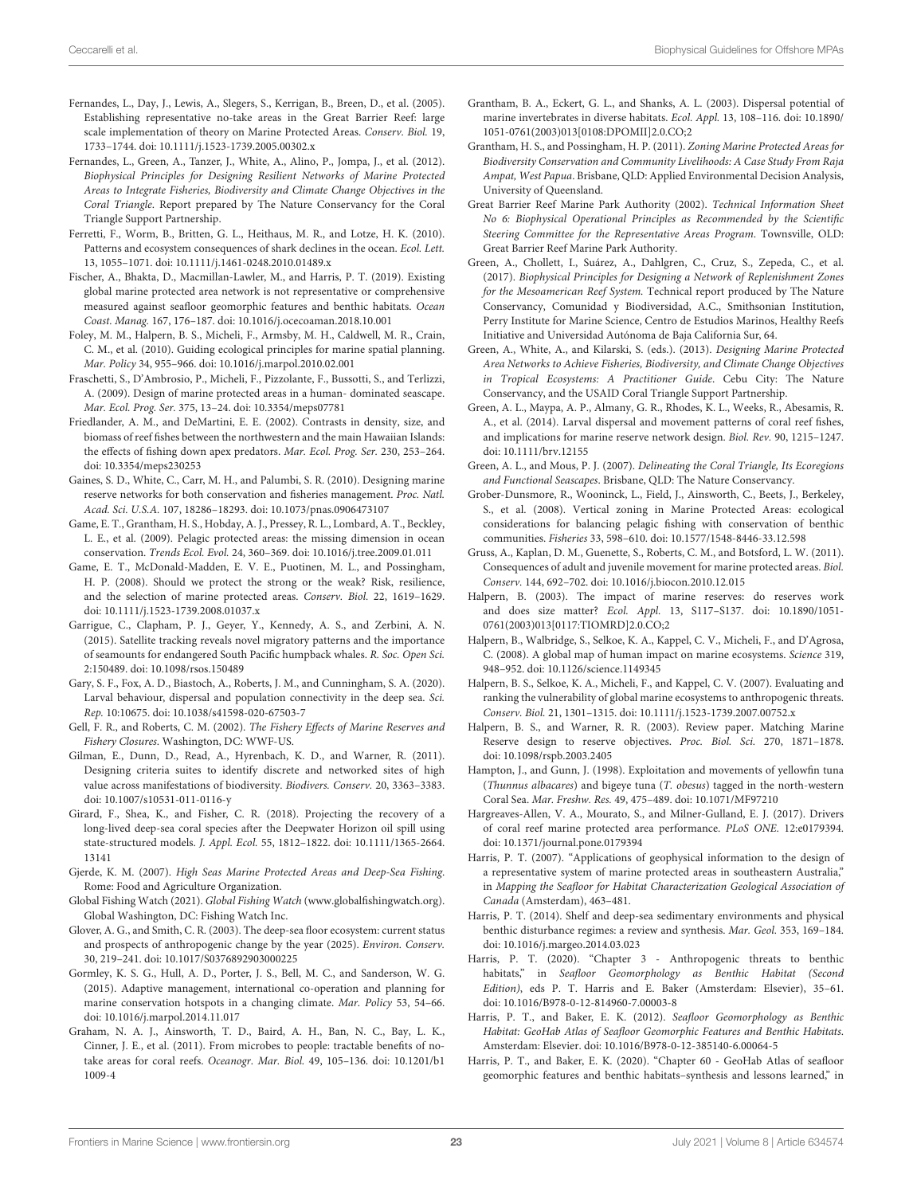- <span id="page-22-31"></span>Fernandes, L., Day, J., Lewis, A., Slegers, S., Kerrigan, B., Breen, D., et al. (2005). Establishing representative no-take areas in the Great Barrier Reef: large scale implementation of theory on Marine Protected Areas. Conserv. Biol. 19, 1733–1744. doi: [10.1111/j.1523-1739.2005.00302.x](https://doi.org/10.1111/j.1523-1739.2005.00302.x)
- <span id="page-22-17"></span>Fernandes, L., Green, A., Tanzer, J., White, A., Alino, P., Jompa, J., et al. (2012). Biophysical Principles for Designing Resilient Networks of Marine Protected Areas to Integrate Fisheries, Biodiversity and Climate Change Objectives in the Coral Triangle. Report prepared by The Nature Conservancy for the Coral Triangle Support Partnership.
- <span id="page-22-7"></span>Ferretti, F., Worm, B., Britten, G. L., Heithaus, M. R., and Lotze, H. K. (2010). Patterns and ecosystem consequences of shark declines in the ocean. Ecol. Lett. 13, 1055–1071. doi: [10.1111/j.1461-0248.2010.01489.x](https://doi.org/10.1111/j.1461-0248.2010.01489.x)
- <span id="page-22-27"></span>Fischer, A., Bhakta, D., Macmillan-Lawler, M., and Harris, P. T. (2019). Existing global marine protected area network is not representative or comprehensive measured against seafloor geomorphic features and benthic habitats. Ocean Coast. Manag. 167, 176–187. doi: [10.1016/j.ocecoaman.2018.10.001](https://doi.org/10.1016/j.ocecoaman.2018.10.001)
- <span id="page-22-30"></span>Foley, M. M., Halpern, B. S., Micheli, F., Armsby, M. H., Caldwell, M. R., Crain, C. M., et al. (2010). Guiding ecological principles for marine spatial planning. Mar. Policy 34, 955–966. doi: [10.1016/j.marpol.2010.02.001](https://doi.org/10.1016/j.marpol.2010.02.001)
- <span id="page-22-36"></span>Fraschetti, S., D'Ambrosio, P., Micheli, F., Pizzolante, F., Bussotti, S., and Terlizzi, A. (2009). Design of marine protected areas in a human- dominated seascape. Mar. Ecol. Prog. Ser. 375, 13–24. doi: [10.3354/meps07781](https://doi.org/10.3354/meps07781)
- <span id="page-22-34"></span>Friedlander, A. M., and DeMartini, E. E. (2002). Contrasts in density, size, and biomass of reef fishes between the northwestern and the main Hawaiian Islands: the effects of fishing down apex predators. Mar. Ecol. Prog. Ser. 230, 253–264. doi: [10.3354/meps230253](https://doi.org/10.3354/meps230253)
- <span id="page-22-18"></span>Gaines, S. D., White, C., Carr, M. H., and Palumbi, S. R. (2010). Designing marine reserve networks for both conservation and fisheries management. Proc. Natl. Acad. Sci. U.S.A. 107, 18286–18293. doi: [10.1073/pnas.0906473107](https://doi.org/10.1073/pnas.0906473107)
- <span id="page-22-28"></span>Game, E. T., Grantham, H. S., Hobday, A. J., Pressey, R. L., Lombard, A. T., Beckley, L. E., et al. (2009). Pelagic protected areas: the missing dimension in ocean conservation. Trends Ecol. Evol. 24, 360–369. doi: [10.1016/j.tree.2009.01.011](https://doi.org/10.1016/j.tree.2009.01.011)
- <span id="page-22-40"></span>Game, E. T., McDonald-Madden, E. V. E., Puotinen, M. L., and Possingham, H. P. (2008). Should we protect the strong or the weak? Risk, resilience, and the selection of marine protected areas. Conserv. Biol. 22, 1619–1629. doi: [10.1111/j.1523-1739.2008.01037.x](https://doi.org/10.1111/j.1523-1739.2008.01037.x)
- <span id="page-22-14"></span>Garrigue, C., Clapham, P. J., Geyer, Y., Kennedy, A. S., and Zerbini, A. N. (2015). Satellite tracking reveals novel migratory patterns and the importance of seamounts for endangered South Pacific humpback whales. R. Soc. Open Sci. 2:150489. doi: [10.1098/rsos.150489](https://doi.org/10.1098/rsos.150489)
- <span id="page-22-12"></span>Gary, S. F., Fox, A. D., Biastoch, A., Roberts, J. M., and Cunningham, S. A. (2020). Larval behaviour, dispersal and population connectivity in the deep sea. Sci. Rep. 10:10675. doi: [10.1038/s41598-020-67503-7](https://doi.org/10.1038/s41598-020-67503-7)
- <span id="page-22-15"></span>Gell, F. R., and Roberts, C. M. (2002). The Fishery Effects of Marine Reserves and Fishery Closures. Washington, DC: WWF-US.
- <span id="page-22-3"></span>Gilman, E., Dunn, D., Read, A., Hyrenbach, K. D., and Warner, R. (2011). Designing criteria suites to identify discrete and networked sites of high value across manifestations of biodiversity. Biodivers. Conserv. 20, 3363–3383. doi: [10.1007/s10531-011-0116-y](https://doi.org/10.1007/s10531-011-0116-y)
- <span id="page-22-35"></span>Girard, F., Shea, K., and Fisher, C. R. (2018). Projecting the recovery of a long-lived deep-sea coral species after the Deepwater Horizon oil spill using state-structured models. J. Appl. Ecol. [55, 1812–1822. doi: 10.1111/1365-2664.](https://doi.org/10.1111/1365-2664.13141) 13141
- <span id="page-22-9"></span>Gjerde, K. M. (2007). High Seas Marine Protected Areas and Deep-Sea Fishing. Rome: Food and Agriculture Organization.
- <span id="page-22-42"></span>Global Fishing Watch (2021). Global Fishing Watch [\(www.globalfishingwatch.org\)](http://www.globalfishingwatch.org). Global Washington, DC: Fishing Watch Inc.
- <span id="page-22-4"></span>Glover, A. G., and Smith, C. R. (2003). The deep-sea floor ecosystem: current status and prospects of anthropogenic change by the year (2025). Environ. Conserv. 30, 219–241. doi: [10.1017/S0376892903000225](https://doi.org/10.1017/S0376892903000225)
- <span id="page-22-41"></span>Gormley, K. S. G., Hull, A. D., Porter, J. S., Bell, M. C., and Sanderson, W. G. (2015). Adaptive management, international co-operation and planning for marine conservation hotspots in a changing climate. Mar. Policy 53, 54–66. doi: [10.1016/j.marpol.2014.11.017](https://doi.org/10.1016/j.marpol.2014.11.017)
- <span id="page-22-0"></span>Graham, N. A. J., Ainsworth, T. D., Baird, A. H., Ban, N. C., Bay, L. K., Cinner, J. E., et al. (2011). From microbes to people: tractable benefits of notake areas for coral reefs. Oceanogr. Mar. Biol. [49, 105–136. doi: 10.1201/b1](https://doi.org/10.1201/b11009-4) 1009-4
- <span id="page-22-32"></span><span id="page-22-21"></span><span id="page-22-20"></span>Grantham, B. A., Eckert, G. L., and Shanks, A. L. (2003). Dispersal potential of marine invertebrates in diverse habitats. Ecol. Appl. 13, 108–116. doi: 10.1890/ [1051-0761\(2003\)013\[0108:DPOMII\]2.0.CO;2](https://doi.org/10.1890/1051-0761(2003)013[0108:DPOMII]2.0.CO;2)
- <span id="page-22-37"></span>Grantham, H. S., and Possingham, H. P. (2011). Zoning Marine Protected Areas for Biodiversity Conservation and Community Livelihoods: A Case Study From Raja Ampat, West Papua. Brisbane, QLD: Applied Environmental Decision Analysis, University of Queensland.
- <span id="page-22-24"></span>Great Barrier Reef Marine Park Authority (2002). Technical Information Sheet No 6: Biophysical Operational Principles as Recommended by the Scientific Steering Committee for the Representative Areas Program. Townsville, OLD: Great Barrier Reef Marine Park Authority.
- <span id="page-22-26"></span>Green, A., Chollett, I., Suárez, A., Dahlgren, C., Cruz, S., Zepeda, C., et al. (2017). Biophysical Principles for Designing a Network of Replenishment Zones for the Mesoamerican Reef System. Technical report produced by The Nature Conservancy, Comunidad y Biodiversidad, A.C., Smithsonian Institution, Perry Institute for Marine Science, Centro de Estudios Marinos, Healthy Reefs Initiative and Universidad Autónoma de Baja California Sur, 64.
- <span id="page-22-1"></span>Green, A., White, A., and Kilarski, S. (eds.). (2013). Designing Marine Protected Area Networks to Achieve Fisheries, Biodiversity, and Climate Change Objectives in Tropical Ecosystems: A Practitioner Guide. Cebu City: The Nature Conservancy, and the USAID Coral Triangle Support Partnership.
- <span id="page-22-2"></span>Green, A. L., Maypa, A. P., Almany, G. R., Rhodes, K. L., Weeks, R., Abesamis, R. A., et al. (2014). Larval dispersal and movement patterns of coral reef fishes, and implications for marine reserve network design. Biol. Rev. 90, 1215–1247. doi: [10.1111/brv.12155](https://doi.org/10.1111/brv.12155)
- <span id="page-22-23"></span><span id="page-22-22"></span><span id="page-22-13"></span>Green, A. L., and Mous, P. J. (2007). Delineating the Coral Triangle, Its Ecoregions and Functional Seascapes. Brisbane, QLD: The Nature Conservancy.
- <span id="page-22-8"></span>Grober-Dunsmore, R., Wooninck, L., Field, J., Ainsworth, C., Beets, J., Berkeley, S., et al. (2008). Vertical zoning in Marine Protected Areas: ecological considerations for balancing pelagic fishing with conservation of benthic communities. Fisheries 33, 598–610. doi: [10.1577/1548-8446-33.12.598](https://doi.org/10.1577/1548-8446-33.12.598)
- <span id="page-22-19"></span>Gruss, A., Kaplan, D. M., Guenette, S., Roberts, C. M., and Botsford, L. W. (2011). Consequences of adult and juvenile movement for marine protected areas. Biol. Conserv. 144, 692–702. doi: [10.1016/j.biocon.2010.12.015](https://doi.org/10.1016/j.biocon.2010.12.015)
- <span id="page-22-10"></span>Halpern, B. (2003). The impact of marine reserves: do reserves work and does size matter? Ecol. Appl. 13, S117–S137. doi: 10.1890/1051- [0761\(2003\)013\[0117:TIOMRD\]2.0.CO;2](https://doi.org/10.1890/1051-0761(2003)013[0117:TIOMRD]2.0.CO;2)
- <span id="page-22-5"></span>Halpern, B., Walbridge, S., Selkoe, K. A., Kappel, C. V., Micheli, F., and D'Agrosa, C. (2008). A global map of human impact on marine ecosystems. Science 319, 948–952. doi: [10.1126/science.1149345](https://doi.org/10.1126/science.1149345)
- <span id="page-22-25"></span>Halpern, B. S., Selkoe, K. A., Micheli, F., and Kappel, C. V. (2007). Evaluating and ranking the vulnerability of global marine ecosystems to anthropogenic threats. Conserv. Biol. 21, 1301–1315. doi: [10.1111/j.1523-1739.2007.00752.x](https://doi.org/10.1111/j.1523-1739.2007.00752.x)
- <span id="page-22-16"></span>Halpern, B. S., and Warner, R. R. (2003). Review paper. Matching Marine Reserve design to reserve objectives. Proc. Biol. Sci. 270, 1871–1878. doi: [10.1098/rspb.2003.2405](https://doi.org/10.1098/rspb.2003.2405)
- <span id="page-22-11"></span>Hampton, J., and Gunn, J. (1998). Exploitation and movements of yellowfin tuna (Thunnus albacares) and bigeye tuna (T. obesus) tagged in the north-western Coral Sea. Mar. Freshw. Res. 49, 475–489. doi: [10.1071/MF97210](https://doi.org/10.1071/MF97210)
- <span id="page-22-33"></span>Hargreaves-Allen, V. A., Mourato, S., and Milner-Gulland, E. J. (2017). Drivers of coral reef marine protected area performance. PLoS ONE. 12:e0179394. doi: [10.1371/journal.pone.0179394](https://doi.org/10.1371/journal.pone.0179394)
- <span id="page-22-38"></span>Harris, P. T. (2007). "Applications of geophysical information to the design of a representative system of marine protected areas in southeastern Australia," in Mapping the Seafloor for Habitat Characterization Geological Association of Canada (Amsterdam), 463–481.
- <span id="page-22-39"></span>Harris, P. T. (2014). Shelf and deep-sea sedimentary environments and physical benthic disturbance regimes: a review and synthesis. Mar. Geol. 353, 169–184. doi: [10.1016/j.margeo.2014.03.023](https://doi.org/10.1016/j.margeo.2014.03.023)
- <span id="page-22-6"></span>Harris, P. T. (2020). "Chapter 3 - Anthropogenic threats to benthic habitats," in Seafloor Geomorphology as Benthic Habitat (Second Edition), eds P. T. Harris and E. Baker (Amsterdam: Elsevier), 35–61. doi: [10.1016/B978-0-12-814960-7.00003-8](https://doi.org/10.1016/B978-0-12-814960-7.00003-8)
- <span id="page-22-29"></span>Harris, P. T., and Baker, E. K. (2012). Seafloor Geomorphology as Benthic Habitat: GeoHab Atlas of Seafloor Geomorphic Features and Benthic Habitats. Amsterdam: Elsevier. doi: [10.1016/B978-0-12-385140-6.00064-5](https://doi.org/10.1016/B978-0-12-385140-6.00064-5)
- <span id="page-22-43"></span>Harris, P. T., and Baker, E. K. (2020). "Chapter 60 - GeoHab Atlas of seafloor geomorphic features and benthic habitats–synthesis and lessons learned," in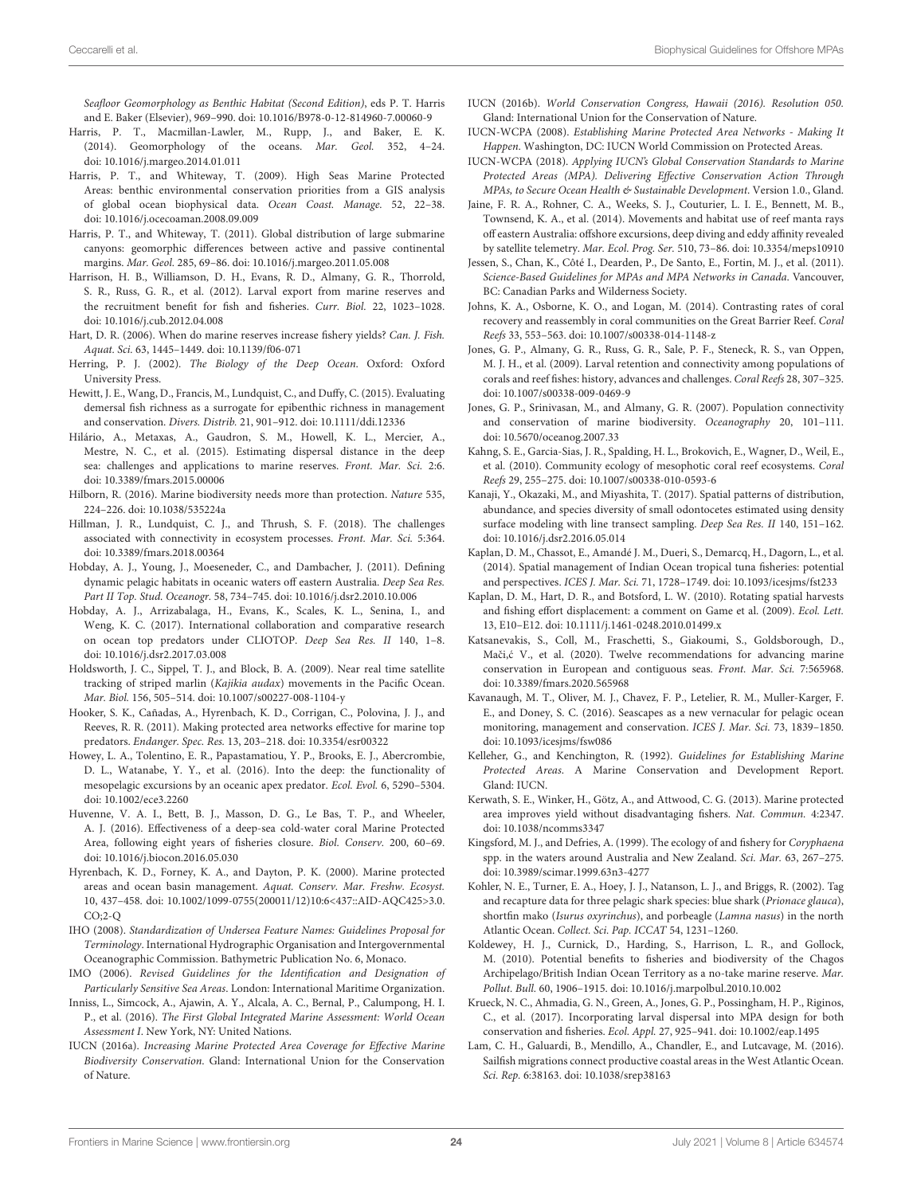Seafloor Geomorphology as Benthic Habitat (Second Edition), eds P. T. Harris and E. Baker (Elsevier), 969–990. doi: [10.1016/B978-0-12-814960-7.00060-9](https://doi.org/10.1016/B978-0-12-814960-7.00060-9)

- <span id="page-23-13"></span>Harris, P. T., Macmillan-Lawler, M., Rupp, J., and Baker, E. K. (2014). Geomorphology of the oceans. Mar. Geol. 352, 4–24. doi: [10.1016/j.margeo.2014.01.011](https://doi.org/10.1016/j.margeo.2014.01.011)
- <span id="page-23-36"></span>Harris, P. T., and Whiteway, T. (2009). High Seas Marine Protected Areas: benthic environmental conservation priorities from a GIS analysis of global ocean biophysical data. Ocean Coast. Manage. 52, 22–38. doi: [10.1016/j.ocecoaman.2008.09.009](https://doi.org/10.1016/j.ocecoaman.2008.09.009)
- <span id="page-23-24"></span>Harris, P. T., and Whiteway, T. (2011). Global distribution of large submarine canyons: geomorphic differences between active and passive continental margins. Mar. Geol. 285, 69–86. doi: [10.1016/j.margeo.2011.05.008](https://doi.org/10.1016/j.margeo.2011.05.008)
- <span id="page-23-21"></span>Harrison, H. B., Williamson, D. H., Evans, R. D., Almany, G. R., Thorrold, S. R., Russ, G. R., et al. (2012). Larval export from marine reserves and the recruitment benefit for fish and fisheries. Curr. Biol. 22, 1023–1028. doi: [10.1016/j.cub.2012.04.008](https://doi.org/10.1016/j.cub.2012.04.008)
- <span id="page-23-34"></span>Hart, D. R. (2006). When do marine reserves increase fishery yields? Can. J. Fish. Aquat. Sci. 63, 1445–1449. doi: [10.1139/f06-071](https://doi.org/10.1139/f06-071)
- <span id="page-23-0"></span>Herring, P. J. (2002). The Biology of the Deep Ocean. Oxford: Oxford University Press.
- <span id="page-23-39"></span>Hewitt, J. E., Wang, D., Francis, M., Lundquist, C., and Duffy, C. (2015). Evaluating demersal fish richness as a surrogate for epibenthic richness in management and conservation. Divers. Distrib. 21, 901–912. doi: [10.1111/ddi.12336](https://doi.org/10.1111/ddi.12336)
- <span id="page-23-16"></span>Hilário, A., Metaxas, A., Gaudron, S. M., Howell, K. L., Mercier, A., Mestre, N. C., et al. (2015). Estimating dispersal distance in the deep sea: challenges and applications to marine reserves. Front. Mar. Sci. 2:6. doi: [10.3389/fmars.2015.00006](https://doi.org/10.3389/fmars.2015.00006)
- <span id="page-23-35"></span>Hilborn, R. (2016). Marine biodiversity needs more than protection. Nature 535, 224–226. doi: [10.1038/535224a](https://doi.org/10.1038/535224a)
- <span id="page-23-17"></span>Hillman, J. R., Lundquist, C. J., and Thrush, S. F. (2018). The challenges associated with connectivity in ecosystem processes. Front. Mar. Sci. 5:364. doi: [10.3389/fmars.2018.00364](https://doi.org/10.3389/fmars.2018.00364)
- <span id="page-23-10"></span>Hobday, A. J., Young, J., Moeseneder, C., and Dambacher, J. (2011). Defining dynamic pelagic habitats in oceanic waters off eastern Australia. Deep Sea Res. Part II Top. Stud. Oceanogr. 58, 734–745. doi: [10.1016/j.dsr2.2010.10.006](https://doi.org/10.1016/j.dsr2.2010.10.006)
- <span id="page-23-26"></span>Hobday, A. J., Arrizabalaga, H., Evans, K., Scales, K. L., Senina, I., and Weng, K. C. (2017). International collaboration and comparative research on ocean top predators under CLIOTOP. Deep Sea Res. II 140, 1–8. doi: [10.1016/j.dsr2.2017.03.008](https://doi.org/10.1016/j.dsr2.2017.03.008)
- <span id="page-23-8"></span>Holdsworth, J. C., Sippel, T. J., and Block, B. A. (2009). Near real time satellite tracking of striped marlin (Kajikia audax) movements in the Pacific Ocean. Mar. Biol. 156, 505–514. doi: [10.1007/s00227-008-1104-y](https://doi.org/10.1007/s00227-008-1104-y)
- <span id="page-23-11"></span>Hooker, S. K., Cañadas, A., Hyrenbach, K. D., Corrigan, C., Polovina, J. J., and Reeves, R. R. (2011). Making protected area networks effective for marine top predators. Endanger. Spec. Res. 13, 203–218. doi: [10.3354/esr00322](https://doi.org/10.3354/esr00322)
- <span id="page-23-9"></span>Howey, L. A., Tolentino, E. R., Papastamatiou, Y. P., Brooks, E. J., Abercrombie, D. L., Watanabe, Y. Y., et al. (2016). Into the deep: the functionality of mesopelagic excursions by an oceanic apex predator. Ecol. Evol. 6, 5290–5304. doi: [10.1002/ece3.2260](https://doi.org/10.1002/ece3.2260)
- <span id="page-23-2"></span>Huvenne, V. A. I., Bett, B. J., Masson, D. G., Le Bas, T. P., and Wheeler, A. J. (2016). Effectiveness of a deep-sea cold-water coral Marine Protected Area, following eight years of fisheries closure. Biol. Conserv. 200, 60–69. doi: [10.1016/j.biocon.2016.05.030](https://doi.org/10.1016/j.biocon.2016.05.030)
- <span id="page-23-12"></span>Hyrenbach, K. D., Forney, K. A., and Dayton, P. K. (2000). Marine protected areas and ocean basin management. Aquat. Conserv. Mar. Freshw. Ecosyst. [10, 437–458. doi: 10.1002/1099-0755\(200011/12\)10:6<437::AID-AQC425>3.0.](https://doi.org/10.1002/1099-0755(200011/12)10:6<437::AID-AQC425>3.0.CO;2-Q)  $CO:2-O$
- <span id="page-23-23"></span>IHO (2008). Standardization of Undersea Feature Names: Guidelines Proposal for Terminology. International Hydrographic Organisation and Intergovernmental Oceanographic Commission. Bathymetric Publication No. 6, Monaco.
- <span id="page-23-25"></span>IMO (2006). Revised Guidelines for the Identification and Designation of Particularly Sensitive Sea Areas. London: International Maritime Organization.
- <span id="page-23-41"></span>Inniss, L., Simcock, A., Ajawin, A. Y., Alcala, A. C., Bernal, P., Calumpong, H. I. P., et al. (2016). The First Global Integrated Marine Assessment: World Ocean Assessment I. New York, NY: United Nations.
- <span id="page-23-4"></span>IUCN (2016a). Increasing Marine Protected Area Coverage for Effective Marine Biodiversity Conservation. Gland: International Union for the Conservation of Nature.
- <span id="page-23-40"></span>IUCN (2016b). World Conservation Congress, Hawaii (2016). Resolution 050. Gland: International Union for the Conservation of Nature.
- <span id="page-23-18"></span>IUCN-WCPA (2008). Establishing Marine Protected Area Networks - Making It Happen. Washington, DC: IUCN World Commission on Protected Areas.
- <span id="page-23-3"></span>IUCN-WCPA (2018). Applying IUCN's Global Conservation Standards to Marine Protected Areas (MPA). Delivering Effective Conservation Action Through MPAs, to Secure Ocean Health & Sustainable Development. Version 1.0., Gland.
- <span id="page-23-38"></span>Jaine, F. R. A., Rohner, C. A., Weeks, S. J., Couturier, L. I. E., Bennett, M. B., Townsend, K. A., et al. (2014). Movements and habitat use of reef manta rays off eastern Australia: offshore excursions, deep diving and eddy affinity revealed by satellite telemetry. Mar. Ecol. Prog. Ser. 510, 73–86. doi: [10.3354/meps10910](https://doi.org/10.3354/meps10910)
- <span id="page-23-19"></span>Jessen, S., Chan, K., Côté I., Dearden, P., De Santo, E., Fortin, M. J., et al. (2011). Science-Based Guidelines for MPAs and MPA Networks in Canada. Vancouver, BC: Canadian Parks and Wilderness Society.
- <span id="page-23-32"></span>Johns, K. A., Osborne, K. O., and Logan, M. (2014). Contrasting rates of coral recovery and reassembly in coral communities on the Great Barrier Reef. Coral Reefs 33, 553–563. doi: [10.1007/s00338-014-1148-z](https://doi.org/10.1007/s00338-014-1148-z)
- <span id="page-23-28"></span>Jones, G. P., Almany, G. R., Russ, G. R., Sale, P. F., Steneck, R. S., van Oppen, M. J. H., et al. (2009). Larval retention and connectivity among populations of corals and reef fishes: history, advances and challenges. Coral Reefs 28, 307–325. doi: [10.1007/s00338-009-0469-9](https://doi.org/10.1007/s00338-009-0469-9)
- <span id="page-23-20"></span>Jones, G. P., Srinivasan, M., and Almany, G. R. (2007). Population connectivity and conservation of marine biodiversity. Oceanography 20, 101–111. doi: [10.5670/oceanog.2007.33](https://doi.org/10.5670/oceanog.2007.33)
- <span id="page-23-15"></span>Kahng, S. E., Garcia-Sias, J. R., Spalding, H. L., Brokovich, E., Wagner, D., Weil, E., et al. (2010). Community ecology of mesophotic coral reef ecosystems. Coral Reefs 29, 255–275. doi: [10.1007/s00338-010-0593-6](https://doi.org/10.1007/s00338-010-0593-6)
- <span id="page-23-14"></span>Kanaji, Y., Okazaki, M., and Miyashita, T. (2017). Spatial patterns of distribution, abundance, and species diversity of small odontocetes estimated using density surface modeling with line transect sampling. Deep Sea Res. II 140, 151–162. doi: [10.1016/j.dsr2.2016.05.014](https://doi.org/10.1016/j.dsr2.2016.05.014)
- <span id="page-23-22"></span>Kaplan, D. M., Chassot, E., Amandé J. M., Dueri, S., Demarcq, H., Dagorn, L., et al. (2014). Spatial management of Indian Ocean tropical tuna fisheries: potential and perspectives. ICES J. Mar. Sci. 71, 1728–1749. doi: [10.1093/icesjms/fst233](https://doi.org/10.1093/icesjms/fst233)
- <span id="page-23-33"></span>Kaplan, D. M., Hart, D. R., and Botsford, L. W. (2010). Rotating spatial harvests and fishing effort displacement: a comment on Game et al. (2009). Ecol. Lett. 13, E10–E12. doi: [10.1111/j.1461-0248.2010.01499.x](https://doi.org/10.1111/j.1461-0248.2010.01499.x)
- <span id="page-23-37"></span>Katsanevakis, S., Coll, M., Fraschetti, S., Giakoumi, S., Goldsborough, D., Mači, ć V., et al. (2020). Twelve recommendations for advancing marine conservation in European and contiguous seas. Front. Mar. Sci. 7:565968. doi: [10.3389/fmars.2020.565968](https://doi.org/10.3389/fmars.2020.565968)
- <span id="page-23-27"></span>Kavanaugh, M. T., Oliver, M. J., Chavez, F. P., Letelier, R. M., Muller-Karger, F. E., and Doney, S. C. (2016). Seascapes as a new vernacular for pelagic ocean monitoring, management and conservation. ICES J. Mar. Sci. 73, 1839–1850. doi: [10.1093/icesjms/fsw086](https://doi.org/10.1093/icesjms/fsw086)
- <span id="page-23-5"></span>Kelleher, G., and Kenchington, R. (1992). Guidelines for Establishing Marine Protected Areas. A Marine Conservation and Development Report. Gland: IUCN.
- <span id="page-23-31"></span>Kerwath, S. E., Winker, H., Götz, A., and Attwood, C. G. (2013). Marine protected area improves yield without disadvantaging fishers. Nat. Commun. 4:2347. doi: [10.1038/ncomms3347](https://doi.org/10.1038/ncomms3347)
- <span id="page-23-6"></span>Kingsford, M. J., and Defries, A. (1999). The ecology of and fishery for Coryphaena spp. in the waters around Australia and New Zealand. Sci. Mar. 63, 267–275. doi: [10.3989/scimar.1999.63n3-4277](https://doi.org/10.3989/scimar.1999.63n3-4277)
- <span id="page-23-7"></span>Kohler, N. E., Turner, E. A., Hoey, J. J., Natanson, L. J., and Briggs, R. (2002). Tag and recapture data for three pelagic shark species: blue shark (Prionace glauca), shortfin mako (Isurus oxyrinchus), and porbeagle (Lamna nasus) in the north Atlantic Ocean. Collect. Sci. Pap. ICCAT 54, 1231–1260.
- <span id="page-23-1"></span>Koldewey, H. J., Curnick, D., Harding, S., Harrison, L. R., and Gollock, M. (2010). Potential benefits to fisheries and biodiversity of the Chagos Archipelago/British Indian Ocean Territory as a no-take marine reserve. Mar. Pollut. Bull. 60, 1906–1915. doi: [10.1016/j.marpolbul.2010.10.002](https://doi.org/10.1016/j.marpolbul.2010.10.002)
- <span id="page-23-30"></span>Krueck, N. C., Ahmadia, G. N., Green, A., Jones, G. P., Possingham, H. P., Riginos, C., et al. (2017). Incorporating larval dispersal into MPA design for both conservation and fisheries. Ecol. Appl. 27, 925–941. doi: [10.1002/eap.1495](https://doi.org/10.1002/eap.1495)
- <span id="page-23-29"></span>Lam, C. H., Galuardi, B., Mendillo, A., Chandler, E., and Lutcavage, M. (2016). Sailfish migrations connect productive coastal areas in the West Atlantic Ocean. Sci. Rep. 6:38163. doi: [10.1038/srep38163](https://doi.org/10.1038/srep38163)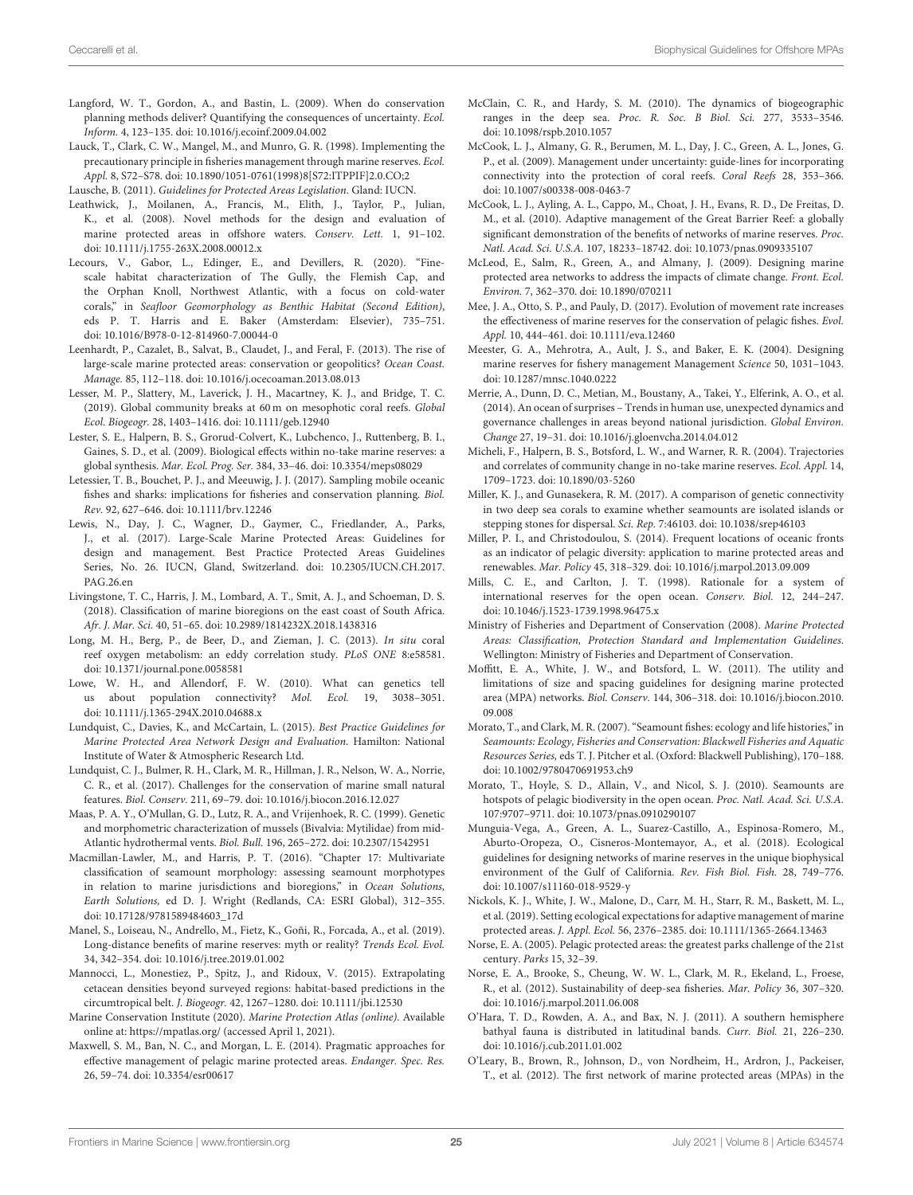- <span id="page-24-41"></span>Langford, W. T., Gordon, A., and Bastin, L. (2009). When do conservation planning methods deliver? Quantifying the consequences of uncertainty. Ecol. Inform. 4, 123–135. doi: [10.1016/j.ecoinf.2009.04.002](https://doi.org/10.1016/j.ecoinf.2009.04.002)
- <span id="page-24-10"></span>Lauck, T., Clark, C. W., Mangel, M., and Munro, G. R. (1998). Implementing the precautionary principle in fisheries management through marine reserves. Ecol. Appl. 8, S72–S78. doi: [10.1890/1051-0761\(1998\)8\[S72:ITPPIF\]2.0.CO;2](https://doi.org/10.1890/1051-0761(1998)8[{}S72:ITPPIF]2.0.CO;2)

<span id="page-24-37"></span>Lausche, B. (2011). Guidelines for Protected Areas Legislation. Gland: IUCN.

- <span id="page-24-6"></span>Leathwick, J., Moilanen, A., Francis, M., Elith, J., Taylor, P., Julian, K., et al. (2008). Novel methods for the design and evaluation of marine protected areas in offshore waters. Conserv. Lett. 1, 91–102. doi: [10.1111/j.1755-263X.2008.00012.x](https://doi.org/10.1111/j.1755-263X.2008.00012.x)
- <span id="page-24-17"></span>Lecours, V., Gabor, L., Edinger, E., and Devillers, R. (2020). "Finescale habitat characterization of The Gully, the Flemish Cap, and the Orphan Knoll, Northwest Atlantic, with a focus on cold-water corals," in Seafloor Geomorphology as Benthic Habitat (Second Edition), eds P. T. Harris and E. Baker (Amsterdam: Elsevier), 735–751. doi: [10.1016/B978-0-12-814960-7.00044-0](https://doi.org/10.1016/B978-0-12-814960-7.00044-0)
- <span id="page-24-9"></span>Leenhardt, P., Cazalet, B., Salvat, B., Claudet, J., and Feral, F. (2013). The rise of large-scale marine protected areas: conservation or geopolitics? Ocean Coast. Manage. 85, 112–118. doi: [10.1016/j.ocecoaman.2013.08.013](https://doi.org/10.1016/j.ocecoaman.2013.08.013)
- <span id="page-24-1"></span>Lesser, M. P., Slattery, M., Laverick, J. H., Macartney, K. J., and Bridge, T. C. (2019). Global community breaks at 60 m on mesophotic coral reefs. Global Ecol. Biogeogr. 28, 1403–1416. doi: [10.1111/geb.12940](https://doi.org/10.1111/geb.12940)
- <span id="page-24-18"></span>Lester, S. E., Halpern, B. S., Grorud-Colvert, K., Lubchenco, J., Ruttenberg, B. I., Gaines, S. D., et al. (2009). Biological effects within no-take marine reserves: a global synthesis. Mar. Ecol. Prog. Ser. 384, 33–46. doi: [10.3354/meps08029](https://doi.org/10.3354/meps08029)
- <span id="page-24-43"></span>Letessier, T. B., Bouchet, P. J., and Meeuwig, J. J. (2017). Sampling mobile oceanic fishes and sharks: implications for fisheries and conservation planning. Biol. Rev. 92, 627–646. doi: [10.1111/brv.12246](https://doi.org/10.1111/brv.12246)
- <span id="page-24-8"></span>Lewis, N., Day, J. C., Wagner, D., Gaymer, C., Friedlander, A., Parks, J., et al. (2017). Large-Scale Marine Protected Areas: Guidelines for design and management. Best Practice Protected Areas Guidelines [Series, No. 26. IUCN, Gland, Switzerland. doi: 10.2305/IUCN.CH.2017.](https://doi.org/10.2305/IUCN.CH.2017.PAG.26.en) PAG.26.en
- <span id="page-24-44"></span>Livingstone, T. C., Harris, J. M., Lombard, A. T., Smit, A. J., and Schoeman, D. S. (2018). Classification of marine bioregions on the east coast of South Africa. Afr. J. Mar. Sci. 40, 51–65. doi: [10.2989/1814232X.2018.1438316](https://doi.org/10.2989/1814232X.2018.1438316)
- <span id="page-24-16"></span>Long, M. H., Berg, P., de Beer, D., and Zieman, J. C. (2013). In situ coral reef oxygen metabolism: an eddy correlation study. PLoS ONE 8:e58581. doi: [10.1371/journal.pone.0058581](https://doi.org/10.1371/journal.pone.0058581)
- <span id="page-24-31"></span>Lowe, W. H., and Allendorf, F. W. (2010). What can genetics tell us about population connectivity? Mol. Ecol. 19, 3038–3051. doi: [10.1111/j.1365-294X.2010.04688.x](https://doi.org/10.1111/j.1365-294X.2010.04688.x)
- <span id="page-24-36"></span>Lundquist, C., Davies, K., and McCartain, L. (2015). Best Practice Guidelines for Marine Protected Area Network Design and Evaluation. Hamilton: National Institute of Water & Atmospheric Research Ltd.
- <span id="page-24-14"></span>Lundquist, C. J., Bulmer, R. H., Clark, M. R., Hillman, J. R., Nelson, W. A., Norrie, C. R., et al. (2017). Challenges for the conservation of marine small natural features. Biol. Conserv. 211, 69–79. doi: [10.1016/j.biocon.2016.12.027](https://doi.org/10.1016/j.biocon.2016.12.027)
- <span id="page-24-19"></span>Maas, P. A. Y., O'Mullan, G. D., Lutz, R. A., and Vrijenhoek, R. C. (1999). Genetic and morphometric characterization of mussels (Bivalvia: Mytilidae) from mid-Atlantic hydrothermal vents. Biol. Bull. 196, 265–272. doi: [10.2307/1542951](https://doi.org/10.2307/1542951)
- <span id="page-24-28"></span>Macmillan-Lawler, M., and Harris, P. T. (2016). "Chapter 17: Multivariate classification of seamount morphology: assessing seamount morphotypes in relation to marine jurisdictions and bioregions," in Ocean Solutions, Earth Solutions, ed D. J. Wright (Redlands, CA: ESRI Global), 312–355. doi: [10.17128/9781589484603\\_17d](https://doi.org/10.17128/9781589484603_17d)
- <span id="page-24-33"></span>Manel, S., Loiseau, N., Andrello, M., Fietz, K., Goñi, R., Forcada, A., et al. (2019). Long-distance benefits of marine reserves: myth or reality? Trends Ecol. Evol. 34, 342–354. doi: [10.1016/j.tree.2019.01.002](https://doi.org/10.1016/j.tree.2019.01.002)
- <span id="page-24-30"></span>Mannocci, L., Monestiez, P., Spitz, J., and Ridoux, V. (2015). Extrapolating cetacean densities beyond surveyed regions: habitat-based predictions in the circumtropical belt. J. Biogeogr. 42, 1267–1280. doi: [10.1111/jbi.12530](https://doi.org/10.1111/jbi.12530)
- <span id="page-24-7"></span>Marine Conservation Institute (2020). Marine Protection Atlas (online). Available online at:<https://mpatlas.org/> (accessed April 1, 2021).
- <span id="page-24-13"></span>Maxwell, S. M., Ban, N. C., and Morgan, L. E. (2014). Pragmatic approaches for effective management of pelagic marine protected areas. Endanger. Spec. Res. 26, 59–74. doi: [10.3354/esr00617](https://doi.org/10.3354/esr00617)
- <span id="page-24-24"></span><span id="page-24-23"></span><span id="page-24-12"></span>McClain, C. R., and Hardy, S. M. (2010). The dynamics of biogeographic ranges in the deep sea. Proc. R. Soc. B Biol. Sci. 277, 3533–3546. doi: [10.1098/rspb.2010.1057](https://doi.org/10.1098/rspb.2010.1057)
- McCook, L. J., Almany, G. R., Berumen, M. L., Day, J. C., Green, A. L., Jones, G. P., et al. (2009). Management under uncertainty: guide-lines for incorporating connectivity into the protection of coral reefs. Coral Reefs 28, 353–366. doi: [10.1007/s00338-008-0463-7](https://doi.org/10.1007/s00338-008-0463-7)
- <span id="page-24-0"></span>McCook, L. J., Ayling, A. L., Cappo, M., Choat, J. H., Evans, R. D., De Freitas, D. M., et al. (2010). Adaptive management of the Great Barrier Reef: a globally significant demonstration of the benefits of networks of marine reserves. Proc. Natl. Acad. Sci. U.S.A. 107, 18233–18742. doi: [10.1073/pnas.0909335107](https://doi.org/10.1073/pnas.0909335107)
- McLeod, E., Salm, R., Green, A., and Almany, J. (2009). Designing marine protected area networks to address the impacts of climate change. Front. Ecol. Environ. 7, 362–370. doi: [10.1890/070211](https://doi.org/10.1890/070211)
- <span id="page-24-20"></span>Mee, J. A., Otto, S. P., and Pauly, D. (2017). Evolution of movement rate increases the effectiveness of marine reserves for the conservation of pelagic fishes. Evol. Appl. 10, 444–461. doi: [10.1111/eva.12460](https://doi.org/10.1111/eva.12460)
- Meester, G. A., Mehrotra, A., Ault, J. S., and Baker, E. K. (2004). Designing marine reserves for fishery management Management Science 50, 1031–1043. doi: [10.1287/mnsc.1040.0222](https://doi.org/10.1287/mnsc.1040.0222)
- <span id="page-24-2"></span>Merrie, A., Dunn, D. C., Metian, M., Boustany, A., Takei, Y., Elferink, A. O., et al. (2014). An ocean of surprises – Trends in human use, unexpected dynamics and governance challenges in areas beyond national jurisdiction. Global Environ. Change 27, 19–31. doi: [10.1016/j.gloenvcha.2014.04.012](https://doi.org/10.1016/j.gloenvcha.2014.04.012)
- <span id="page-24-26"></span><span id="page-24-25"></span><span id="page-24-22"></span><span id="page-24-21"></span><span id="page-24-11"></span>Micheli, F., Halpern, B. S., Botsford, L. W., and Warner, R. R. (2004). Trajectories and correlates of community change in no-take marine reserves. Ecol. Appl. 14, 1709–1723. doi: [10.1890/03-5260](https://doi.org/10.1890/03-5260)
- <span id="page-24-35"></span>Miller, K. J., and Gunasekera, R. M. (2017). A comparison of genetic connectivity in two deep sea corals to examine whether seamounts are isolated islands or stepping stones for dispersal. Sci. Rep. 7:46103. doi: [10.1038/srep46103](https://doi.org/10.1038/srep46103)
- <span id="page-24-15"></span>Miller, P. I., and Christodoulou, S. (2014). Frequent locations of oceanic fronts as an indicator of pelagic diversity: application to marine protected areas and renewables. Mar. Policy 45, 318–329. doi: [10.1016/j.marpol.2013.09.009](https://doi.org/10.1016/j.marpol.2013.09.009)
- <span id="page-24-4"></span>Mills, C. E., and Carlton, J. T. (1998). Rationale for a system of international reserves for the open ocean. Conserv. Biol. 12, 244–247. doi: [10.1046/j.1523-1739.1998.96475.x](https://doi.org/10.1046/j.1523-1739.1998.96475.x)
- <span id="page-24-39"></span>Ministry of Fisheries and Department of Conservation (2008). Marine Protected Areas: Classification, Protection Standard and Implementation Guidelines. Wellington: Ministry of Fisheries and Department of Conservation.
- <span id="page-24-34"></span>Moffitt, E. A., White, J. W., and Botsford, L. W. (2011). The utility and limitations of size and spacing guidelines for designing marine protected area (MPA) networks. Biol. Conserv. [144, 306–318. doi: 10.1016/j.biocon.2010.](https://doi.org/10.1016/j.biocon.2010.09.008) 09.008
- <span id="page-24-27"></span>Morato, T., and Clark, M. R. (2007). "Seamount fishes: ecology and life histories," in Seamounts: Ecology, Fisheries and Conservation: Blackwell Fisheries and Aquatic Resources Series, eds T. J. Pitcher et al. (Oxford: Blackwell Publishing), 170–188. doi: [10.1002/9780470691953.ch9](https://doi.org/10.1002/9780470691953.ch9)
- <span id="page-24-38"></span>Morato, T., Hoyle, S. D., Allain, V., and Nicol, S. J. (2010). Seamounts are hotspots of pelagic biodiversity in the open ocean. Proc. Natl. Acad. Sci. U.S.A. 107:9707–9711. doi: [10.1073/pnas.0910290107](https://doi.org/10.1073/pnas.0910290107)
- <span id="page-24-32"></span>Munguia-Vega, A., Green, A. L., Suarez-Castillo, A., Espinosa-Romero, M., Aburto-Oropeza, O., Cisneros-Montemayor, A., et al. (2018). Ecological guidelines for designing networks of marine reserves in the unique biophysical environment of the Gulf of California. Rev. Fish Biol. Fish. 28, 749–776. doi: [10.1007/s11160-018-9529-y](https://doi.org/10.1007/s11160-018-9529-y)
- <span id="page-24-42"></span>Nickols, K. J., White, J. W., Malone, D., Carr, M. H., Starr, R. M., Baskett, M. L., et al. (2019). Setting ecological expectations for adaptive management of marine protected areas. J. Appl. Ecol. 56, 2376–2385. doi: [10.1111/1365-2664.13463](https://doi.org/10.1111/1365-2664.13463)
- <span id="page-24-5"></span>Norse, E. A. (2005). Pelagic protected areas: the greatest parks challenge of the 21st century. Parks 15, 32–39.
- <span id="page-24-3"></span>Norse, E. A., Brooke, S., Cheung, W. W. L., Clark, M. R., Ekeland, L., Froese, R., et al. (2012). Sustainability of deep-sea fisheries. Mar. Policy 36, 307–320. doi: [10.1016/j.marpol.2011.06.008](https://doi.org/10.1016/j.marpol.2011.06.008)
- <span id="page-24-29"></span>O'Hara, T. D., Rowden, A. A., and Bax, N. J. (2011). A southern hemisphere bathyal fauna is distributed in latitudinal bands. Curr. Biol. 21, 226–230. doi: [10.1016/j.cub.2011.01.002](https://doi.org/10.1016/j.cub.2011.01.002)
- <span id="page-24-40"></span>O'Leary, B., Brown, R., Johnson, D., von Nordheim, H., Ardron, J., Packeiser, T., et al. (2012). The first network of marine protected areas (MPAs) in the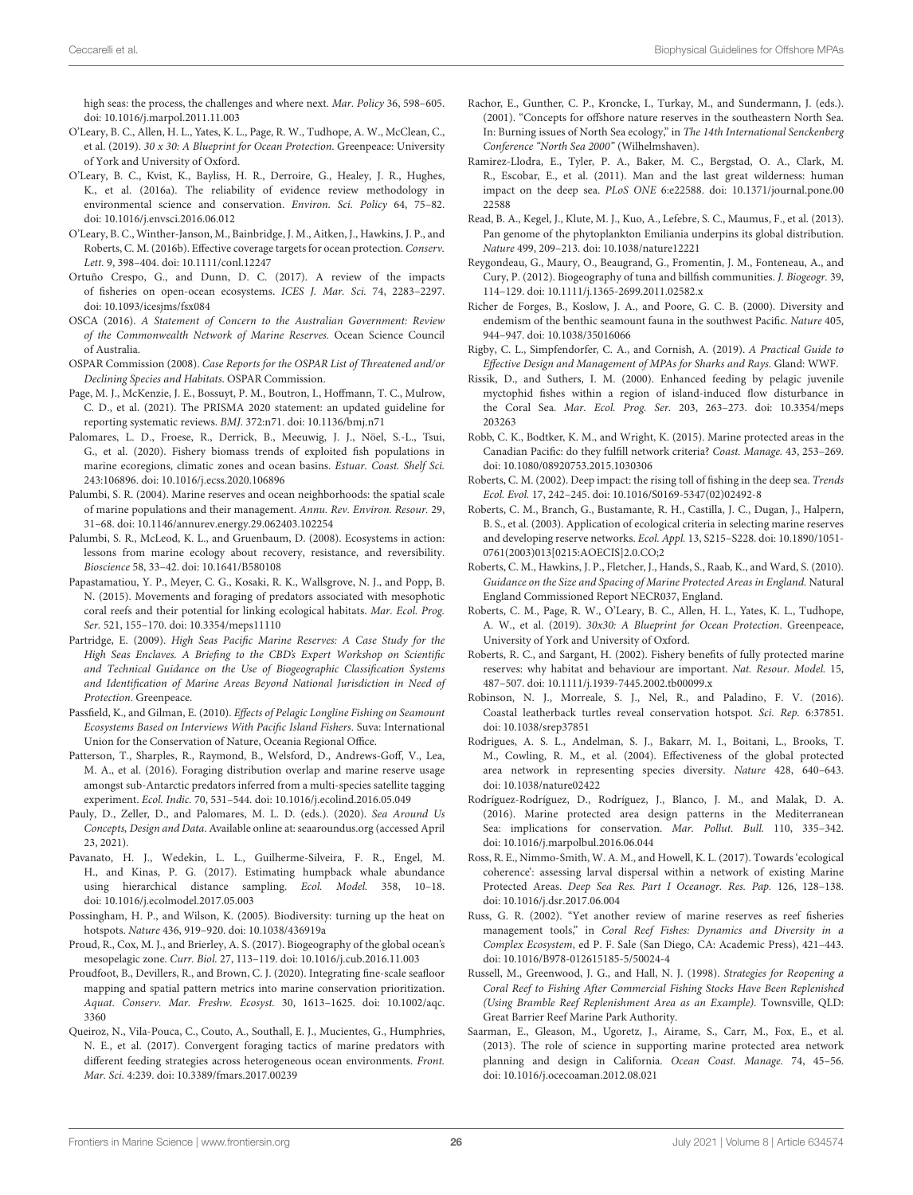high seas: the process, the challenges and where next. Mar. Policy 36, 598–605. doi: [10.1016/j.marpol.2011.11.003](https://doi.org/10.1016/j.marpol.2011.11.003)

- <span id="page-25-8"></span>O'Leary, B. C., Allen, H. L., Yates, K. L., Page, R. W., Tudhope, A. W., McClean, C., et al. (2019). 30 x 30: A Blueprint for Ocean Protection. Greenpeace: University of York and University of Oxford.
- <span id="page-25-10"></span>O'Leary, B. C., Kvist, K., Bayliss, H. R., Derroire, G., Healey, J. R., Hughes, K., et al. (2016a). The reliability of evidence review methodology in environmental science and conservation. Environ. Sci. Policy 64, 75–82. doi: [10.1016/j.envsci.2016.06.012](https://doi.org/10.1016/j.envsci.2016.06.012)
- <span id="page-25-15"></span>O'Leary, B. C., Winther-Janson, M., Bainbridge, J. M., Aitken, J., Hawkins, J. P., and Roberts, C. M. (2016b). Effective coverage targets for ocean protection. Conserv. Lett. 9, 398–404. doi: [10.1111/conl.12247](https://doi.org/10.1111/conl.12247)
- <span id="page-25-3"></span>Ortuño Crespo, G., and Dunn, D. C. (2017). A review of the impacts of fisheries on open-ocean ecosystems. ICES J. Mar. Sci. 74, 2283–2297. doi: [10.1093/icesjms/fsx084](https://doi.org/10.1093/icesjms/fsx084)
- <span id="page-25-7"></span>OSCA (2016). A Statement of Concern to the Australian Government: Review of the Commonwealth Network of Marine Reserves. Ocean Science Council of Australia.
- <span id="page-25-28"></span>OSPAR Commission (2008). Case Reports for the OSPAR List of Threatened and/or Declining Species and Habitats. OSPAR Commission.
- <span id="page-25-41"></span>Page, M. J., McKenzie, J. E., Bossuyt, P. M., Boutron, I., Hoffmann, T. C., Mulrow, C. D., et al. (2021). The PRISMA 2020 statement: an updated guideline for reporting systematic reviews. BMJ. 372:n71. doi: [10.1136/bmj.n71](https://doi.org/10.1136/bmj.n71)
- <span id="page-25-4"></span>Palomares, L. D., Froese, R., Derrick, B., Meeuwig, J. J., Nöel, S.-L., Tsui, G., et al. (2020). Fishery biomass trends of exploited fish populations in marine ecoregions, climatic zones and ocean basins. Estuar. Coast. Shelf Sci. 243:106896. doi: [10.1016/j.ecss.2020.106896](https://doi.org/10.1016/j.ecss.2020.106896)
- <span id="page-25-25"></span><span id="page-25-6"></span>Palumbi, S. R. (2004). Marine reserves and ocean neighborhoods: the spatial scale of marine populations and their management. Annu. Rev. Environ. Resour. 29, 31–68. doi: [10.1146/annurev.energy.29.062403.102254](https://doi.org/10.1146/annurev.energy.29.062403.102254)
- <span id="page-25-29"></span>Palumbi, S. R., McLeod, K. L., and Gruenbaum, D. (2008). Ecosystems in action: lessons from marine ecology about recovery, resistance, and reversibility. Bioscience 58, 33–42. doi: [10.1641/B580108](https://doi.org/10.1641/B580108)
- <span id="page-25-34"></span>Papastamatiou, Y. P., Meyer, C. G., Kosaki, R. K., Wallsgrove, N. J., and Popp, B. N. (2015). Movements and foraging of predators associated with mesophotic coral reefs and their potential for linking ecological habitats. Mar. Ecol. Prog. Ser. 521, 155–170. doi: [10.3354/meps11110](https://doi.org/10.3354/meps11110)
- <span id="page-25-9"></span>Partridge, E. (2009). High Seas Pacific Marine Reserves: A Case Study for the High Seas Enclaves. A Briefing to the CBD's Expert Workshop on Scientific and Technical Guidance on the Use of Biogeographic Classification Systems and Identification of Marine Areas Beyond National Jurisdiction in Need of Protection. Greenpeace.
- <span id="page-25-36"></span>Passfield, K., and Gilman, E. (2010). Effects of Pelagic Longline Fishing on Seamount Ecosystems Based on Interviews With Pacific Island Fishers. Suva: International Union for the Conservation of Nature, Oceania Regional Office.
- <span id="page-25-32"></span>Patterson, T., Sharples, R., Raymond, B., Welsford, D., Andrews-Goff, V., Lea, M. A., et al. (2016). Foraging distribution overlap and marine reserve usage amongst sub-Antarctic predators inferred from a multi-species satellite tagging experiment. Ecol. Indic. 70, 531–544. doi: [10.1016/j.ecolind.2016.05.049](https://doi.org/10.1016/j.ecolind.2016.05.049)
- <span id="page-25-5"></span>Pauly, D., Zeller, D., and Palomares, M. L. D. (eds.). (2020). Sea Around Us Concepts, Design and Data. Available online at: [seaaroundus.org](https://seaaroundus.org) (accessed April 23, 2021).
- <span id="page-25-39"></span>Pavanato, H. J., Wedekin, L. L., Guilherme-Silveira, F. R., Engel, M. H., and Kinas, P. G. (2017). Estimating humpback whale abundance using hierarchical distance sampling. Ecol. Model. 358, 10–18. doi: [10.1016/j.ecolmodel.2017.05.003](https://doi.org/10.1016/j.ecolmodel.2017.05.003)
- <span id="page-25-22"></span>Possingham, H. P., and Wilson, K. (2005). Biodiversity: turning up the heat on hotspots. Nature 436, 919–920. doi: [10.1038/436919a](https://doi.org/10.1038/436919a)
- <span id="page-25-16"></span>Proud, R., Cox, M. J., and Brierley, A. S. (2017). Biogeography of the global ocean's mesopelagic zone. Curr. Biol. 27, 113–119. doi: [10.1016/j.cub.2016.11.003](https://doi.org/10.1016/j.cub.2016.11.003)
- <span id="page-25-11"></span>Proudfoot, B., Devillers, R., and Brown, C. J. (2020). Integrating fine-scale seafloor mapping and spatial pattern metrics into marine conservation prioritization. [Aquat. Conserv. Mar. Freshw. Ecosyst.](https://doi.org/10.1002/aqc.3360) 30, 1613–1625. doi: 10.1002/aqc. 3360
- <span id="page-25-33"></span>Queiroz, N., Vila-Pouca, C., Couto, A., Southall, E. J., Mucientes, G., Humphries, N. E., et al. (2017). Convergent foraging tactics of marine predators with different feeding strategies across heterogeneous ocean environments. Front. Mar. Sci. 4:239. doi: [10.3389/fmars.2017.00239](https://doi.org/10.3389/fmars.2017.00239)
- Rachor, E., Gunther, C. P., Kroncke, I., Turkay, M., and Sundermann, J. (eds.). (2001). "Concepts for offshore nature reserves in the southeastern North Sea. In: Burning issues of North Sea ecology," in The 14th International Senckenberg Conference "North Sea 2000" (Wilhelmshaven).
- <span id="page-25-1"></span>Ramirez-Llodra, E., Tyler, P. A., Baker, M. C., Bergstad, O. A., Clark, M. R., Escobar, E., et al. (2011). Man and the last great wilderness: human impact on the deep sea. PLoS ONE [6:e22588. doi: 10.1371/journal.pone.00](https://doi.org/10.1371/journal.pone.0022588) 22588
- <span id="page-25-12"></span>Read, B. A., Kegel, J., Klute, M. J., Kuo, A., Lefebre, S. C., Maumus, F., et al. (2013). Pan genome of the phytoplankton Emiliania underpins its global distribution. Nature 499, 209–213. doi: [10.1038/nature12221](https://doi.org/10.1038/nature12221)
- <span id="page-25-17"></span>Reygondeau, G., Maury, O., Beaugrand, G., Fromentin, J. M., Fonteneau, A., and Cury, P. (2012). Biogeography of tuna and billfish communities. J. Biogeogr. 39, 114–129. doi: [10.1111/j.1365-2699.2011.02582.x](https://doi.org/10.1111/j.1365-2699.2011.02582.x)
- <span id="page-25-30"></span>Richer de Forges, B., Koslow, J. A., and Poore, G. C. B. (2000). Diversity and endemism of the benthic seamount fauna in the southwest Pacific. Nature 405, 944–947. doi: [10.1038/35016066](https://doi.org/10.1038/35016066)
- <span id="page-25-14"></span>Rigby, C. L., Simpfendorfer, C. A., and Cornish, A. (2019). A Practical Guide to Effective Design and Management of MPAs for Sharks and Rays. Gland: WWF.
- <span id="page-25-27"></span>Rissik, D., and Suthers, I. M. (2000). Enhanced feeding by pelagic juvenile myctophid fishes within a region of island-induced flow disturbance in the Coral Sea. Mar. Ecol. Prog. Ser. [203, 263–273. doi: 10.3354/meps](https://doi.org/10.3354/meps203263) 203263
- <span id="page-25-37"></span>Robb, C. K., Bodtker, K. M., and Wright, K. (2015). Marine protected areas in the Canadian Pacific: do they fulfill network criteria? Coast. Manage. 43, 253–269. doi: [10.1080/08920753.2015.1030306](https://doi.org/10.1080/08920753.2015.1030306)
- <span id="page-25-26"></span><span id="page-25-24"></span><span id="page-25-23"></span><span id="page-25-2"></span>Roberts, C. M. (2002). Deep impact: the rising toll of fishing in the deep sea. Trends Ecol. Evol. 17, 242–245. doi: [10.1016/S0169-5347\(02\)02492-8](https://doi.org/10.1016/S0169-5347(02)02492-8)
- <span id="page-25-31"></span>Roberts, C. M., Branch, G., Bustamante, R. H., Castilla, J. C., Dugan, J., Halpern, B. S., et al. (2003). Application of ecological criteria in selecting marine reserves and developing reserve networks. Ecol. Appl. 13, S215–S228. doi: 10.1890/1051- [0761\(2003\)013\[0215:AOECIS\]2.0.CO;2](https://doi.org/10.1890/1051-0761(2003)013[0215:AOECIS]2.0.CO;2)
- <span id="page-25-19"></span>Roberts, C. M., Hawkins, J. P., Fletcher, J., Hands, S., Raab, K., and Ward, S. (2010). Guidance on the Size and Spacing of Marine Protected Areas in England. Natural England Commissioned Report NECR037, England.
- <span id="page-25-0"></span>Roberts, C. M., Page, R. W., O'Leary, B. C., Allen, H. L., Yates, K. L., Tudhope, A. W., et al. (2019). 30x30: A Blueprint for Ocean Protection. Greenpeace, University of York and University of Oxford.
- <span id="page-25-18"></span>Roberts, R. C., and Sargant, H. (2002). Fishery benefits of fully protected marine reserves: why habitat and behaviour are important. Nat. Resour. Model. 15, 487–507. doi: [10.1111/j.1939-7445.2002.tb00099.x](https://doi.org/10.1111/j.1939-7445.2002.tb00099.x)
- <span id="page-25-13"></span>Robinson, N. J., Morreale, S. J., Nel, R., and Paladino, F. V. (2016). Coastal leatherback turtles reveal conservation hotspot. Sci. Rep. 6:37851. doi: [10.1038/srep37851](https://doi.org/10.1038/srep37851)
- <span id="page-25-40"></span>Rodrigues, A. S. L., Andelman, S. J., Bakarr, M. I., Boitani, L., Brooks, T. M., Cowling, R. M., et al. (2004). Effectiveness of the global protected area network in representing species diversity. Nature 428, 640–643. doi: [10.1038/nature02422](https://doi.org/10.1038/nature02422)
- <span id="page-25-20"></span>Rodríguez-Rodríguez, D., Rodríguez, J., Blanco, J. M., and Malak, D. A. (2016). Marine protected area design patterns in the Mediterranean Sea: implications for conservation. Mar. Pollut. Bull. 110, 335–342. doi: [10.1016/j.marpolbul.2016.06.044](https://doi.org/10.1016/j.marpolbul.2016.06.044)
- <span id="page-25-35"></span>Ross, R. E., Nimmo-Smith, W. A. M., and Howell, K. L. (2017). Towards 'ecological coherence': assessing larval dispersal within a network of existing Marine Protected Areas. Deep Sea Res. Part I Oceanogr. Res. Pap. 126, 128–138. doi: [10.1016/j.dsr.2017.06.004](https://doi.org/10.1016/j.dsr.2017.06.004)
- <span id="page-25-21"></span>Russ, G. R. (2002). "Yet another review of marine reserves as reef fisheries management tools," in Coral Reef Fishes: Dynamics and Diversity in a Complex Ecosystem, ed P. F. Sale (San Diego, CA: Academic Press), 421–443. doi: [10.1016/B978-012615185-5/50024-4](https://doi.org/10.1016/B978-012615185-5/50024-4)
- <span id="page-25-38"></span>Russell, M., Greenwood, J. G., and Hall, N. J. (1998). Strategies for Reopening a Coral Reef to Fishing After Commercial Fishing Stocks Have Been Replenished (Using Bramble Reef Replenishment Area as an Example). Townsville, QLD: Great Barrier Reef Marine Park Authority.
- Saarman, E., Gleason, M., Ugoretz, J., Airame, S., Carr, M., Fox, E., et al. (2013). The role of science in supporting marine protected area network planning and design in California. Ocean Coast. Manage. 74, 45–56. doi: [10.1016/j.ocecoaman.2012.08.021](https://doi.org/10.1016/j.ocecoaman.2012.08.021)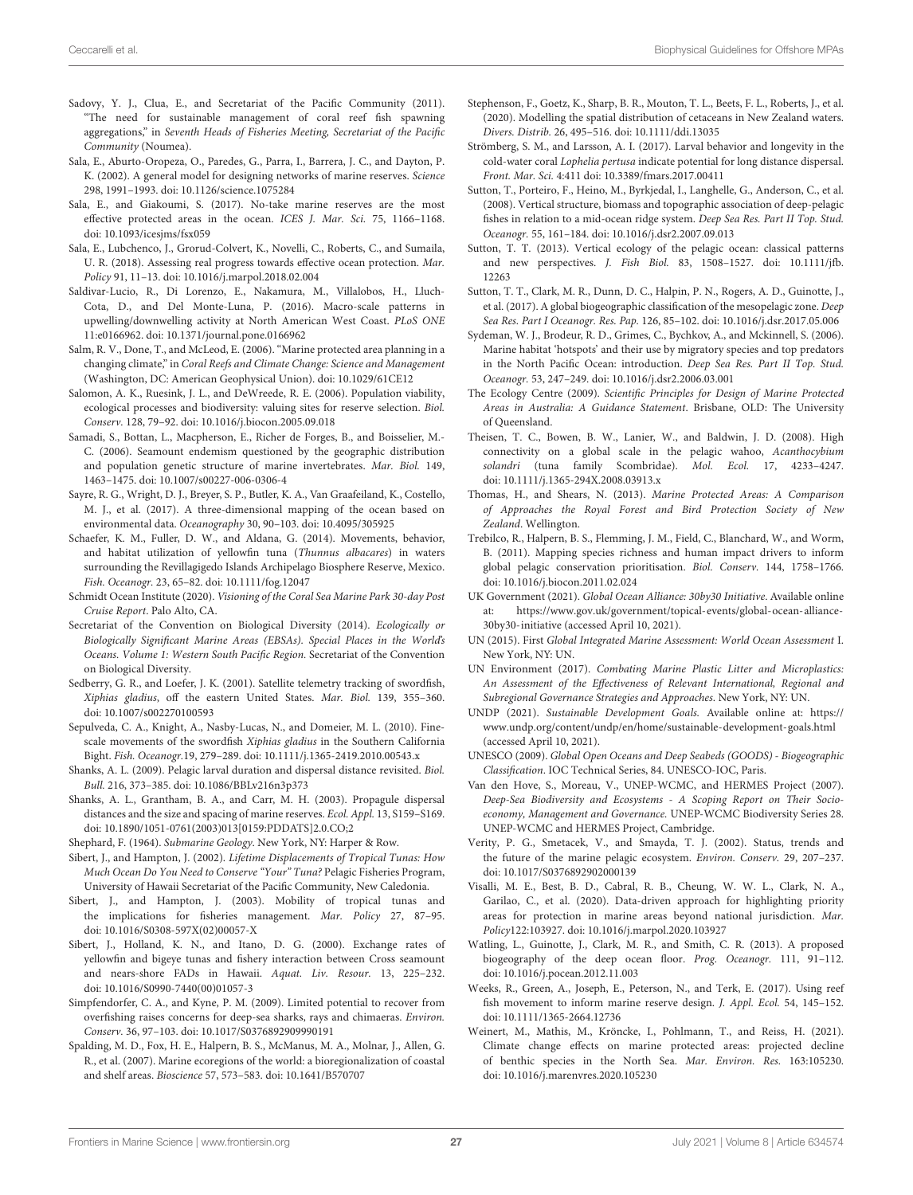- <span id="page-26-38"></span>Sadovy, Y. J., Clua, E., and Secretariat of the Pacific Community (2011). "The need for sustainable management of coral reef fish spawning aggregations," in Seventh Heads of Fisheries Meeting, Secretariat of the Pacific Community (Noumea).
- <span id="page-26-33"></span>Sala, E., Aburto-Oropeza, O., Paredes, G., Parra, I., Barrera, J. C., and Dayton, P. K. (2002). A general model for designing networks of marine reserves. Science 298, 1991–1993. doi: [10.1126/science.1075284](https://doi.org/10.1126/science.1075284)
- <span id="page-26-0"></span>Sala, E., and Giakoumi, S. (2017). No-take marine reserves are the most effective protected areas in the ocean. ICES J. Mar. Sci. 75, 1166–1168. doi: [10.1093/icesjms/fsx059](https://doi.org/10.1093/icesjms/fsx059)
- <span id="page-26-43"></span>Sala, E., Lubchenco, J., Grorud-Colvert, K., Novelli, C., Roberts, C., and Sumaila, U. R. (2018). Assessing real progress towards effective ocean protection. Mar. Policy 91, 11–13. doi: [10.1016/j.marpol.2018.02.004](https://doi.org/10.1016/j.marpol.2018.02.004)
- <span id="page-26-27"></span>Saldivar-Lucio, R., Di Lorenzo, E., Nakamura, M., Villalobos, H., Lluch-Cota, D., and Del Monte-Luna, P. (2016). Macro-scale patterns in upwelling/downwelling activity at North American West Coast. PLoS ONE 11:e0166962. doi: [10.1371/journal.pone.0166962](https://doi.org/10.1371/journal.pone.0166962)
- <span id="page-26-37"></span>Salm, R. V., Done, T., and McLeod, E. (2006). "Marine protected area planning in a changing climate," in Coral Reefs and Climate Change: Science and Management (Washington, DC: American Geophysical Union). doi: [10.1029/61CE12](https://doi.org/10.1029/61CE12)
- <span id="page-26-21"></span>Salomon, A. K., Ruesink, J. L., and DeWreede, R. E. (2006). Population viability, ecological processes and biodiversity: valuing sites for reserve selection. Biol. Conserv. 128, 79–92. doi: [10.1016/j.biocon.2005.09.018](https://doi.org/10.1016/j.biocon.2005.09.018)
- <span id="page-26-28"></span>Samadi, S., Bottan, L., Macpherson, E., Richer de Forges, B., and Boisselier, M.- C. (2006). Seamount endemism questioned by the geographic distribution and population genetic structure of marine invertebrates. Mar. Biol. 149, 1463–1475. doi: [10.1007/s00227-006-0306-4](https://doi.org/10.1007/s00227-006-0306-4)
- <span id="page-26-31"></span>Sayre, R. G., Wright, D. J., Breyer, S. P., Butler, K. A., Van Graafeiland, K., Costello, M. J., et al. (2017). A three-dimensional mapping of the ocean based on environmental data. Oceanography 30, 90–103. doi: [10.4095/305925](https://doi.org/10.4095/305925)
- <span id="page-26-15"></span>Schaefer, K. M., Fuller, D. W., and Aldana, G. (2014). Movements, behavior, and habitat utilization of yellowfin tuna (Thunnus albacares) in waters surrounding the Revillagigedo Islands Archipelago Biosphere Reserve, Mexico. Fish. Oceanogr. 23, 65–82. doi: [10.1111/fog.12047](https://doi.org/10.1111/fog.12047)
- <span id="page-26-5"></span>Schmidt Ocean Institute (2020). Visioning of the Coral Sea Marine Park 30-day Post Cruise Report. Palo Alto, CA.
- <span id="page-26-22"></span>Secretariat of the Convention on Biological Diversity (2014). Ecologically or Biologically Significant Marine Areas (EBSAs). Special Places in the World's Oceans. Volume 1: Western South Pacific Region. Secretariat of the Convention on Biological Diversity.
- <span id="page-26-10"></span>Sedberry, G. R., and Loefer, J. K. (2001). Satellite telemetry tracking of swordfish, Xiphias gladius, off the eastern United States. Mar. Biol. 139, 355–360. doi: [10.1007/s002270100593](https://doi.org/10.1007/s002270100593)
- <span id="page-26-14"></span>Sepulveda, C. A., Knight, A., Nasby-Lucas, N., and Domeier, M. L. (2010). Finescale movements of the swordfish Xiphias gladius in the Southern California Bight. Fish. Oceanogr.19, 279–289. doi: [10.1111/j.1365-2419.2010.00543.x](https://doi.org/10.1111/j.1365-2419.2010.00543.x)
- <span id="page-26-19"></span>Shanks, A. L. (2009). Pelagic larval duration and dispersal distance revisited. Biol. Bull. 216, 373–385. doi: [10.1086/BBLv216n3p373](https://doi.org/10.1086/BBLv216n3p373)
- <span id="page-26-34"></span>Shanks, A. L., Grantham, B. A., and Carr, M. H. (2003). Propagule dispersal distances and the size and spacing of marine reserves. Ecol. Appl. 13, S159–S169. doi: [10.1890/1051-0761\(2003\)013\[0159:PDDATS\]2.0.CO;2](https://doi.org/10.1890/1051-0761(2003)013[0159:PDDATS]2.0.CO;2)
- <span id="page-26-26"></span>Shephard, F. (1964). Submarine Geology. New York, NY: Harper & Row.
- <span id="page-26-11"></span>Sibert, J., and Hampton, J. (2002). Lifetime Displacements of Tropical Tunas: How Much Ocean Do You Need to Conserve "Your" Tuna? Pelagic Fisheries Program, University of Hawaii Secretariat of the Pacific Community, New Caledonia.
- <span id="page-26-12"></span>Sibert, J., and Hampton, J. (2003). Mobility of tropical tunas and the implications for fisheries management. Mar. Policy 27, 87–95. doi: [10.1016/S0308-597X\(02\)00057-X](https://doi.org/10.1016/S0308-597X(02)00057-X)
- <span id="page-26-17"></span>Sibert, J., Holland, K. N., and Itano, D. G. (2000). Exchange rates of yellowfin and bigeye tunas and fishery interaction between Cross seamount and nears-shore FADs in Hawaii. Aquat. Liv. Resour. 13, 225–232. doi: [10.1016/S0990-7440\(00\)01057-3](https://doi.org/10.1016/S0990-7440(00)01057-3)
- <span id="page-26-39"></span>Simpfendorfer, C. A., and Kyne, P. M. (2009). Limited potential to recover from overfishing raises concerns for deep-sea sharks, rays and chimaeras. Environ. Conserv. 36, 97–103. doi: [10.1017/S0376892909990191](https://doi.org/10.1017/S0376892909990191)
- <span id="page-26-29"></span>Spalding, M. D., Fox, H. E., Halpern, B. S., McManus, M. A., Molnar, J., Allen, G. R., et al. (2007). Marine ecoregions of the world: a bioregionalization of coastal and shelf areas. Bioscience 57, 573–583. doi: [10.1641/B570707](https://doi.org/10.1641/B570707)
- <span id="page-26-42"></span>Stephenson, F., Goetz, K., Sharp, B. R., Mouton, T. L., Beets, F. L., Roberts, J., et al. (2020). Modelling the spatial distribution of cetaceans in New Zealand waters. Divers. Distrib. 26, 495–516. doi: [10.1111/ddi.13035](https://doi.org/10.1111/ddi.13035)
- <span id="page-26-36"></span>Strömberg, S. M., and Larsson, A. I. (2017). Larval behavior and longevity in the cold-water coral Lophelia pertusa indicate potential for long distance dispersal. Front. Mar. Sci. 4:411 doi: [10.3389/fmars.2017.00411](https://doi.org/10.3389/fmars.2017.00411)
- <span id="page-26-18"></span>Sutton, T., Porteiro, F., Heino, M., Byrkjedal, I., Langhelle, G., Anderson, C., et al. (2008). Vertical structure, biomass and topographic association of deep-pelagic fishes in relation to a mid-ocean ridge system. Deep Sea Res. Part II Top. Stud. Oceanogr. 55, 161–184. doi: [10.1016/j.dsr2.2007.09.013](https://doi.org/10.1016/j.dsr2.2007.09.013)
- <span id="page-26-35"></span>Sutton, T. T. (2013). Vertical ecology of the pelagic ocean: classical patterns and new perspectives. J. Fish Biol. [83, 1508–1527. doi: 10.1111/jfb.](https://doi.org/10.1111/jfb.12263) 12263
- <span id="page-26-32"></span>Sutton, T. T., Clark, M. R., Dunn, D. C., Halpin, P. N., Rogers, A. D., Guinotte, J., et al. (2017). A global biogeographic classification of the mesopelagic zone. Deep Sea Res. Part I Oceanogr. Res. Pap. 126, 85–102. doi: [10.1016/j.dsr.2017.05.006](https://doi.org/10.1016/j.dsr.2017.05.006)
- <span id="page-26-23"></span>Sydeman, W. J., Brodeur, R. D., Grimes, C., Bychkov, A., and Mckinnell, S. (2006). Marine habitat 'hotspots' and their use by migratory species and top predators in the North Pacific Ocean: introduction. Deep Sea Res. Part II Top. Stud. Oceanogr. 53, 247–249. doi: [10.1016/j.dsr2.2006.03.001](https://doi.org/10.1016/j.dsr2.2006.03.001)
- The Ecology Centre (2009). Scientific Principles for Design of Marine Protected Areas in Australia: A Guidance Statement. Brisbane, OLD: The University of Queensland.
- <span id="page-26-25"></span><span id="page-26-24"></span><span id="page-26-13"></span>Theisen, T. C., Bowen, B. W., Lanier, W., and Baldwin, J. D. (2008). High connectivity on a global scale in the pelagic wahoo, Acanthocybium solandri (tuna family Scombridae). Mol. Ecol. 17, 4233–4247. doi: [10.1111/j.1365-294X.2008.03913.x](https://doi.org/10.1111/j.1365-294X.2008.03913.x)
- <span id="page-26-9"></span>Thomas, H., and Shears, N. (2013). Marine Protected Areas: A Comparison of Approaches the Royal Forest and Bird Protection Society of New Zealand. Wellington.
- <span id="page-26-41"></span>Trebilco, R., Halpern, B. S., Flemming, J. M., Field, C., Blanchard, W., and Worm, B. (2011). Mapping species richness and human impact drivers to inform global pelagic conservation prioritisation. Biol. Conserv. 144, 1758–1766. doi: [10.1016/j.biocon.2011.02.024](https://doi.org/10.1016/j.biocon.2011.02.024)
- <span id="page-26-7"></span>UK Government (2021). Global Ocean Alliance: 30by30 Initiative. Available online at: [https://www.gov.uk/government/topical-events/global-ocean-alliance-](https://www.gov.uk/government/topical-events/global-ocean-alliance-30by30-initiative)[30by30-initiative](https://www.gov.uk/government/topical-events/global-ocean-alliance-30by30-initiative) (accessed April 10, 2021).
- <span id="page-26-3"></span>UN (2015). First Global Integrated Marine Assessment: World Ocean Assessment I. New York, NY: UN.
- <span id="page-26-4"></span>UN Environment (2017). Combating Marine Plastic Litter and Microplastics: An Assessment of the Effectiveness of Relevant International, Regional and Subregional Governance Strategies and Approaches. New York, NY: UN.
- <span id="page-26-6"></span>UNDP (2021). Sustainable Development Goals. Available online at: [https://](https://www.undp.org/content/undp/en/home/sustainable-development-goals.html) [www.undp.org/content/undp/en/home/sustainable-development-goals.html](https://www.undp.org/content/undp/en/home/sustainable-development-goals.html) (accessed April 10, 2021).
- <span id="page-26-16"></span>UNESCO (2009). Global Open Oceans and Deep Seabeds (GOODS) - Biogeographic Classification. IOC Technical Series, 84. UNESCO-IOC, Paris.
- <span id="page-26-1"></span>Van den Hove, S., Moreau, V., UNEP-WCMC, and HERMES Project (2007). Deep-Sea Biodiversity and Ecosystems - A Scoping Report on Their Socioeconomy, Management and Governance. UNEP-WCMC Biodiversity Series 28. UNEP-WCMC and HERMES Project, Cambridge.
- <span id="page-26-2"></span>Verity, P. G., Smetacek, V., and Smayda, T. J. (2002). Status, trends and the future of the marine pelagic ecosystem. Environ. Conserv. 29, 207–237. doi: [10.1017/S0376892902000139](https://doi.org/10.1017/S0376892902000139)
- <span id="page-26-8"></span>Visalli, M. E., Best, B. D., Cabral, R. B., Cheung, W. W. L., Clark, N. A., Garilao, C., et al. (2020). Data-driven approach for highlighting priority areas for protection in marine areas beyond national jurisdiction. Mar. Policy122:103927. doi: [10.1016/j.marpol.2020.103927](https://doi.org/10.1016/j.marpol.2020.103927)
- <span id="page-26-30"></span>Watling, L., Guinotte, J., Clark, M. R., and Smith, C. R. (2013). A proposed biogeography of the deep ocean floor. Prog. Oceanogr. 111, 91–112. doi: [10.1016/j.pocean.2012.11.003](https://doi.org/10.1016/j.pocean.2012.11.003)
- <span id="page-26-20"></span>Weeks, R., Green, A., Joseph, E., Peterson, N., and Terk, E. (2017). Using reef fish movement to inform marine reserve design. J. Appl. Ecol. 54, 145–152. doi: [10.1111/1365-2664.12736](https://doi.org/10.1111/1365-2664.12736)
- <span id="page-26-40"></span>Weinert, M., Mathis, M., Kröncke, I., Pohlmann, T., and Reiss, H. (2021). Climate change effects on marine protected areas: projected decline of benthic species in the North Sea. Mar. Environ. Res. 163:105230. doi: [10.1016/j.marenvres.2020.105230](https://doi.org/10.1016/j.marenvres.2020.105230)